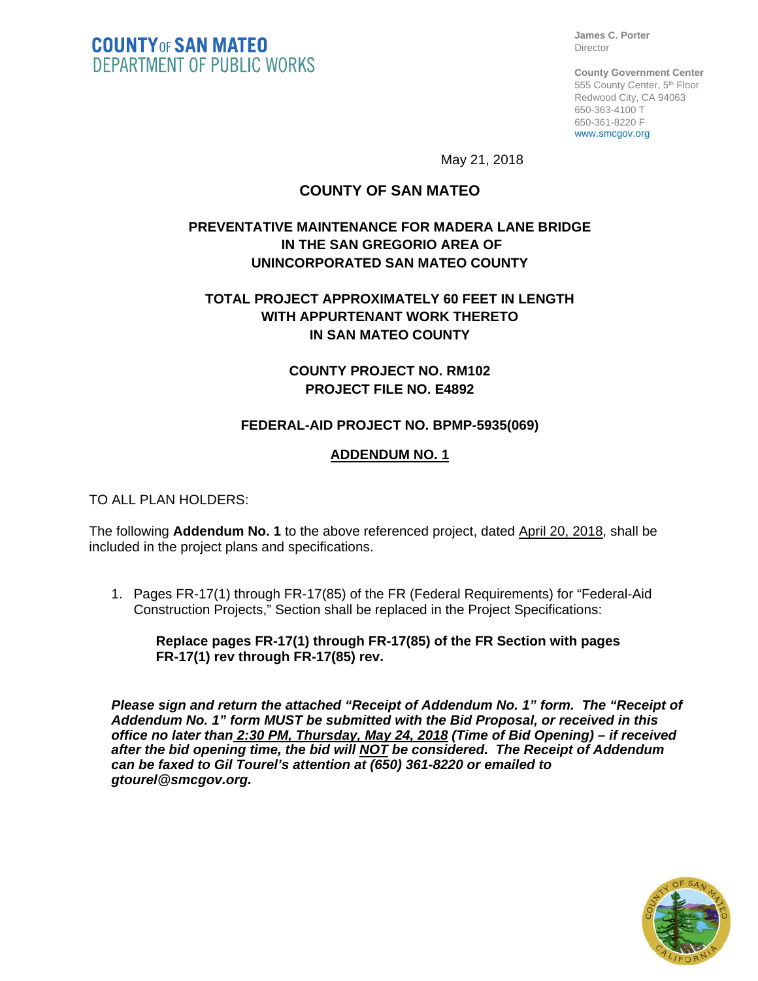**COUNTY OF SAN MATEO DEPARTMENT OF PUBLIC WORKS** 

**James C. Porter**  Director

**County Government Center**  555 County Center, 5<sup>th</sup> Floor Redwood City, CA 94063 650-363-4100 T 650-361-8220 F www.smcgov.org

May 21, 2018

## **COUNTY OF SAN MATEO**

### **PREVENTATIVE MAINTENANCE FOR MADERA LANE BRIDGE IN THE SAN GREGORIO AREA OF UNINCORPORATED SAN MATEO COUNTY**

## **TOTAL PROJECT APPROXIMATELY 60 FEET IN LENGTH WITH APPURTENANT WORK THERETO IN SAN MATEO COUNTY**

## **COUNTY PROJECT NO. RM102 PROJECT FILE NO. E4892**

### **FEDERAL-AID PROJECT NO. BPMP-5935(069)**

### **ADDENDUM NO. 1**

### TO ALL PLAN HOLDERS:

The following **Addendum No. 1** to the above referenced project, dated April 20, 2018, shall be included in the project plans and specifications.

1. Pages FR-17(1) through FR-17(85) of the FR (Federal Requirements) for "Federal-Aid Construction Projects," Section shall be replaced in the Project Specifications:

**Replace pages FR-17(1) through FR-17(85) of the FR Section with pages FR-17(1) rev through FR-17(85) rev.** 

*Please sign and return the attached "Receipt of Addendum No. 1" form. The "Receipt of Addendum No. 1" form MUST be submitted with the Bid Proposal, or received in this office no later than 2:30 PM, Thursday, May 24, 2018 (Time of Bid Opening) – if received after the bid opening time, the bid will NOT be considered. The Receipt of Addendum can be faxed to Gil Tourel's attention at (650) 361-8220 or emailed to gtourel@smcgov.org.* 

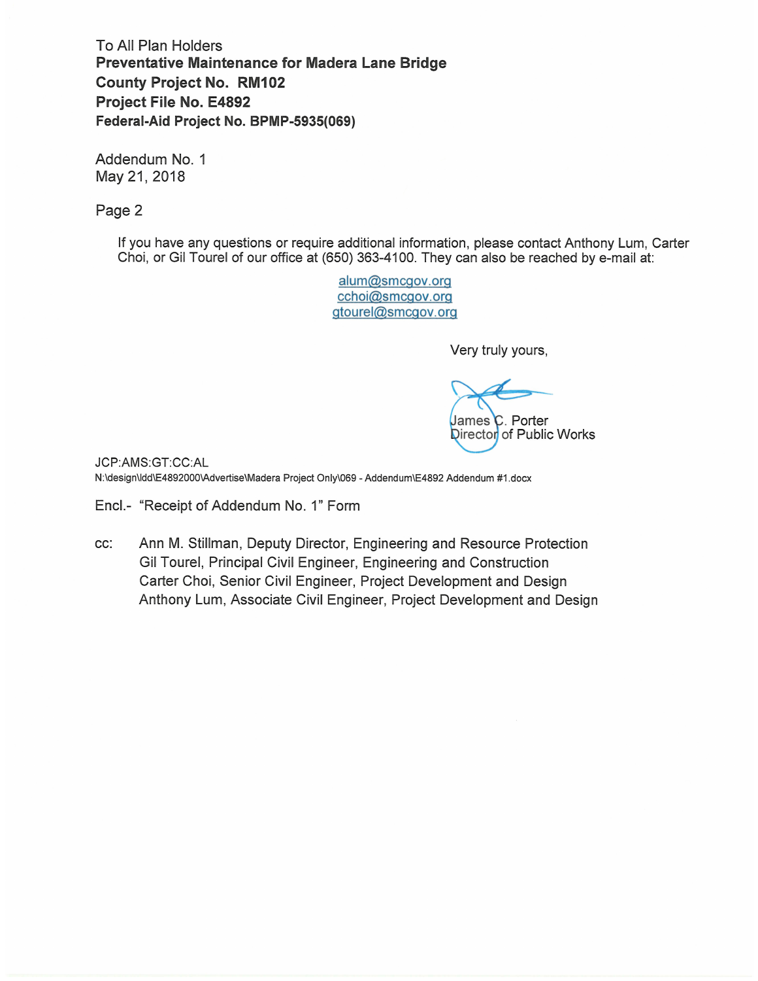To All Plan Holders Preventative Maintenance for Madera Lane Bridge **County Project No. RM102** Project File No. E4892 Federal-Aid Project No. BPMP-5935(069)

Addendum No. 1 May 21, 2018

Page 2

If you have any questions or require additional information, please contact Anthony Lum, Carter Choi, or Gil Tourel of our office at (650) 363-4100. They can also be reached by e-mail at:

> alum@smcgov.org cchoi@smcgov.org gtourel@smcgov.org

> > Very truly yours,

James C. Porter Director of Public Works

JCP:AMS:GT:CC:AL

N:\design\ldd\E4892000\Advertise\Madera Project Only\069 - Addendum\E4892 Addendum #1.docx

Encl.- "Receipt of Addendum No. 1" Form

CC: Ann M. Stillman, Deputy Director, Engineering and Resource Protection Gil Tourel, Principal Civil Engineer, Engineering and Construction Carter Choi, Senior Civil Engineer, Project Development and Design Anthony Lum, Associate Civil Engineer, Project Development and Design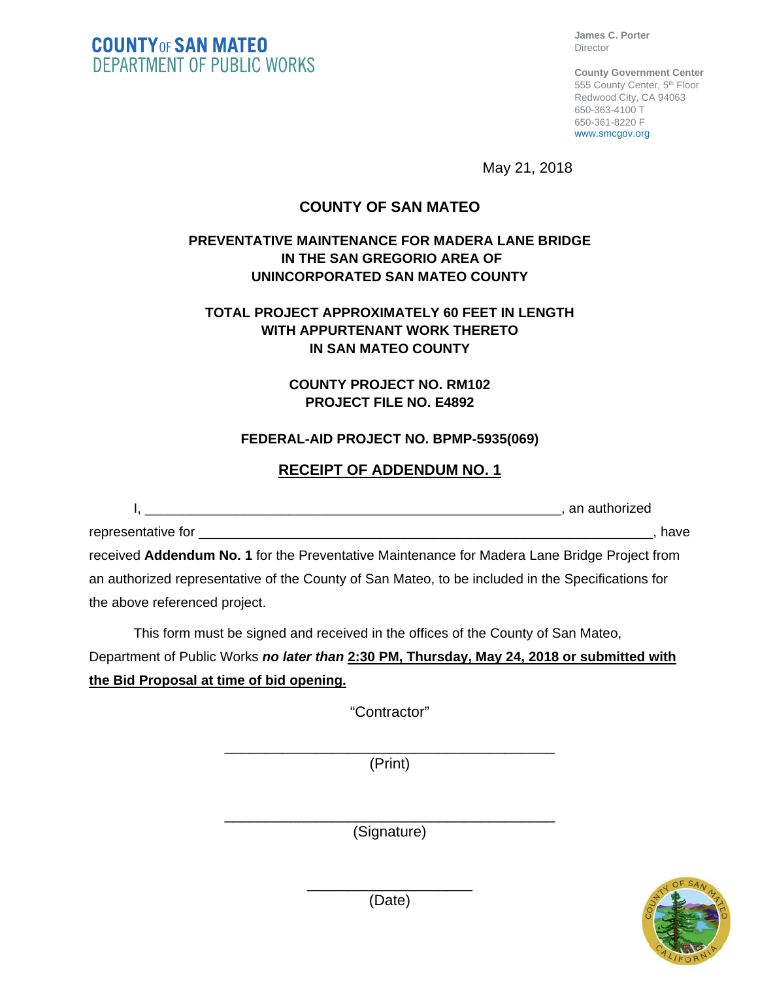**COUNTY OF SAN MATEO** DEPARTMENT OF PUBLIC WORKS

**James C. Porter**  Director

**County Government Center**  555 County Center, 5<sup>th</sup> Floor Redwood City, CA 94063 650-363-4100 T 650-361-8220 F www.smcgov.org

May 21, 2018

# **COUNTY OF SAN MATEO**

## **PREVENTATIVE MAINTENANCE FOR MADERA LANE BRIDGE IN THE SAN GREGORIO AREA OF UNINCORPORATED SAN MATEO COUNTY**

### **TOTAL PROJECT APPROXIMATELY 60 FEET IN LENGTH WITH APPURTENANT WORK THERETO IN SAN MATEO COUNTY**

**COUNTY PROJECT NO. RM102 PROJECT FILE NO. E4892** 

### **FEDERAL-AID PROJECT NO. BPMP-5935(069)**

### **RECEIPT OF ADDENDUM NO. 1**

|                                                                                                   | , an authorized |      |
|---------------------------------------------------------------------------------------------------|-----------------|------|
|                                                                                                   |                 | have |
| received Addendum No. 1 for the Preventative Maintenance for Madera Lane Bridge Project from      |                 |      |
| an authorized representative of the County of San Mateo, to be included in the Specifications for |                 |      |
| the above referenced project.                                                                     |                 |      |

This form must be signed and received in the offices of the County of San Mateo, Department of Public Works *no later than* **2:30 PM, Thursday, May 24, 2018 or submitted with the Bid Proposal at time of bid opening.**

"Contractor"

\_\_\_\_\_\_\_\_\_\_\_\_\_\_\_\_\_\_\_\_\_\_\_\_\_\_\_\_\_\_\_\_\_\_\_\_\_\_\_\_ (Print)

\_\_\_\_\_\_\_\_\_\_\_\_\_\_\_\_\_\_\_\_\_\_\_\_\_\_\_\_\_\_\_\_\_\_\_\_\_\_\_\_ (Signature)



\_\_\_\_\_\_\_\_\_\_\_\_\_\_\_\_\_\_\_\_ (Date)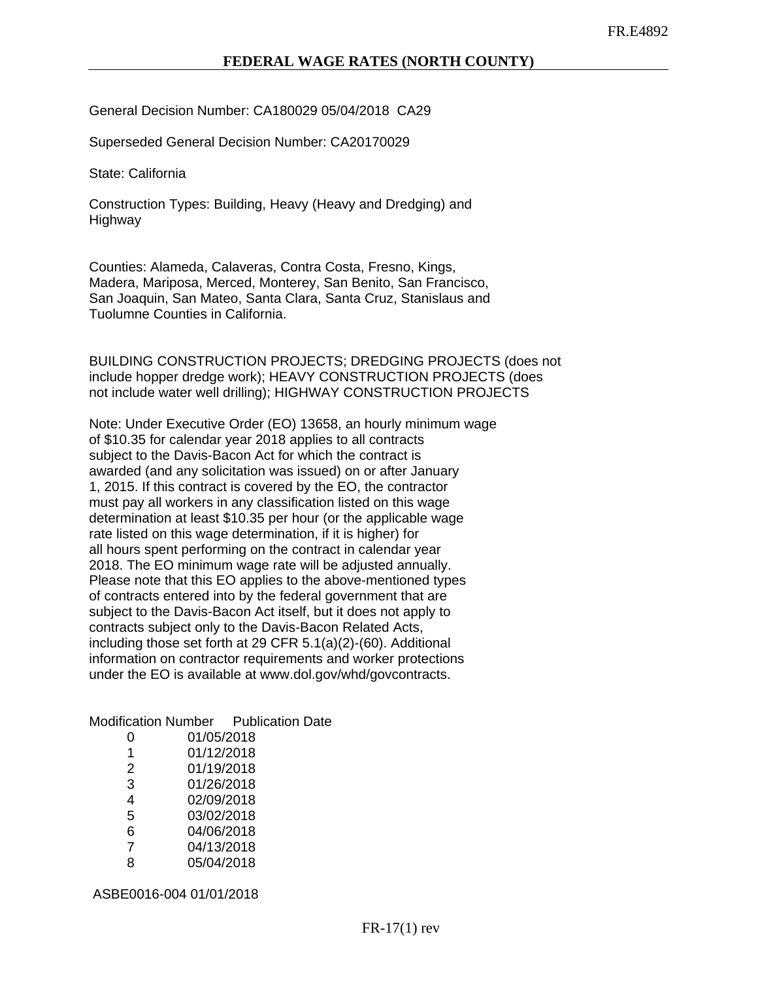General Decision Number: CA180029 05/04/2018 CA29

Superseded General Decision Number: CA20170029

State: California

Construction Types: Building, Heavy (Heavy and Dredging) and Highway

Counties: Alameda, Calaveras, Contra Costa, Fresno, Kings, Madera, Mariposa, Merced, Monterey, San Benito, San Francisco, San Joaquin, San Mateo, Santa Clara, Santa Cruz, Stanislaus and Tuolumne Counties in California.

BUILDING CONSTRUCTION PROJECTS; DREDGING PROJECTS (does not include hopper dredge work); HEAVY CONSTRUCTION PROJECTS (does not include water well drilling); HIGHWAY CONSTRUCTION PROJECTS

Note: Under Executive Order (EO) 13658, an hourly minimum wage of \$10.35 for calendar year 2018 applies to all contracts subject to the Davis-Bacon Act for which the contract is awarded (and any solicitation was issued) on or after January 1, 2015. If this contract is covered by the EO, the contractor must pay all workers in any classification listed on this wage determination at least \$10.35 per hour (or the applicable wage rate listed on this wage determination, if it is higher) for all hours spent performing on the contract in calendar year 2018. The EO minimum wage rate will be adjusted annually. Please note that this EO applies to the above-mentioned types of contracts entered into by the federal government that are subject to the Davis-Bacon Act itself, but it does not apply to contracts subject only to the Davis-Bacon Related Acts, including those set forth at 29 CFR 5.1(a)(2)-(60). Additional information on contractor requirements and worker protections under the EO is available at www.dol.gov/whd/govcontracts.

#### Modification Number Publication Date

| O) | 01/05/2018 |
|----|------------|
| 1  | 01/12/2018 |
| 2  | 01/19/2018 |
| 3  | 01/26/2018 |
| 4  | 02/09/2018 |
| 5  | 03/02/2018 |
| 6  | 04/06/2018 |
| 7  | 04/13/2018 |
| ጸ  | 05/04/2018 |

ASBE0016-004 01/01/2018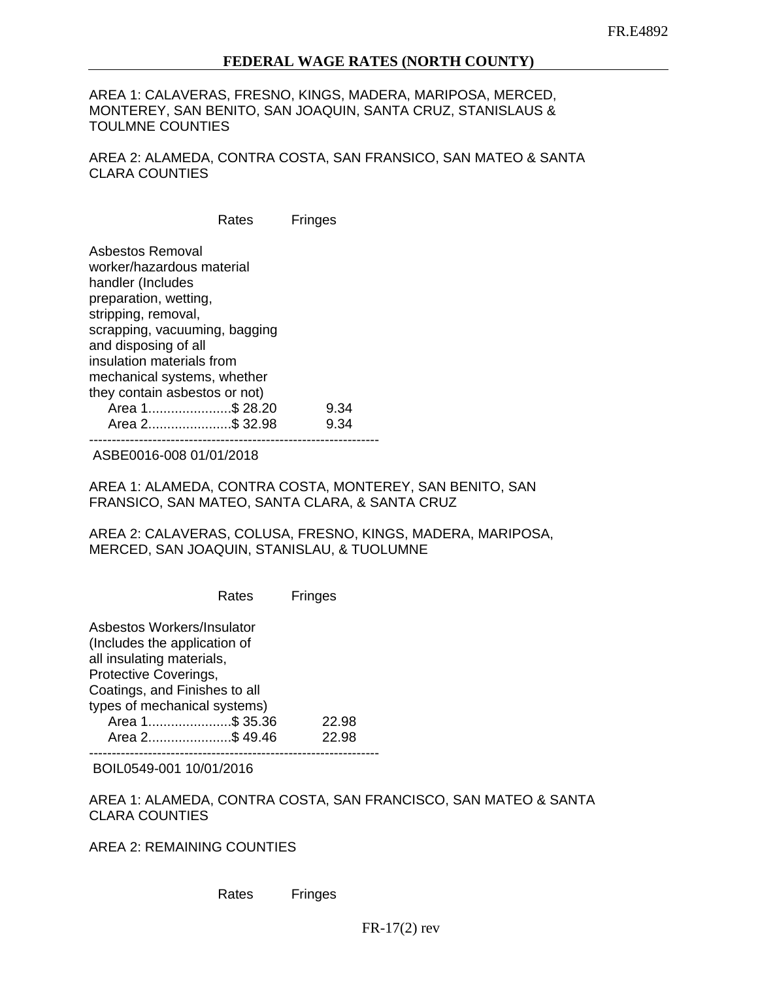AREA 1: CALAVERAS, FRESNO, KINGS, MADERA, MARIPOSA, MERCED, MONTEREY, SAN BENITO, SAN JOAQUIN, SANTA CRUZ, STANISLAUS & TOULMNE COUNTIES

AREA 2: ALAMEDA, CONTRA COSTA, SAN FRANSICO, SAN MATEO & SANTA CLARA COUNTIES

Rates Fringes

| Asbestos Removal<br>worker/hazardous material<br>handler (Includes<br>preparation, wetting, |      |
|---------------------------------------------------------------------------------------------|------|
|                                                                                             |      |
| stripping, removal,                                                                         |      |
| scrapping, vacuuming, bagging                                                               |      |
| and disposing of all                                                                        |      |
| insulation materials from                                                                   |      |
| mechanical systems, whether                                                                 |      |
| they contain asbestos or not)                                                               |      |
| Area 1\$ 28.20                                                                              | 9.34 |
| Area 2\$ 32.98                                                                              | 9.34 |
|                                                                                             |      |

ASBE0016-008 01/01/2018

AREA 1: ALAMEDA, CONTRA COSTA, MONTEREY, SAN BENITO, SAN FRANSICO, SAN MATEO, SANTA CLARA, & SANTA CRUZ

AREA 2: CALAVERAS, COLUSA, FRESNO, KINGS, MADERA, MARIPOSA, MERCED, SAN JOAQUIN, STANISLAU, & TUOLUMNE

Asbestos Workers/Insulator (Includes the application of all insulating materials, Protective Coverings, Coatings, and Finishes to all types of mechanical systems) Area 1......................\$ 35.36 22.98 Area 2......................\$ 49.46 22.98 ----------------------------------------------------------------

BOIL0549-001 10/01/2016

AREA 1: ALAMEDA, CONTRA COSTA, SAN FRANCISCO, SAN MATEO & SANTA CLARA COUNTIES

AREA 2: REMAINING COUNTIES

| Rates | Fringes |
|-------|---------|
|       |         |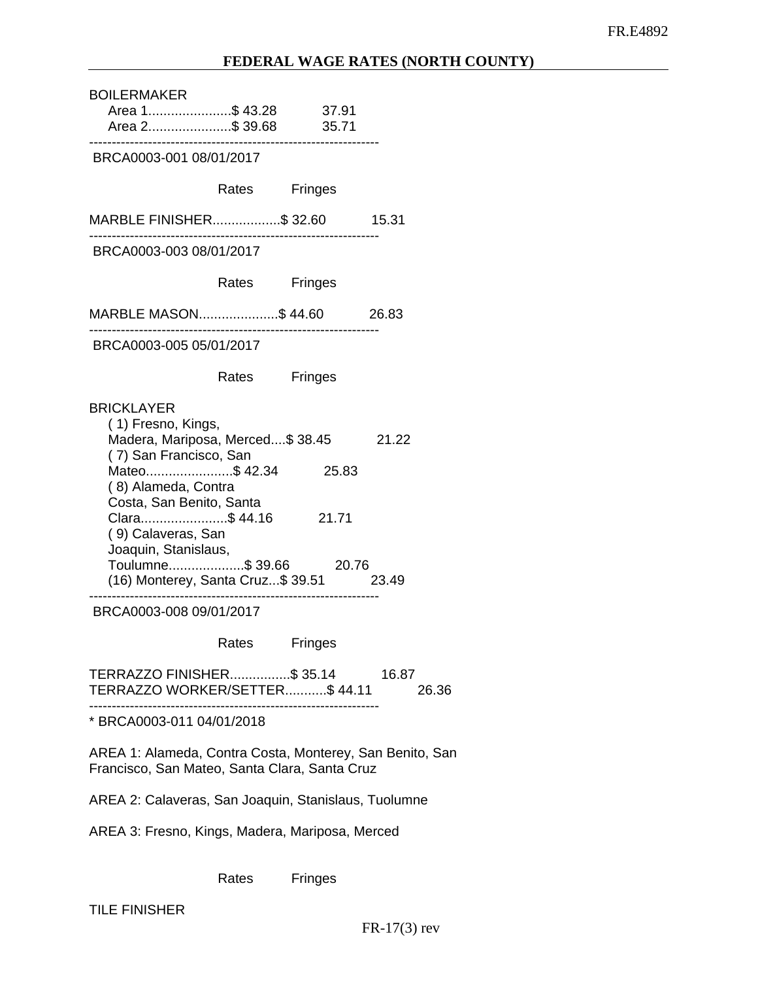### FR.E4892

# **FEDERAL WAGE RATES (NORTH COUNTY)**

| <b>BOILERMAKER</b><br>Area 1\$ 43.28<br>Area 2\$ 39.68                                                                                                                                                                                                                                                              | --------      | - 37.91<br>35.71 |                |
|---------------------------------------------------------------------------------------------------------------------------------------------------------------------------------------------------------------------------------------------------------------------------------------------------------------------|---------------|------------------|----------------|
| BRCA0003-001 08/01/2017                                                                                                                                                                                                                                                                                             |               |                  |                |
|                                                                                                                                                                                                                                                                                                                     | Rates Fringes |                  |                |
| MARBLE FINISHER\$ 32.60 15.31                                                                                                                                                                                                                                                                                       |               |                  |                |
| BRCA0003-003 08/01/2017                                                                                                                                                                                                                                                                                             |               |                  |                |
|                                                                                                                                                                                                                                                                                                                     | Rates Fringes |                  |                |
| MARBLE MASON\$ 44.60 26.83                                                                                                                                                                                                                                                                                          |               |                  |                |
| BRCA0003-005 05/01/2017                                                                                                                                                                                                                                                                                             |               |                  |                |
|                                                                                                                                                                                                                                                                                                                     | Rates Fringes |                  |                |
| <b>BRICKLAYER</b><br>(1) Fresno, Kings,<br>Madera, Mariposa, Merced\$ 38.45<br>(7) San Francisco, San<br>Mateo\$ 42.34 25.83<br>(8) Alameda, Contra<br>Costa, San Benito, Santa<br>Clara\$ 44.16<br>(9) Calaveras, San<br>Joaquin, Stanislaus,<br>Toulumne\$ 39.66 20.76<br>(16) Monterey, Santa Cruz\$ 39.51 23.49 |               | 21.71            | 21.22          |
| BRCA0003-008 09/01/2017                                                                                                                                                                                                                                                                                             |               |                  |                |
|                                                                                                                                                                                                                                                                                                                     | Rates Fringes |                  |                |
| TERRAZZO FINISHER\$ 35.14<br>TERRAZZO WORKER/SETTER\$44.11                                                                                                                                                                                                                                                          |               |                  | 16.87<br>26.36 |
| * BRCA0003-011 04/01/2018                                                                                                                                                                                                                                                                                           |               |                  |                |
| AREA 1: Alameda, Contra Costa, Monterey, San Benito, San<br>Francisco, San Mateo, Santa Clara, Santa Cruz                                                                                                                                                                                                           |               |                  |                |
| AREA 2: Calaveras, San Joaquin, Stanislaus, Tuolumne                                                                                                                                                                                                                                                                |               |                  |                |
| AREA 3: Fresno, Kings, Madera, Mariposa, Merced                                                                                                                                                                                                                                                                     |               |                  |                |

Rates Fringes

TILE FINISHER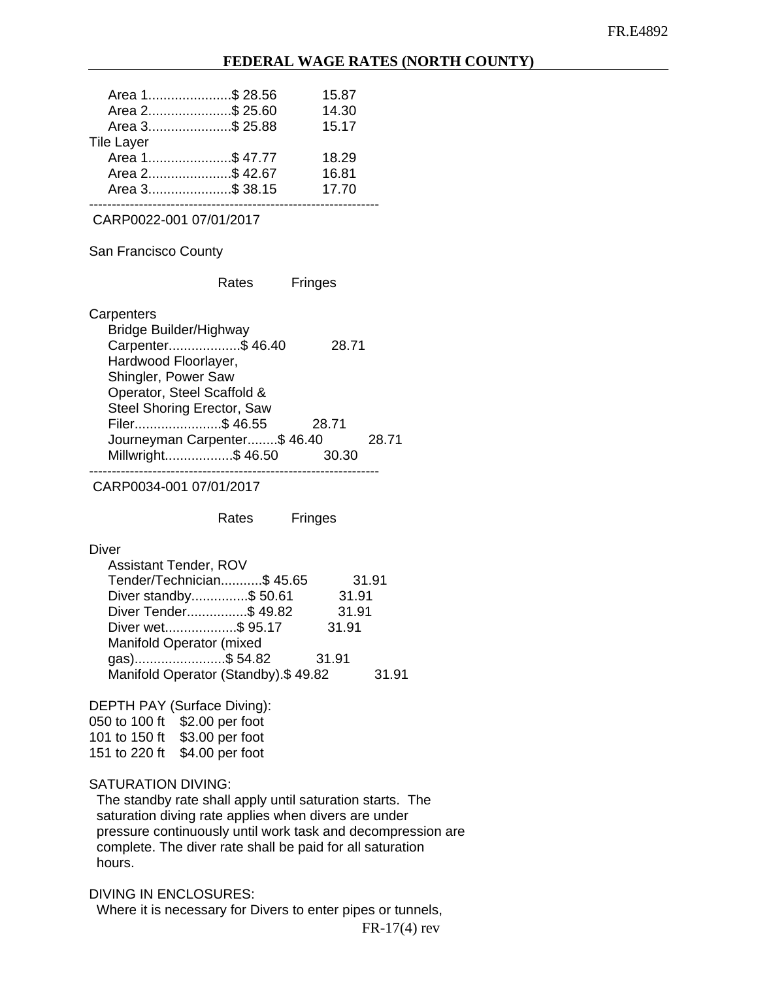#### **FEDERAL WAGE RATES (NORTH COUNTY)**

| Area 1\$ 28.56    | 15.87 |
|-------------------|-------|
| Area 2\$ 25.60    | 14.30 |
| Area 3\$ 25.88    | 15.17 |
| <b>Tile Layer</b> |       |
| Area 1\$ 47.77    | 18.29 |
| Area 2\$ 42.67    | 16.81 |
| Area 3\$ 38.15    | 17.70 |

---------------------------------------------------------------- CARP0022-001 07/01/2017

San Francisco County

Rates Fringes

**Carpenters**  Bridge Builder/Highway Carpenter...................\$ 46.40 28.71 Hardwood Floorlayer, Shingler, Power Saw Operator, Steel Scaffold & Steel Shoring Erector, Saw Filer.......................\$ 46.55 28.71 Journeyman Carpenter........\$ 46.40 28.71 Millwright.................\$ 46.50 30.30

CARP0034-001 07/01/2017

----------------------------------------------------------------

Rates Fringes

#### Diver

| <b>Assistant Tender, ROV</b>         |       |       |
|--------------------------------------|-------|-------|
| Tender/Technician\$45.65             |       | 31.91 |
| Diver standby\$ 50.61                | 31.91 |       |
| Diver Tender\$ 49.82                 | 31.91 |       |
| Diver wet\$95.17                     | 31.91 |       |
| Manifold Operator (mixed             |       |       |
| gas)\$ 54.82                         | 31.91 |       |
| Manifold Operator (Standby). \$49.82 |       | 31.91 |

#### DEPTH PAY (Surface Diving):

050 to 100 ft \$2.00 per foot

101 to 150 ft \$3.00 per foot

| 151 to 220 ft \$4.00 per foot |  |  |  |  |
|-------------------------------|--|--|--|--|
|                               |  |  |  |  |

#### SATURATION DIVING:

 The standby rate shall apply until saturation starts. The saturation diving rate applies when divers are under pressure continuously until work task and decompression are complete. The diver rate shall be paid for all saturation hours.

### DIVING IN ENCLOSURES:

Where it is necessary for Divers to enter pipes or tunnels,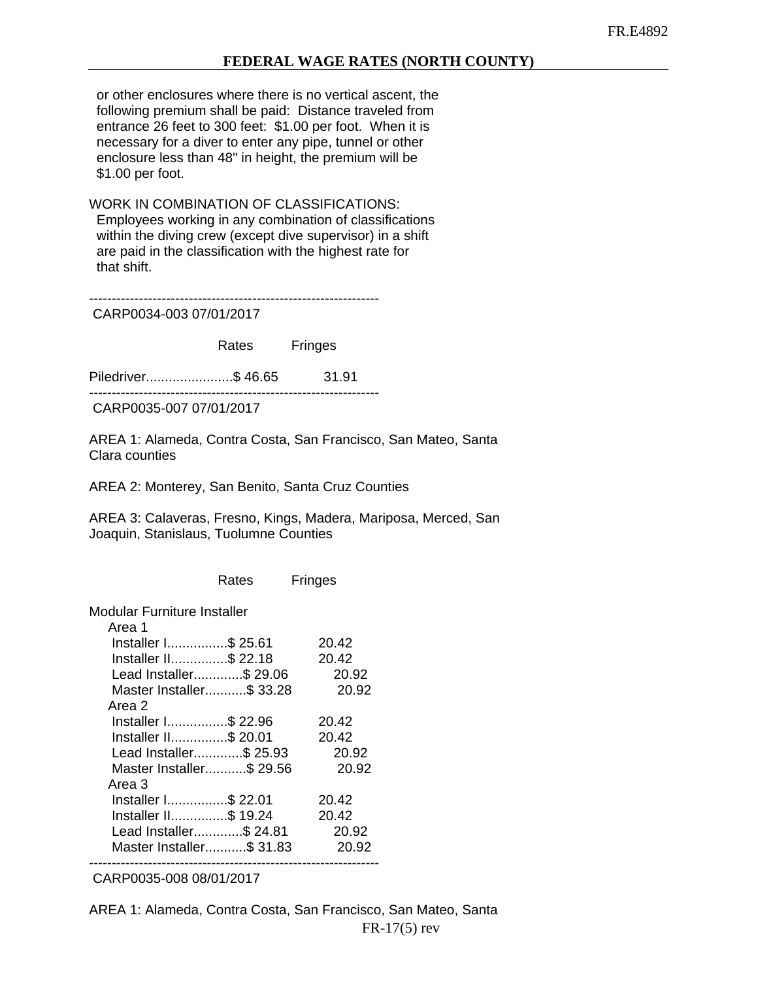or other enclosures where there is no vertical ascent, the following premium shall be paid: Distance traveled from entrance 26 feet to 300 feet: \$1.00 per foot. When it is necessary for a diver to enter any pipe, tunnel or other enclosure less than 48" in height, the premium will be \$1.00 per foot.

WORK IN COMBINATION OF CLASSIFICATIONS: Employees working in any combination of classifications within the diving crew (except dive supervisor) in a shift are paid in the classification with the highest rate for that shift.

----------------------------------------------------------------

CARP0034-003 07/01/2017

Rates Fringes

Piledriver...........................\$ 46.65 31.91

CARP0035-007 07/01/2017

----------------------------------------------------------------

AREA 1: Alameda, Contra Costa, San Francisco, San Mateo, Santa Clara counties

AREA 2: Monterey, San Benito, Santa Cruz Counties

AREA 3: Calaveras, Fresno, Kings, Madera, Mariposa, Merced, San Joaquin, Stanislaus, Tuolumne Counties

Rates Fringes

Modular Furniture Installer

| Area 1                   |       |
|--------------------------|-------|
| Installer I\$ 25.61      | 20.42 |
| Installer II\$ 22.18     | 20.42 |
| Lead Installer\$ 29.06   | 20.92 |
| Master Installer\$ 33.28 | 20.92 |
| Area 2                   |       |
| Installer I\$ 22.96      | 20.42 |
| Installer II\$ 20.01     | 20.42 |
| Lead Installer\$ 25.93   | 20.92 |
| Master Installer\$ 29.56 | 20.92 |
| Area 3                   |       |
| Installer I\$ 22.01      | 20.42 |
| Installer II\$ 19.24     | 20.42 |
| Lead Installer\$ 24.81   | 20.92 |
| Master Installer\$ 31.83 | 20.92 |
|                          |       |

CARP0035-008 08/01/2017

AREA 1: Alameda, Contra Costa, San Francisco, San Mateo, Santa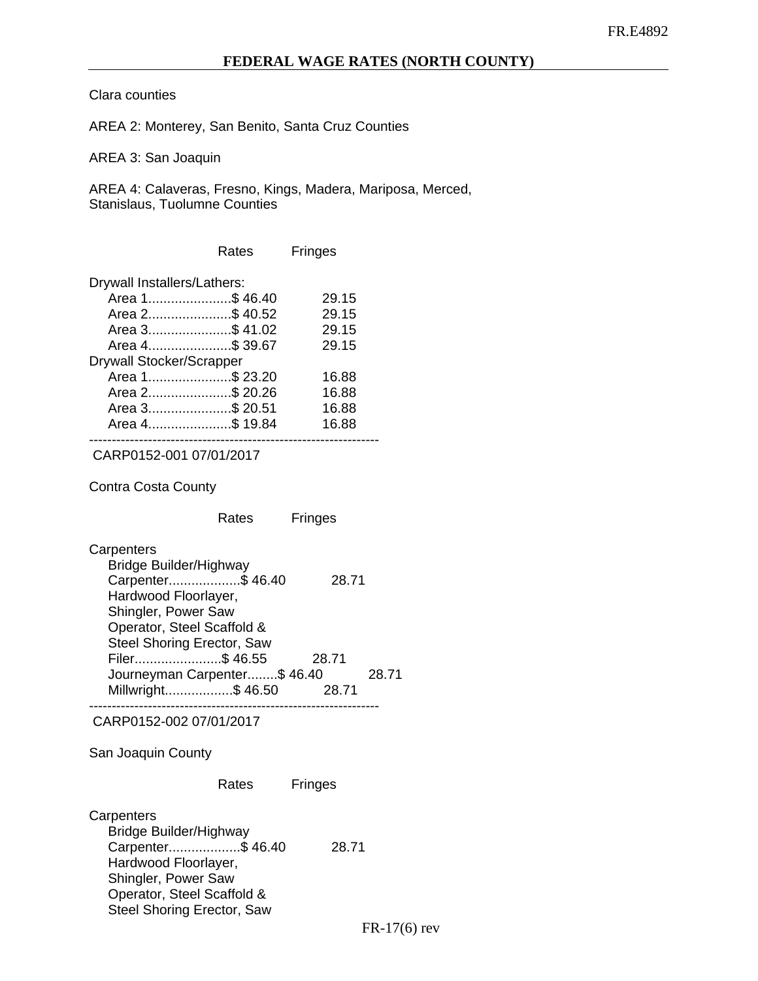#### Clara counties

AREA 2: Monterey, San Benito, Santa Cruz Counties

AREA 3: San Joaquin

AREA 4: Calaveras, Fresno, Kings, Madera, Mariposa, Merced, Stanislaus, Tuolumne Counties

|                                 | Rates | <b>Fringes</b> |
|---------------------------------|-------|----------------|
| Drywall Installers/Lathers:     |       |                |
| Area 1\$ 46.40                  |       | 29.15          |
| Area 2\$ 40.52                  |       | 29.15          |
| Area 3\$ 41.02                  |       | 29.15          |
| Area 4\$ 39.67                  |       | 29.15          |
| <b>Drywall Stocker/Scrapper</b> |       |                |
| Area 1\$ 23.20                  |       | 16.88          |
| Area 2\$ 20.26                  |       | 16.88          |
| Area 3\$ 20.51                  |       | 16.88          |
| Area 4\$ 19.84                  |       | 16.88          |

CARP0152-001 07/01/2017

Contra Costa County

Rates Fringes

| Carpenters                    |       |
|-------------------------------|-------|
| <b>Bridge Builder/Highway</b> |       |
| Carpenter\$46.40<br>28.71     |       |
| Hardwood Floorlayer,          |       |
| Shingler, Power Saw           |       |
| Operator, Steel Scaffold &    |       |
| Steel Shoring Erector, Saw    |       |
| Filer\$ 46.55<br>28.71        |       |
| Journeyman Carpenter\$46.40   | 28.71 |
| Millwright\$ 46.50<br>28.71   |       |

----------------------------------------------------------------

CARP0152-002 07/01/2017

San Joaquin County

Rates Fringes

**Carpenters**  Bridge Builder/Highway Carpenter...................\$ 46.40 28.71 Hardwood Floorlayer, Shingler, Power Saw Operator, Steel Scaffold & Steel Shoring Erector, Saw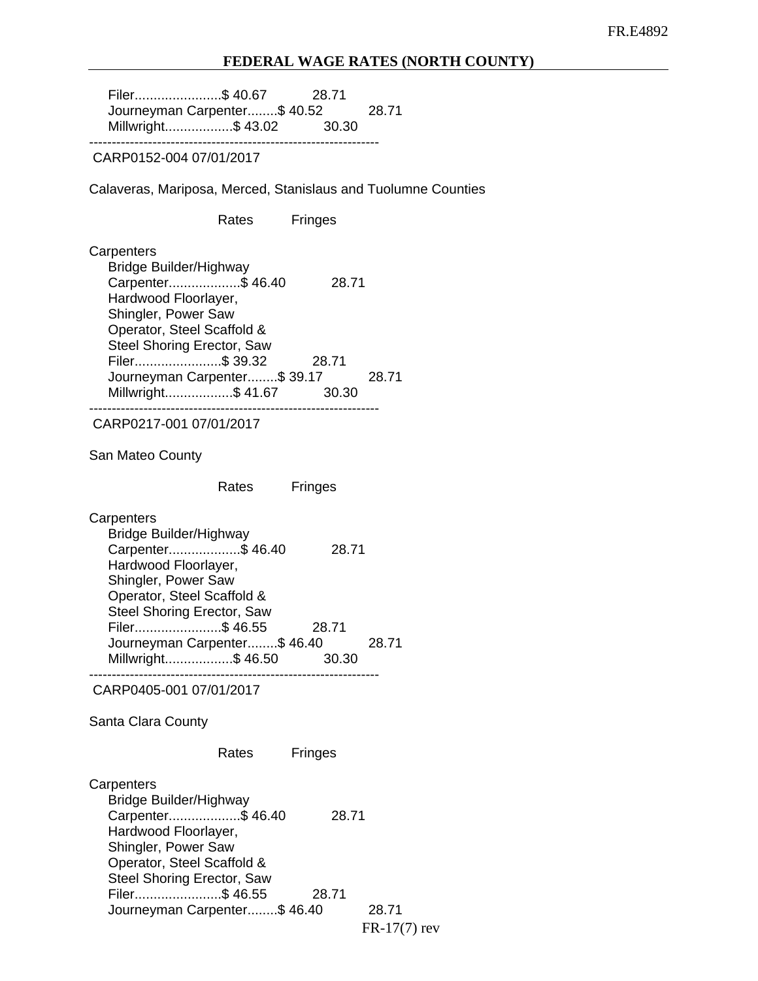#### **FEDERAL WAGE RATES (NORTH COUNTY)**

 Filer.......................\$ 40.67 28.71 Journeyman Carpenter........\$ 40.52 28.71 Millwright.................\$ 43.02 30.30 ----------------------------------------------------------------

CARP0152-004 07/01/2017

Calaveras, Mariposa, Merced, Stanislaus and Tuolumne Counties

Rates Fringes

**Carpenters**  Bridge Builder/Highway Carpenter...................\$ 46.40 28.71 Hardwood Floorlayer, Shingler, Power Saw Operator, Steel Scaffold & Steel Shoring Erector, Saw Filer.......................\$ 39.32 28.71 Journeyman Carpenter........\$ 39.17 28.71 Millwright.................\$ 41.67 30.30 ----------------------------------------------------------------

CARP0217-001 07/01/2017

San Mateo County

Rates Fringes

**Carpenters**  Bridge Builder/Highway Carpenter...................\$ 46.40 28.71 Hardwood Floorlayer, Shingler, Power Saw Operator, Steel Scaffold & Steel Shoring Erector, Saw Filer.......................\$ 46.55 28.71 Journeyman Carpenter........\$ 46.40 28.71 Millwright.................\$ 46.50 30.30 ----------------------------------------------------------------

CARP0405-001 07/01/2017

Santa Clara County

Rates Fringes

FR-17(7) rev **Carpenters**  Bridge Builder/Highway Carpenter...................\$ 46.40 28.71 Hardwood Floorlayer, Shingler, Power Saw Operator, Steel Scaffold & Steel Shoring Erector, Saw Filer.......................\$ 46.55 28.71 Journeyman Carpenter........\$ 46.40 28.71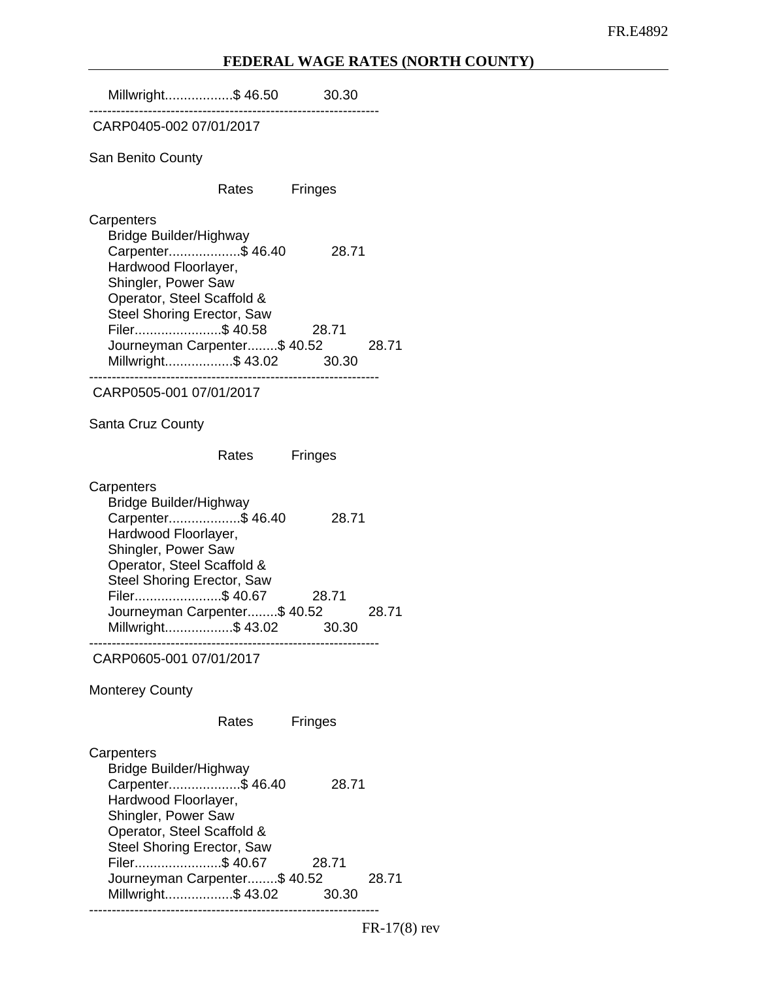#### **FEDERAL WAGE RATES (NORTH COUNTY)**

Millwright.................\$ 46.50 30.30 ----------------------------------------------------------------

CARP0405-002 07/01/2017

San Benito County

Rates Fringes

**Carpenters** 

 Bridge Builder/Highway Carpenter...................\$ 46.40 28.71 Hardwood Floorlayer, Shingler, Power Saw Operator, Steel Scaffold & Steel Shoring Erector, Saw Filer.......................\$ 40.58 28.71 Journeyman Carpenter........\$ 40.52 28.71 Millwright..................\$ 43.02 30.30 ----------------------------------------------------------------

CARP0505-001 07/01/2017

Santa Cruz County

Rates Fringes

**Carpenters**  Bridge Builder/Highway Carpenter...................\$ 46.40 28.71 Hardwood Floorlayer, Shingler, Power Saw Operator, Steel Scaffold & Steel Shoring Erector, Saw Filer.......................\$ 40.67 28.71 Journeyman Carpenter........\$ 40.52 28.71 Millwright.................\$ 43.02 30.30 ----------------------------------------------------------------

CARP0605-001 07/01/2017

Monterey County

Rates Fringes

**Carpenters**  Bridge Builder/Highway Carpenter...................\$ 46.40 28.71 Hardwood Floorlayer, Shingler, Power Saw Operator, Steel Scaffold & Steel Shoring Erector, Saw Filer.......................\$ 40.67 28.71 Journeyman Carpenter........\$ 40.52 28.71 Millwright.................\$ 43.02 30.30 ----------------------------------------------------------------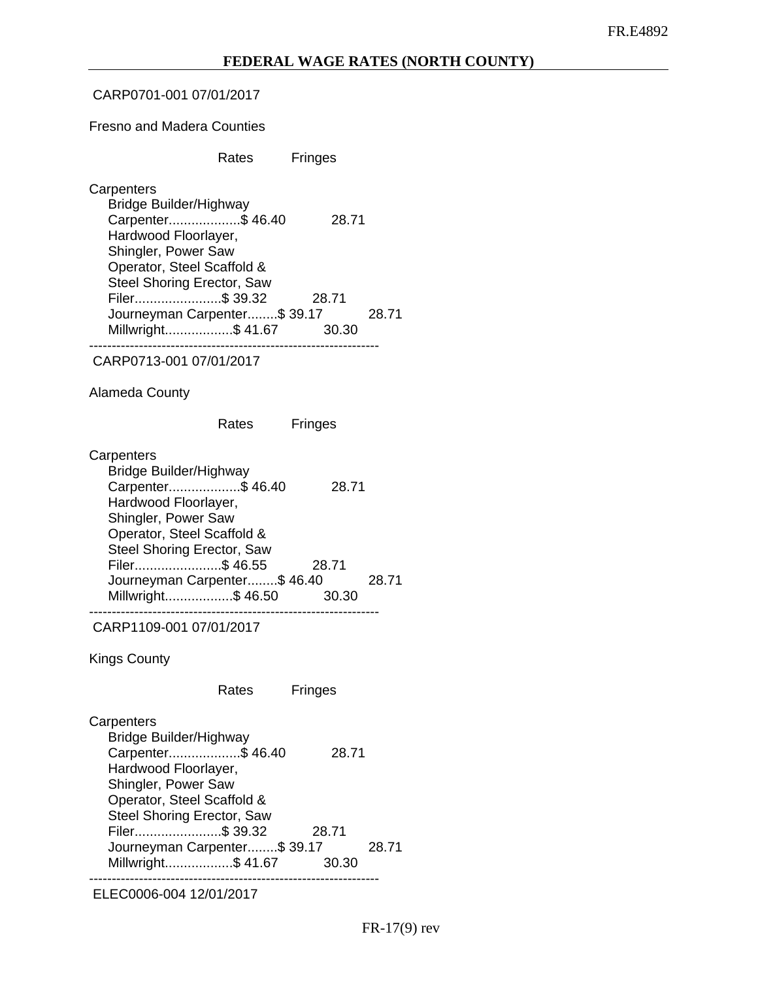CARP0701-001 07/01/2017

Fresno and Madera Counties

Rates Fringes

**Carpenters** 

 Bridge Builder/Highway Carpenter...................\$ 46.40 28.71 Hardwood Floorlayer, Shingler, Power Saw Operator, Steel Scaffold & Steel Shoring Erector, Saw Filer.......................\$ 39.32 28.71 Journeyman Carpenter........\$ 39.17 28.71 Millwright.................\$ 41.67 30.30 ----------------------------------------------------------------

CARP0713-001 07/01/2017

Alameda County

Rates Fringes

**Carpenters**  Bridge Builder/Highway Carpenter...................\$ 46.40 28.71 Hardwood Floorlayer, Shingler, Power Saw Operator, Steel Scaffold & Steel Shoring Erector, Saw Filer.......................\$ 46.55 28.71 Journeyman Carpenter........\$ 46.40 28.71 Millwright.................\$ 46.50 30.30 ----------------------------------------------------------------

CARP1109-001 07/01/2017

Kings County

Rates Fringes

**Carpenters**  Bridge Builder/Highway Carpenter...................\$ 46.40 28.71 Hardwood Floorlayer, Shingler, Power Saw Operator, Steel Scaffold & Steel Shoring Erector, Saw Filer.......................\$ 39.32 28.71 Journeyman Carpenter........\$ 39.17 28.71 Millwright..................\$ 41.67 30.30 ----------------------------------------------------------------

ELEC0006-004 12/01/2017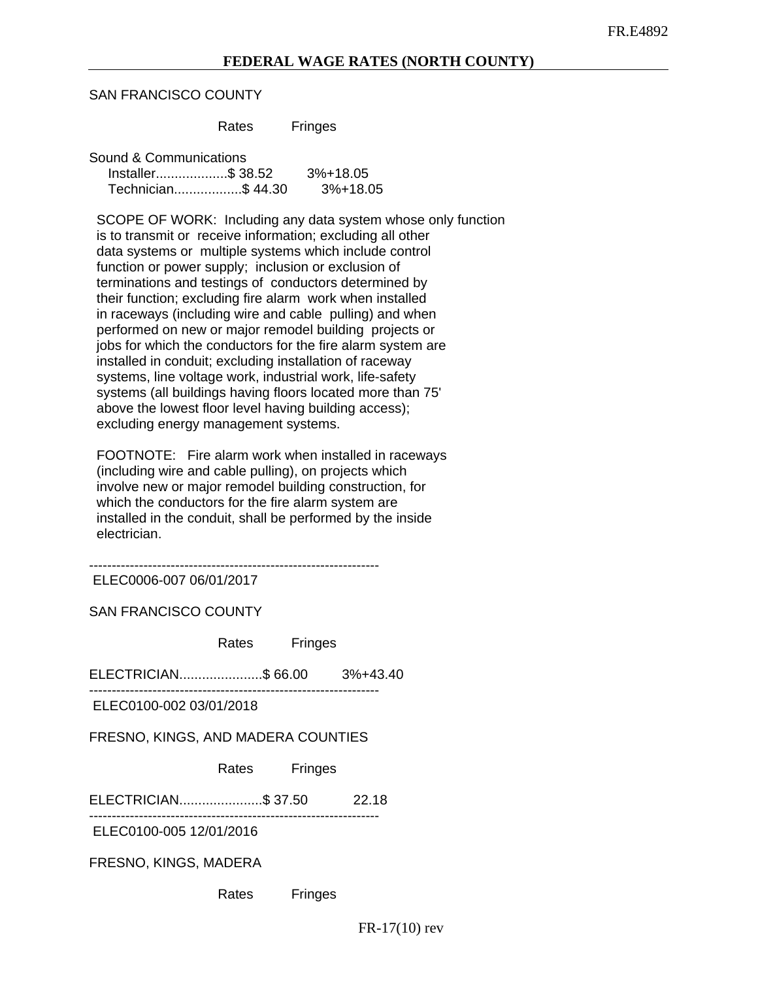#### SAN FRANCISCO COUNTY

Rates Fringes

Sound & Communications

 Installer...................\$ 38.52 3%+18.05 Technician..................\$ 44.30 3%+18.05

 SCOPE OF WORK: Including any data system whose only function is to transmit or receive information; excluding all other data systems or multiple systems which include control function or power supply; inclusion or exclusion of terminations and testings of conductors determined by their function; excluding fire alarm work when installed in raceways (including wire and cable pulling) and when performed on new or major remodel building projects or jobs for which the conductors for the fire alarm system are installed in conduit; excluding installation of raceway systems, line voltage work, industrial work, life-safety systems (all buildings having floors located more than 75' above the lowest floor level having building access); excluding energy management systems.

 FOOTNOTE: Fire alarm work when installed in raceways (including wire and cable pulling), on projects which involve new or major remodel building construction, for which the conductors for the fire alarm system are installed in the conduit, shall be performed by the inside electrician.

----------------------------------------------------------------

ELEC0006-007 06/01/2017

SAN FRANCISCO COUNTY

Rates Fringes

ELECTRICIAN......................\$ 66.00 3%+43.40 ----------------------------------------------------------------

ELEC0100-002 03/01/2018

FRESNO, KINGS, AND MADERA COUNTIES

Rates Fringes

ELECTRICIAN......................\$ 37.50 22.18

----------------------------------------------------------------

ELEC0100-005 12/01/2016

FRESNO, KINGS, MADERA

Rates Fringes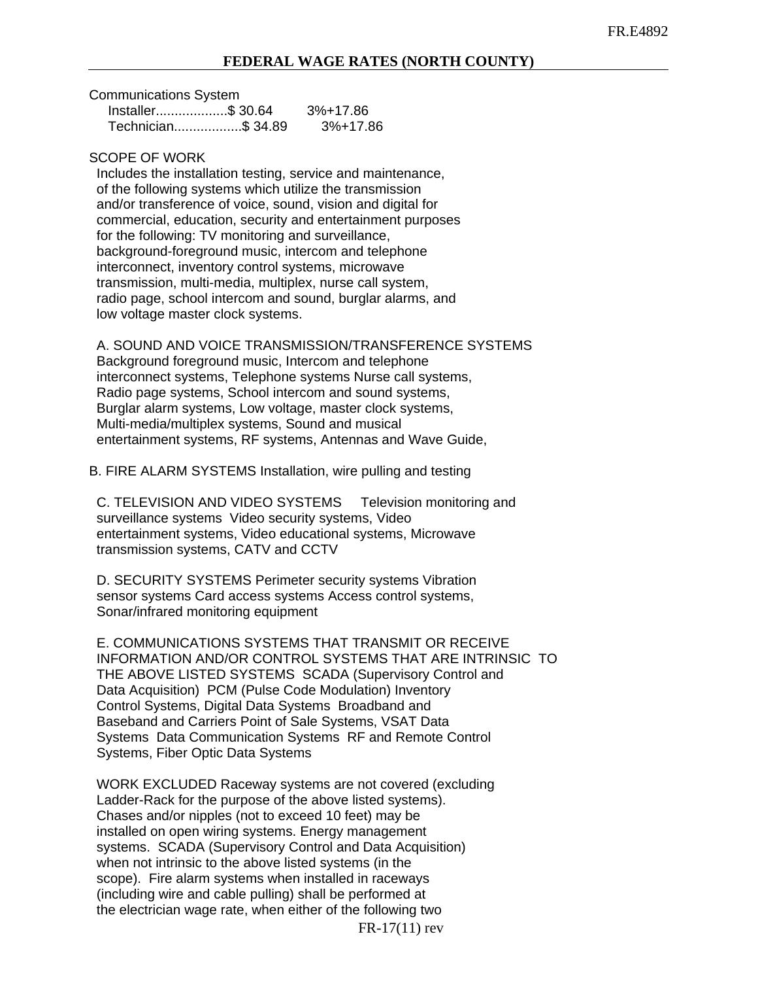Communications System

| Installer\$ 30.64  | 3%+17.86 |
|--------------------|----------|
| Technician\$ 34.89 | 3%+17.86 |

#### SCOPE OF WORK

 Includes the installation testing, service and maintenance, of the following systems which utilize the transmission and/or transference of voice, sound, vision and digital for commercial, education, security and entertainment purposes for the following: TV monitoring and surveillance, background-foreground music, intercom and telephone interconnect, inventory control systems, microwave transmission, multi-media, multiplex, nurse call system, radio page, school intercom and sound, burglar alarms, and low voltage master clock systems.

 A. SOUND AND VOICE TRANSMISSION/TRANSFERENCE SYSTEMS Background foreground music, Intercom and telephone interconnect systems, Telephone systems Nurse call systems, Radio page systems, School intercom and sound systems, Burglar alarm systems, Low voltage, master clock systems, Multi-media/multiplex systems, Sound and musical entertainment systems, RF systems, Antennas and Wave Guide,

B. FIRE ALARM SYSTEMS Installation, wire pulling and testing

 C. TELEVISION AND VIDEO SYSTEMS Television monitoring and surveillance systems Video security systems, Video entertainment systems, Video educational systems, Microwave transmission systems, CATV and CCTV

 D. SECURITY SYSTEMS Perimeter security systems Vibration sensor systems Card access systems Access control systems, Sonar/infrared monitoring equipment

 E. COMMUNICATIONS SYSTEMS THAT TRANSMIT OR RECEIVE INFORMATION AND/OR CONTROL SYSTEMS THAT ARE INTRINSIC TO THE ABOVE LISTED SYSTEMS SCADA (Supervisory Control and Data Acquisition) PCM (Pulse Code Modulation) Inventory Control Systems, Digital Data Systems Broadband and Baseband and Carriers Point of Sale Systems, VSAT Data Systems Data Communication Systems RF and Remote Control Systems, Fiber Optic Data Systems

 WORK EXCLUDED Raceway systems are not covered (excluding Ladder-Rack for the purpose of the above listed systems). Chases and/or nipples (not to exceed 10 feet) may be installed on open wiring systems. Energy management systems. SCADA (Supervisory Control and Data Acquisition) when not intrinsic to the above listed systems (in the scope). Fire alarm systems when installed in raceways (including wire and cable pulling) shall be performed at the electrician wage rate, when either of the following two

FR-17(11) rev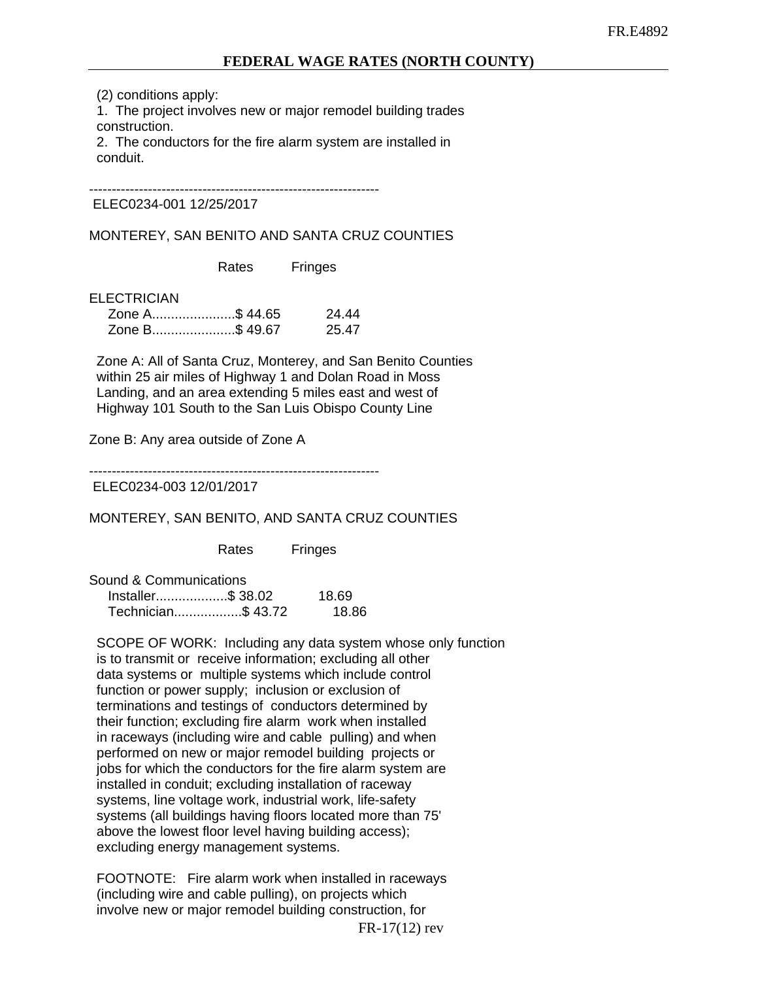(2) conditions apply:

 1. The project involves new or major remodel building trades construction.

 2. The conductors for the fire alarm system are installed in conduit.

----------------------------------------------------------------

ELEC0234-001 12/25/2017

MONTEREY, SAN BENITO AND SANTA CRUZ COUNTIES

Rates Fringes

ELECTRICIAN

| Zone A\$ 44.65 | 24.44 |
|----------------|-------|
| Zone B\$ 49.67 | 25.47 |

 Zone A: All of Santa Cruz, Monterey, and San Benito Counties within 25 air miles of Highway 1 and Dolan Road in Moss Landing, and an area extending 5 miles east and west of Highway 101 South to the San Luis Obispo County Line

Zone B: Any area outside of Zone A

---------------------------------------------------------------- ELEC0234-003 12/01/2017

MONTEREY, SAN BENITO, AND SANTA CRUZ COUNTIES

Rates Fringes

Sound & Communications

| Installer\$ 38.02 |                    | 18.69 |
|-------------------|--------------------|-------|
|                   | Technician\$ 43.72 | 18.86 |

 SCOPE OF WORK: Including any data system whose only function is to transmit or receive information; excluding all other data systems or multiple systems which include control function or power supply; inclusion or exclusion of terminations and testings of conductors determined by their function; excluding fire alarm work when installed in raceways (including wire and cable pulling) and when performed on new or major remodel building projects or jobs for which the conductors for the fire alarm system are installed in conduit; excluding installation of raceway systems, line voltage work, industrial work, life-safety systems (all buildings having floors located more than 75' above the lowest floor level having building access); excluding energy management systems.

 FOOTNOTE: Fire alarm work when installed in raceways (including wire and cable pulling), on projects which involve new or major remodel building construction, for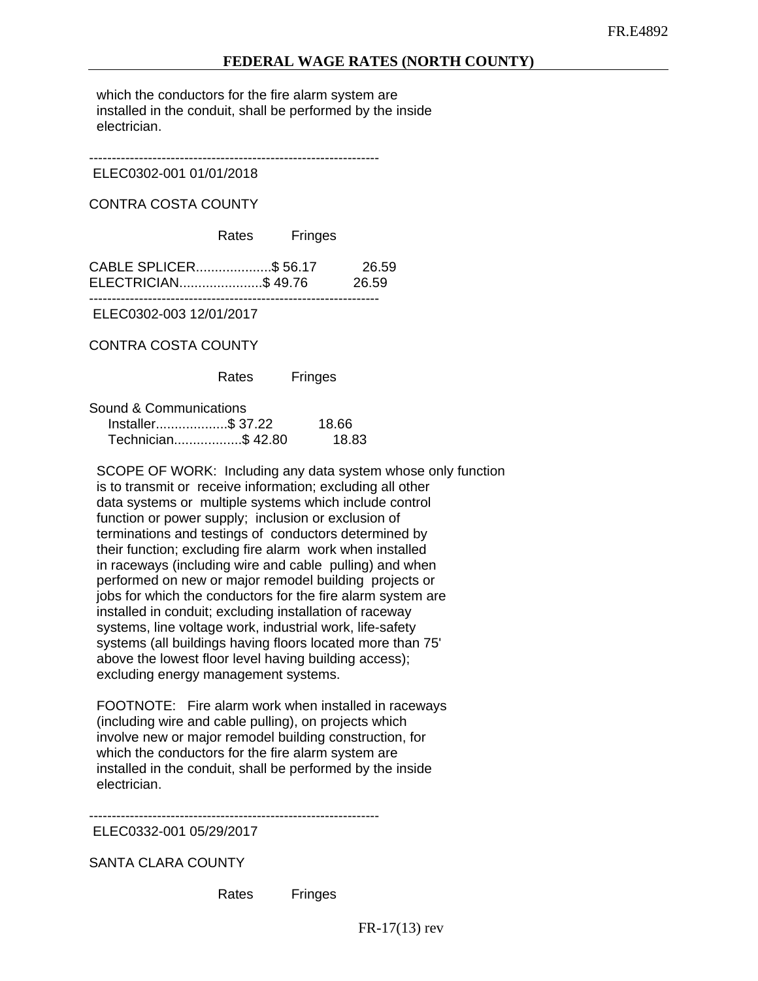which the conductors for the fire alarm system are installed in the conduit, shall be performed by the inside electrician.

----------------------------------------------------------------

ELEC0302-001 01/01/2018

CONTRA COSTA COUNTY

Rates Fringes

| CABLE SPLICER\$ 56.17 | 26.59 |
|-----------------------|-------|
| ELECTRICIAN\$ 49.76   | 26.59 |
|                       |       |

ELEC0302-003 12/01/2017

CONTRA COSTA COUNTY

Rates Fringes

Sound & Communications

| Installer\$ 37.22 | 18.66 |
|-------------------|-------|
| Technician\$42.80 | 18.83 |

 SCOPE OF WORK: Including any data system whose only function is to transmit or receive information; excluding all other data systems or multiple systems which include control function or power supply; inclusion or exclusion of terminations and testings of conductors determined by their function; excluding fire alarm work when installed in raceways (including wire and cable pulling) and when performed on new or major remodel building projects or jobs for which the conductors for the fire alarm system are installed in conduit; excluding installation of raceway systems, line voltage work, industrial work, life-safety systems (all buildings having floors located more than 75' above the lowest floor level having building access); excluding energy management systems.

 FOOTNOTE: Fire alarm work when installed in raceways (including wire and cable pulling), on projects which involve new or major remodel building construction, for which the conductors for the fire alarm system are installed in the conduit, shall be performed by the inside electrician.

----------------------------------------------------------------

ELEC0332-001 05/29/2017

SANTA CLARA COUNTY

Rates Fringes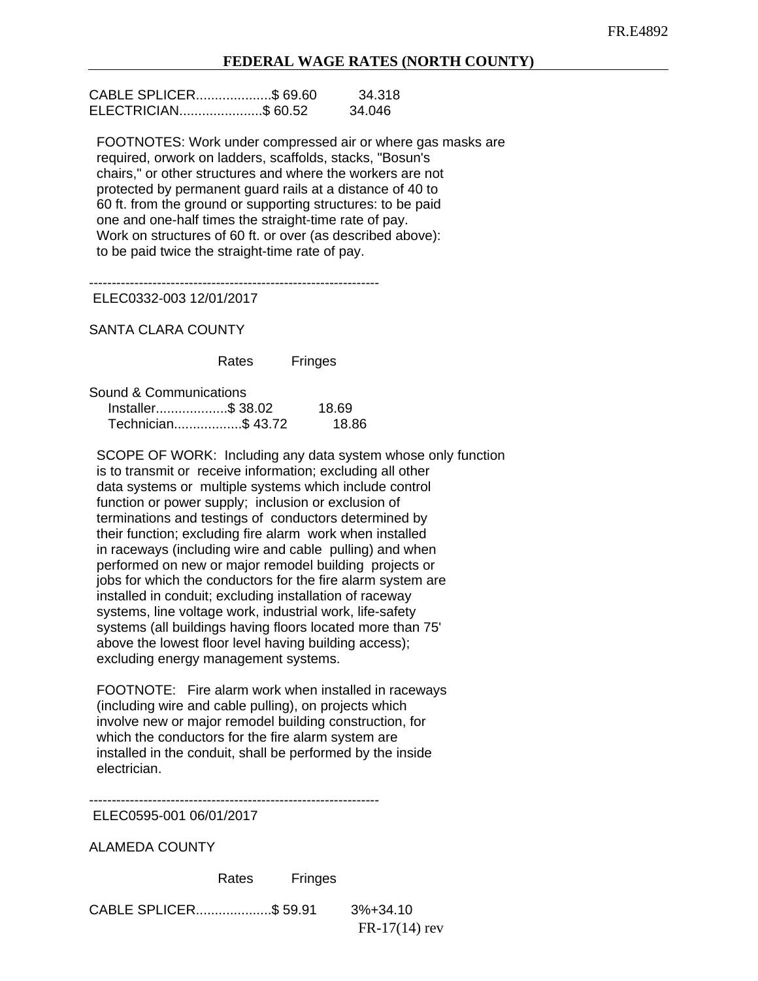| CABLE SPLICER\$ 69.60 | 34.318 |
|-----------------------|--------|
| ELECTRICIAN\$ 60.52   | 34.046 |

 FOOTNOTES: Work under compressed air or where gas masks are required, orwork on ladders, scaffolds, stacks, "Bosun's chairs," or other structures and where the workers are not protected by permanent guard rails at a distance of 40 to 60 ft. from the ground or supporting structures: to be paid one and one-half times the straight-time rate of pay. Work on structures of 60 ft. or over (as described above): to be paid twice the straight-time rate of pay.

----------------------------------------------------------------

ELEC0332-003 12/01/2017

SANTA CLARA COUNTY

Rates Fringes

| Sound & Communications |       |
|------------------------|-------|
| Installer\$ 38.02      | 18.69 |
| Technician\$ 43.72     | 18.86 |

 SCOPE OF WORK: Including any data system whose only function is to transmit or receive information; excluding all other data systems or multiple systems which include control function or power supply; inclusion or exclusion of terminations and testings of conductors determined by their function; excluding fire alarm work when installed in raceways (including wire and cable pulling) and when performed on new or major remodel building projects or jobs for which the conductors for the fire alarm system are installed in conduit; excluding installation of raceway systems, line voltage work, industrial work, life-safety systems (all buildings having floors located more than 75' above the lowest floor level having building access); excluding energy management systems.

 FOOTNOTE: Fire alarm work when installed in raceways (including wire and cable pulling), on projects which involve new or major remodel building construction, for which the conductors for the fire alarm system are installed in the conduit, shall be performed by the inside electrician.

#### ---------------------------------------------------------------- ELEC0595-001 06/01/2017

ALAMEDA COUNTY

Rates Fringes

CABLE SPLICER....................\$ 59.91 3%+34.10

FR-17(14) rev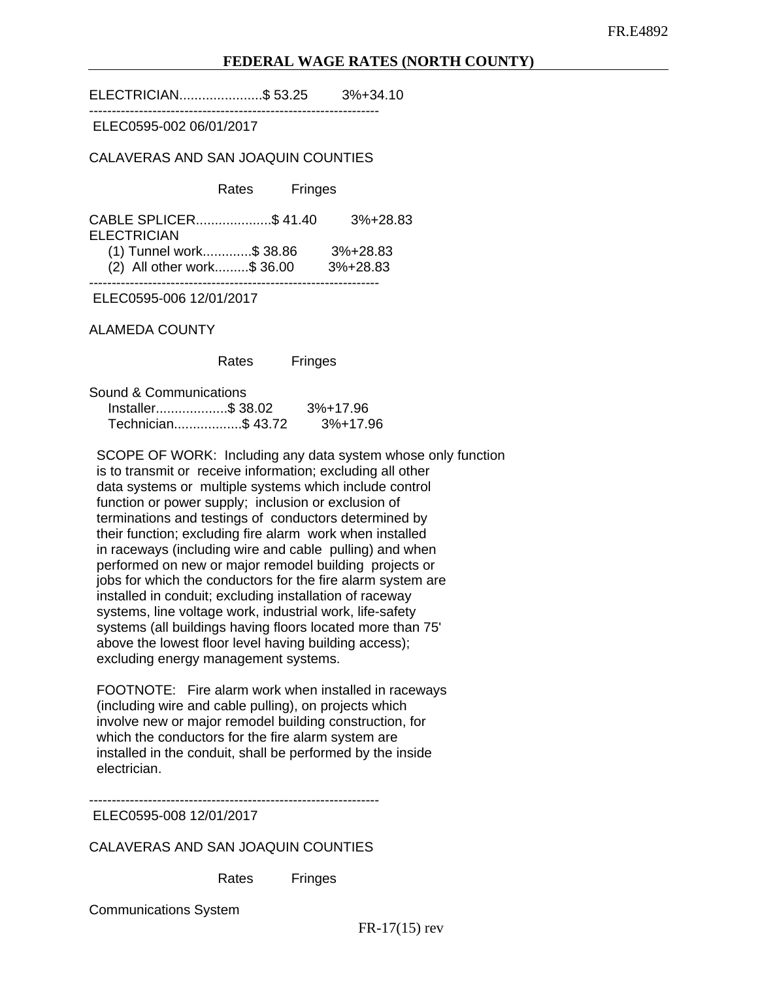ELECTRICIAN......................\$ 53.25 3%+34.10

#### ELEC0595-002 06/01/2017

#### CALAVERAS AND SAN JOAQUIN COUNTIES

----------------------------------------------------------------

Rates Fringes

CABLE SPLICER....................\$ 41.40 3%+28.83 **ELECTRICIAN**  (1) Tunnel work.............\$ 38.86 3%+28.83 (2) All other work.........\$ 36.00 3%+28.83 ----------------------------------------------------------------

ELEC0595-006 12/01/2017

ALAMEDA COUNTY

Rates Fringes

| Sound & Communications |          |
|------------------------|----------|
| Installer\$ 38.02      | 3%+17.96 |
| Technician\$ 43.72     | 3%+17.96 |

 SCOPE OF WORK: Including any data system whose only function is to transmit or receive information; excluding all other data systems or multiple systems which include control function or power supply; inclusion or exclusion of terminations and testings of conductors determined by their function; excluding fire alarm work when installed in raceways (including wire and cable pulling) and when performed on new or major remodel building projects or jobs for which the conductors for the fire alarm system are installed in conduit; excluding installation of raceway systems, line voltage work, industrial work, life-safety systems (all buildings having floors located more than 75' above the lowest floor level having building access); excluding energy management systems.

 FOOTNOTE: Fire alarm work when installed in raceways (including wire and cable pulling), on projects which involve new or major remodel building construction, for which the conductors for the fire alarm system are installed in the conduit, shall be performed by the inside electrician.

----------------------------------------------------------------

ELEC0595-008 12/01/2017

CALAVERAS AND SAN JOAQUIN COUNTIES

Rates Fringes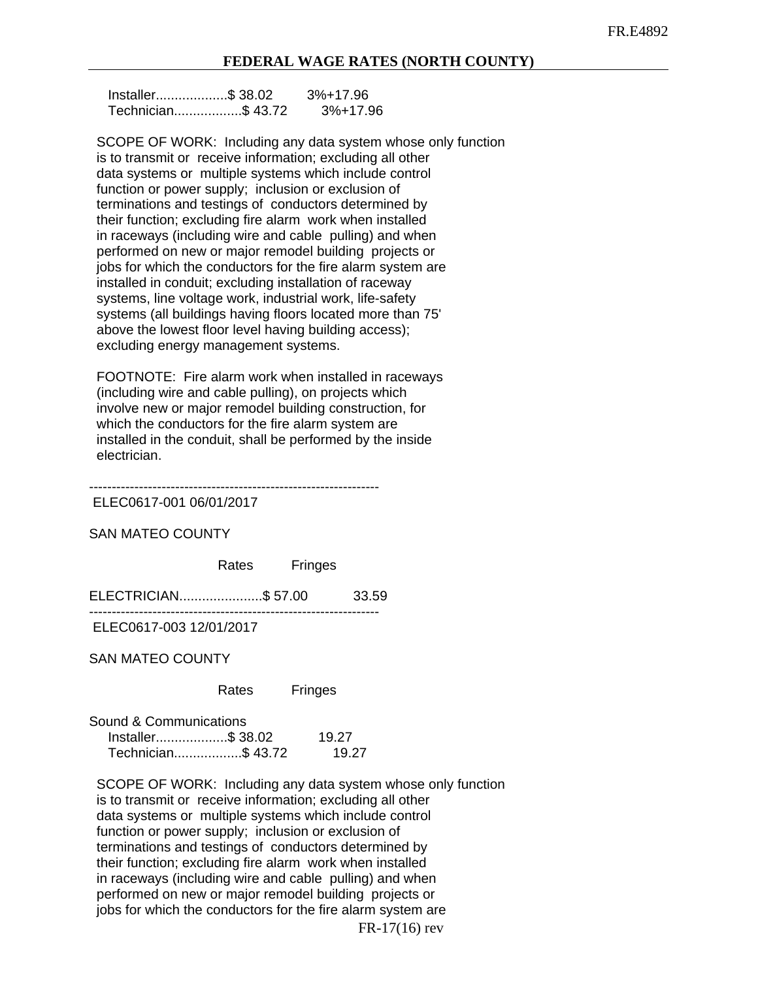| Installer\$ 38.02  | 3%+17.96 |
|--------------------|----------|
| Technician\$ 43.72 | 3%+17.96 |

 SCOPE OF WORK: Including any data system whose only function is to transmit or receive information; excluding all other data systems or multiple systems which include control function or power supply; inclusion or exclusion of terminations and testings of conductors determined by their function; excluding fire alarm work when installed in raceways (including wire and cable pulling) and when performed on new or major remodel building projects or jobs for which the conductors for the fire alarm system are installed in conduit; excluding installation of raceway systems, line voltage work, industrial work, life-safety systems (all buildings having floors located more than 75' above the lowest floor level having building access); excluding energy management systems.

 FOOTNOTE: Fire alarm work when installed in raceways (including wire and cable pulling), on projects which involve new or major remodel building construction, for which the conductors for the fire alarm system are installed in the conduit, shall be performed by the inside electrician.

----------------------------------------------------------------

ELEC0617-001 06/01/2017

SAN MATEO COUNTY

Rates Fringes

ELECTRICIAN......................\$ 57.00 33.59

----------------------------------------------------------------

ELEC0617-003 12/01/2017

SAN MATEO COUNTY

Rates Fringes

Sound & Communications

| Installer\$ 38.02  | 19.27 |
|--------------------|-------|
| Technician\$ 43.72 | 19.27 |

 SCOPE OF WORK: Including any data system whose only function is to transmit or receive information; excluding all other data systems or multiple systems which include control function or power supply; inclusion or exclusion of terminations and testings of conductors determined by their function; excluding fire alarm work when installed in raceways (including wire and cable pulling) and when performed on new or major remodel building projects or jobs for which the conductors for the fire alarm system are

FR-17(16) rev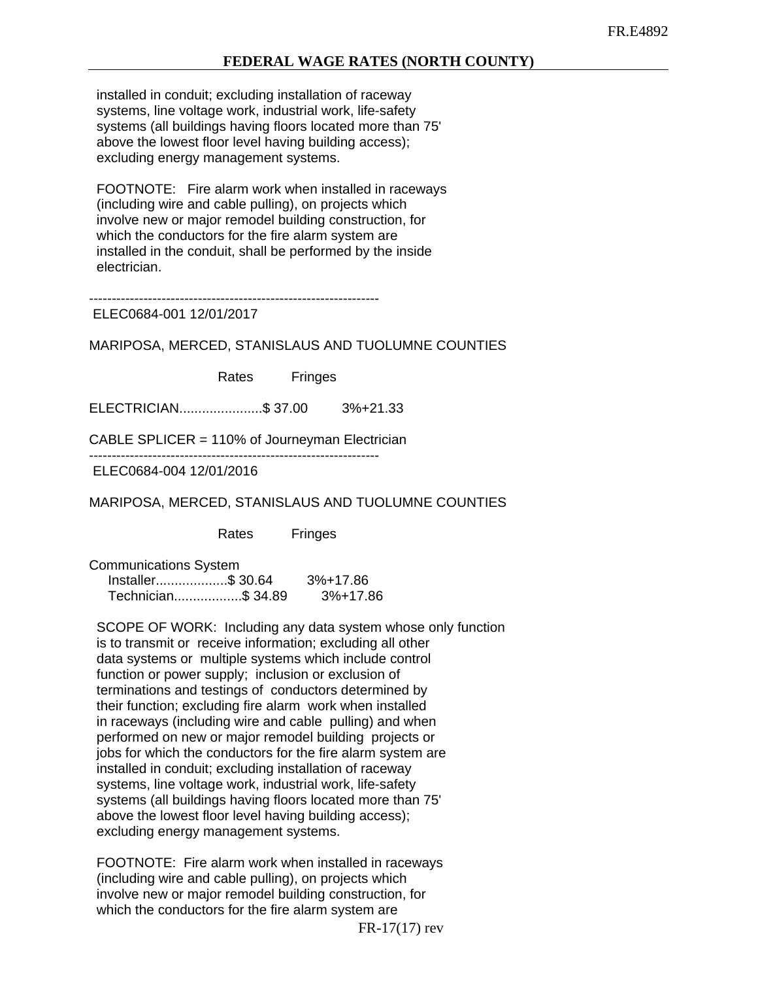installed in conduit; excluding installation of raceway systems, line voltage work, industrial work, life-safety systems (all buildings having floors located more than 75' above the lowest floor level having building access); excluding energy management systems.

 FOOTNOTE: Fire alarm work when installed in raceways (including wire and cable pulling), on projects which involve new or major remodel building construction, for which the conductors for the fire alarm system are installed in the conduit, shall be performed by the inside electrician.

----------------------------------------------------------------

ELEC0684-001 12/01/2017

MARIPOSA, MERCED, STANISLAUS AND TUOLUMNE COUNTIES

Rates Fringes

ELECTRICIAN......................\$ 37.00 3%+21.33

CABLE SPLICER = 110% of Journeyman Electrician

----------------------------------------------------------------

ELEC0684-004 12/01/2016

MARIPOSA, MERCED, STANISLAUS AND TUOLUMNE COUNTIES

Rates Fringes

Communications System

 Installer...................\$ 30.64 3%+17.86 Technician..................\$ 34.89 3%+17.86

 SCOPE OF WORK: Including any data system whose only function is to transmit or receive information; excluding all other data systems or multiple systems which include control function or power supply; inclusion or exclusion of terminations and testings of conductors determined by their function; excluding fire alarm work when installed in raceways (including wire and cable pulling) and when performed on new or major remodel building projects or jobs for which the conductors for the fire alarm system are installed in conduit; excluding installation of raceway systems, line voltage work, industrial work, life-safety systems (all buildings having floors located more than 75' above the lowest floor level having building access); excluding energy management systems.

 FOOTNOTE: Fire alarm work when installed in raceways (including wire and cable pulling), on projects which involve new or major remodel building construction, for which the conductors for the fire alarm system are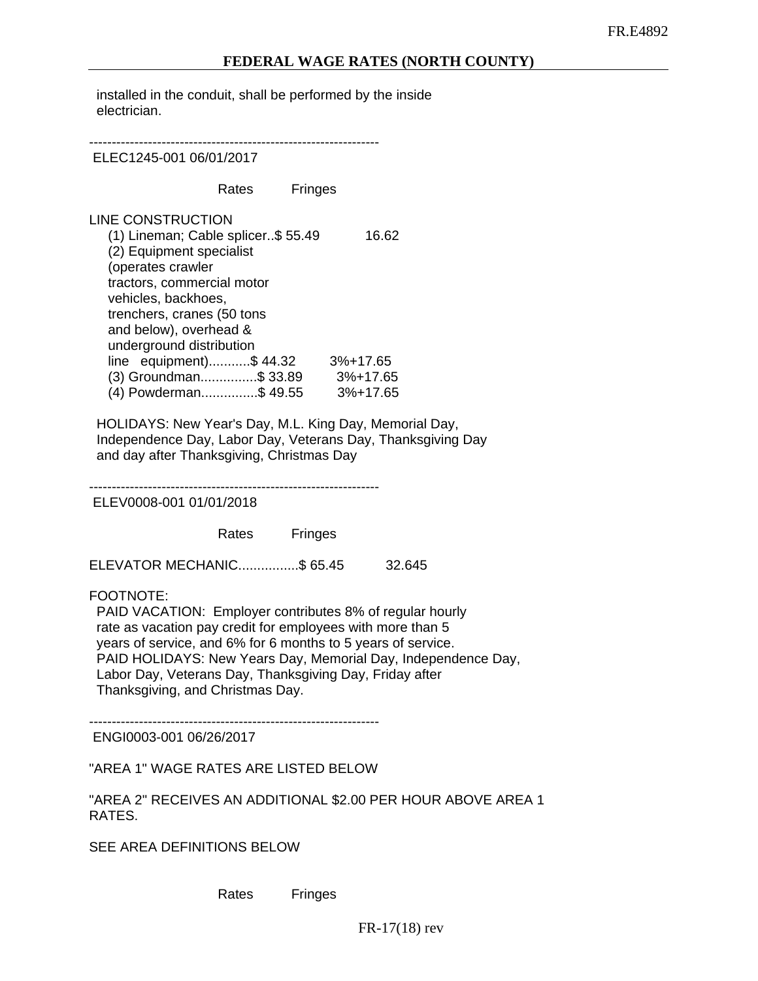installed in the conduit, shall be performed by the inside electrician.

---------------------------------------------------------------- ELEC1245-001 06/01/2017

Rates Fringes

LINE CONSTRUCTION (1) Lineman; Cable splicer..\$ 55.49 16.62 (2) Equipment specialist (operates crawler tractors, commercial motor vehicles, backhoes, trenchers, cranes (50 tons and below), overhead & underground distribution line equipment)...........\$ 44.32 3%+17.65 (3) Groundman...............\$ 33.89 3%+17.65 (4) Powderman...............\$ 49.55 3%+17.65

 HOLIDAYS: New Year's Day, M.L. King Day, Memorial Day, Independence Day, Labor Day, Veterans Day, Thanksgiving Day and day after Thanksgiving, Christmas Day

----------------------------------------------------------------

ELEV0008-001 01/01/2018

Rates Fringes

ELEVATOR MECHANIC................\$ 65.45 32.645

FOOTNOTE:

 PAID VACATION: Employer contributes 8% of regular hourly rate as vacation pay credit for employees with more than 5 years of service, and 6% for 6 months to 5 years of service. PAID HOLIDAYS: New Years Day, Memorial Day, Independence Day, Labor Day, Veterans Day, Thanksgiving Day, Friday after Thanksgiving, and Christmas Day.

----------------------------------------------------------------

ENGI0003-001 06/26/2017

"AREA 1" WAGE RATES ARE LISTED BELOW

"AREA 2" RECEIVES AN ADDITIONAL \$2.00 PER HOUR ABOVE AREA 1 RATES.

SEE AREA DEFINITIONS BELOW

Rates Fringes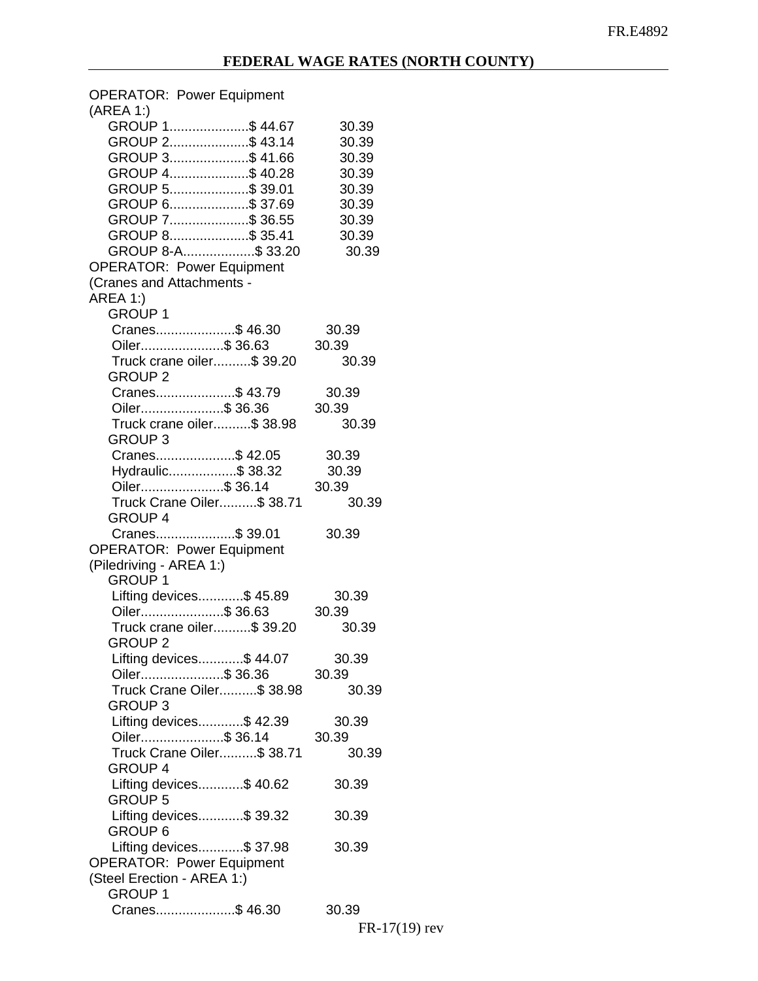| <b>OPERATOR: Power Equipment</b>         |                |
|------------------------------------------|----------------|
| (AREA 1)                                 |                |
| GROUP 1\$ 44.67                          | 30.39          |
| GROUP 2\$43.14                           | 30.39          |
| GROUP 3\$41.66                           | 30.39          |
| GROUP 4\$40.28                           | 30.39          |
| GROUP 5\$ 39.01                          | 30.39          |
| GROUP 6\$ 37.69                          | 30.39          |
| GROUP 7\$ 36.55                          | 30.39          |
| GROUP 8\$ 35.41                          | 30.39          |
| GROUP 8-A\$ 33.20                        | 30.39          |
| <b>OPERATOR: Power Equipment</b>         |                |
| (Cranes and Attachments -                |                |
| AREA 1:)                                 |                |
| <b>GROUP 1</b>                           |                |
| Cranes\$ 46.30                           | 30.39          |
| Oiler\$ 36.63                            | 30.39          |
| Truck crane oiler\$ 39.20                | 30.39          |
| <b>GROUP 2</b>                           |                |
| Cranes\$ 43.79                           | 30.39          |
| Oiler\$ 36.36                            | 30.39          |
| Truck crane oiler\$ 38.98                | 30.39          |
| <b>GROUP 3</b>                           |                |
| Cranes\$ 42.05                           | 30.39          |
| Hydraulic\$ 38.32                        | 30.39          |
| Oiler\$ 36.14                            | 30.39          |
| Truck Crane Oiler\$ 38.71                | 30.39          |
| <b>GROUP 4</b>                           |                |
| Cranes\$ 39.01                           | 30.39          |
| <b>OPERATOR: Power Equipment</b>         |                |
| (Piledriving - AREA 1:)                  |                |
| <b>GROUP 1</b>                           |                |
| Lifting devices\$ 45.89                  | 30.39          |
| Oiler\$ 36.63                            | 30.39          |
| Truck crane oiler\$ 39.20                | 30.39          |
| <b>GROUP 2</b>                           |                |
| Lifting devices\$ 44.07<br>Oiler\$ 36.36 | 30.39<br>30.39 |
| Truck Crane Oiler\$ 38.98                | 30.39          |
| <b>GROUP3</b>                            |                |
| Lifting devices\$ 42.39                  | 30.39          |
| Oiler\$ 36.14                            | 30.39          |
| Truck Crane Oiler\$ 38.71                | 30.39          |
| <b>GROUP 4</b>                           |                |
| Lifting devices\$ 40.62                  | 30.39          |
| <b>GROUP 5</b>                           |                |
| Lifting devices\$ 39.32                  | 30.39          |
| <b>GROUP 6</b>                           |                |
| Lifting devices\$ 37.98                  | 30.39          |
| <b>OPERATOR: Power Equipment</b>         |                |
| (Steel Erection - AREA 1:)               |                |
| <b>GROUP1</b>                            |                |
| Cranes\$ 46.30                           | 30.39          |
|                                          |                |

FR-17(19) rev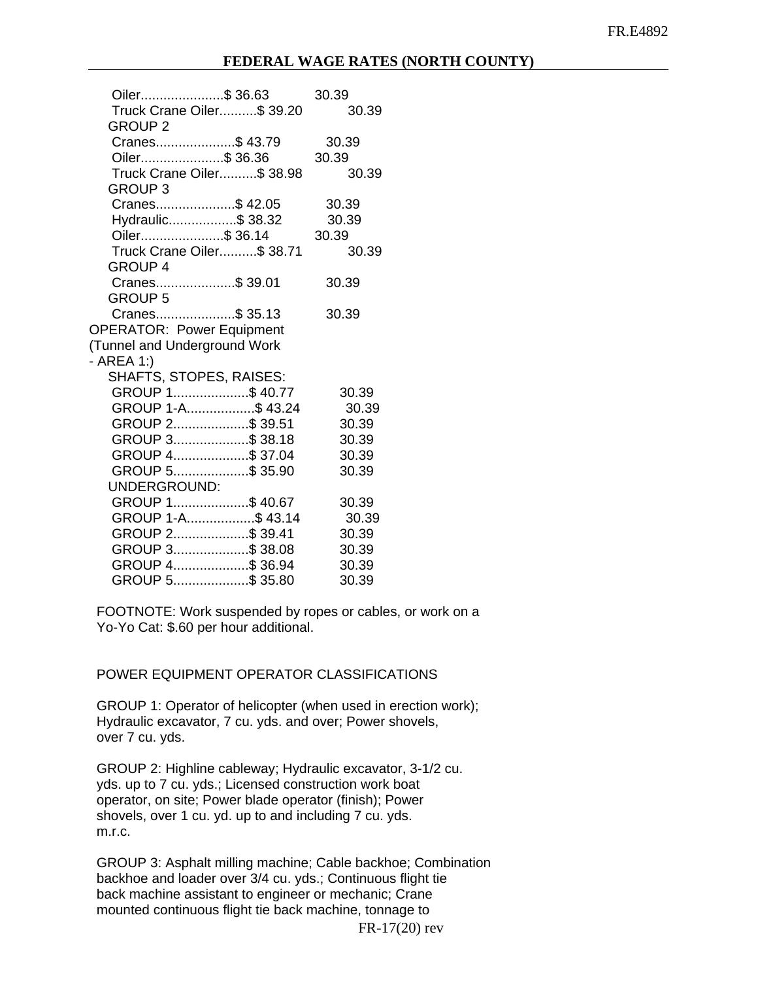| Oiler\$ 36.63                    | 30.39                                                                                                                                                                                         |
|----------------------------------|-----------------------------------------------------------------------------------------------------------------------------------------------------------------------------------------------|
| Truck Crane Oiler\$ 39.20        | 30.39                                                                                                                                                                                         |
|                                  | 30.39                                                                                                                                                                                         |
| Oiler\$ 36.36                    | 30.39                                                                                                                                                                                         |
|                                  | 30.39                                                                                                                                                                                         |
|                                  | 30.39                                                                                                                                                                                         |
|                                  | 30.39                                                                                                                                                                                         |
| Oiler\$ 36.14                    | 30.39                                                                                                                                                                                         |
| Truck Crane Oiler\$ 38.71        | 30.39                                                                                                                                                                                         |
|                                  |                                                                                                                                                                                               |
| Cranes\$ 39.01                   | 30.39                                                                                                                                                                                         |
|                                  |                                                                                                                                                                                               |
|                                  | 30.39                                                                                                                                                                                         |
| <b>OPERATOR: Power Equipment</b> |                                                                                                                                                                                               |
| (Tunnel and Underground Work     |                                                                                                                                                                                               |
|                                  |                                                                                                                                                                                               |
|                                  |                                                                                                                                                                                               |
| GROUP 1\$40.77                   | 30.39                                                                                                                                                                                         |
|                                  | 30.39                                                                                                                                                                                         |
| GROUP 2\$ 39.51                  | 30.39                                                                                                                                                                                         |
| GROUP 3\$ 38.18                  | 30.39                                                                                                                                                                                         |
|                                  | 30.39                                                                                                                                                                                         |
| GROUP 5\$ 35.90                  | 30.39                                                                                                                                                                                         |
| UNDERGROUND:                     |                                                                                                                                                                                               |
|                                  | 30.39                                                                                                                                                                                         |
| GROUP 1-A\$ 43.14                | 30.39                                                                                                                                                                                         |
| GROUP 2\$ 39.41                  | 30.39                                                                                                                                                                                         |
| GROUP 3\$ 38.08                  | 30.39                                                                                                                                                                                         |
| GROUP 4\$ 36.94                  | 30.39                                                                                                                                                                                         |
| GROUP 5\$ 35.80                  | 30.39                                                                                                                                                                                         |
|                                  | Cranes\$ 43.79<br>Truck Crane Oiler\$ 38.98<br>Cranes\$ 42.05<br>Hydraulic\$ 38.32<br>Cranes\$ 35.13<br>SHAFTS, STOPES, RAISES:<br>GROUP 1-A     \$43.24<br>GROUP 4\$ 37.04<br>GROUP 1\$40.67 |

 FOOTNOTE: Work suspended by ropes or cables, or work on a Yo-Yo Cat: \$.60 per hour additional.

POWER EQUIPMENT OPERATOR CLASSIFICATIONS

 GROUP 1: Operator of helicopter (when used in erection work); Hydraulic excavator, 7 cu. yds. and over; Power shovels, over 7 cu. yds.

 GROUP 2: Highline cableway; Hydraulic excavator, 3-1/2 cu. yds. up to 7 cu. yds.; Licensed construction work boat operator, on site; Power blade operator (finish); Power shovels, over 1 cu. yd. up to and including 7 cu. yds. m.r.c.

 GROUP 3: Asphalt milling machine; Cable backhoe; Combination backhoe and loader over 3/4 cu. yds.; Continuous flight tie back machine assistant to engineer or mechanic; Crane mounted continuous flight tie back machine, tonnage to

FR-17(20) rev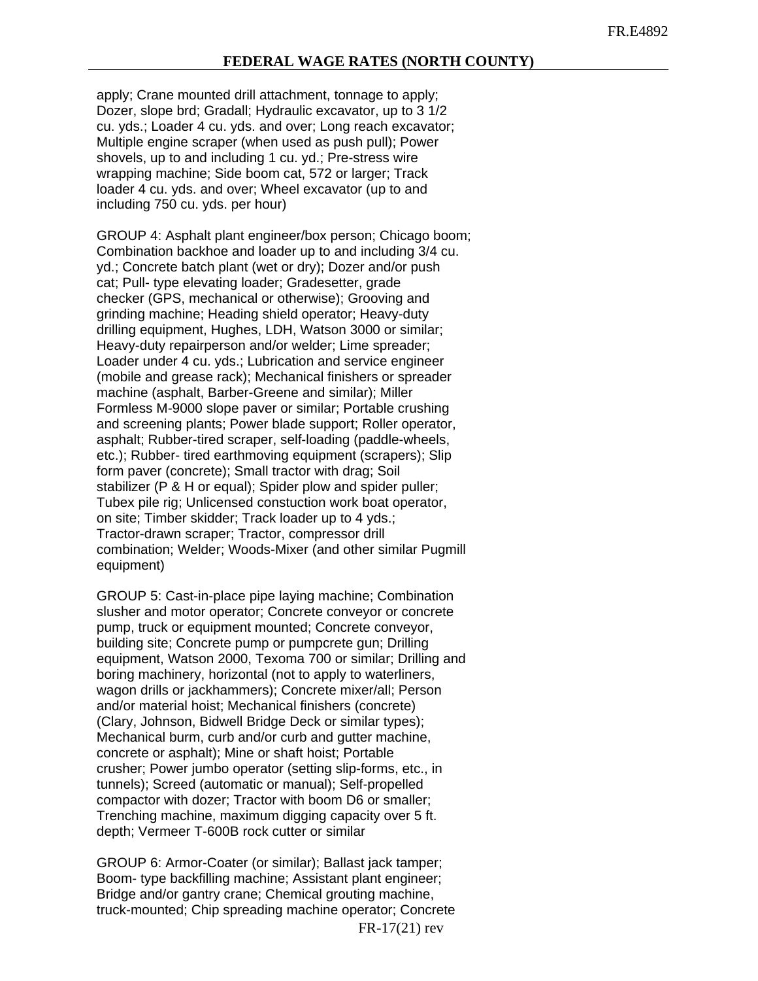apply; Crane mounted drill attachment, tonnage to apply; Dozer, slope brd; Gradall; Hydraulic excavator, up to 3 1/2 cu. yds.; Loader 4 cu. yds. and over; Long reach excavator; Multiple engine scraper (when used as push pull); Power shovels, up to and including 1 cu. yd.; Pre-stress wire wrapping machine; Side boom cat, 572 or larger; Track loader 4 cu. yds. and over; Wheel excavator (up to and including 750 cu. yds. per hour)

 GROUP 4: Asphalt plant engineer/box person; Chicago boom; Combination backhoe and loader up to and including 3/4 cu. yd.; Concrete batch plant (wet or dry); Dozer and/or push cat; Pull- type elevating loader; Gradesetter, grade checker (GPS, mechanical or otherwise); Grooving and grinding machine; Heading shield operator; Heavy-duty drilling equipment, Hughes, LDH, Watson 3000 or similar; Heavy-duty repairperson and/or welder; Lime spreader; Loader under 4 cu. yds.; Lubrication and service engineer (mobile and grease rack); Mechanical finishers or spreader machine (asphalt, Barber-Greene and similar); Miller Formless M-9000 slope paver or similar; Portable crushing and screening plants; Power blade support; Roller operator, asphalt; Rubber-tired scraper, self-loading (paddle-wheels, etc.); Rubber- tired earthmoving equipment (scrapers); Slip form paver (concrete); Small tractor with drag; Soil stabilizer (P & H or equal); Spider plow and spider puller; Tubex pile rig; Unlicensed constuction work boat operator, on site; Timber skidder; Track loader up to 4 yds.; Tractor-drawn scraper; Tractor, compressor drill combination; Welder; Woods-Mixer (and other similar Pugmill equipment)

 GROUP 5: Cast-in-place pipe laying machine; Combination slusher and motor operator; Concrete conveyor or concrete pump, truck or equipment mounted; Concrete conveyor, building site; Concrete pump or pumpcrete gun; Drilling equipment, Watson 2000, Texoma 700 or similar; Drilling and boring machinery, horizontal (not to apply to waterliners, wagon drills or jackhammers); Concrete mixer/all; Person and/or material hoist; Mechanical finishers (concrete) (Clary, Johnson, Bidwell Bridge Deck or similar types); Mechanical burm, curb and/or curb and gutter machine, concrete or asphalt); Mine or shaft hoist; Portable crusher; Power jumbo operator (setting slip-forms, etc., in tunnels); Screed (automatic or manual); Self-propelled compactor with dozer; Tractor with boom D6 or smaller; Trenching machine, maximum digging capacity over 5 ft. depth; Vermeer T-600B rock cutter or similar

 GROUP 6: Armor-Coater (or similar); Ballast jack tamper; Boom- type backfilling machine; Assistant plant engineer; Bridge and/or gantry crane; Chemical grouting machine, truck-mounted; Chip spreading machine operator; Concrete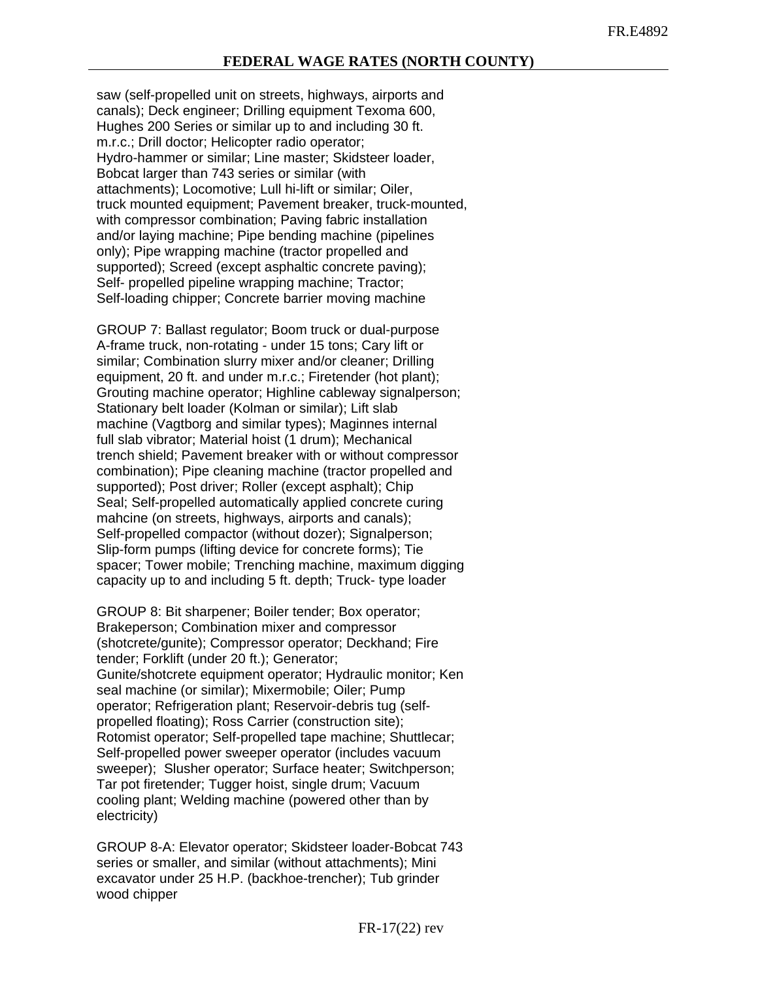saw (self-propelled unit on streets, highways, airports and canals); Deck engineer; Drilling equipment Texoma 600, Hughes 200 Series or similar up to and including 30 ft. m.r.c.; Drill doctor; Helicopter radio operator; Hydro-hammer or similar; Line master; Skidsteer loader, Bobcat larger than 743 series or similar (with attachments); Locomotive; Lull hi-lift or similar; Oiler, truck mounted equipment; Pavement breaker, truck-mounted, with compressor combination; Paving fabric installation and/or laying machine; Pipe bending machine (pipelines only); Pipe wrapping machine (tractor propelled and supported); Screed (except asphaltic concrete paving); Self- propelled pipeline wrapping machine; Tractor; Self-loading chipper; Concrete barrier moving machine

 GROUP 7: Ballast regulator; Boom truck or dual-purpose A-frame truck, non-rotating - under 15 tons; Cary lift or similar; Combination slurry mixer and/or cleaner; Drilling equipment, 20 ft. and under m.r.c.; Firetender (hot plant); Grouting machine operator; Highline cableway signalperson; Stationary belt loader (Kolman or similar); Lift slab machine (Vagtborg and similar types); Maginnes internal full slab vibrator; Material hoist (1 drum); Mechanical trench shield; Pavement breaker with or without compressor combination); Pipe cleaning machine (tractor propelled and supported); Post driver; Roller (except asphalt); Chip Seal; Self-propelled automatically applied concrete curing mahcine (on streets, highways, airports and canals); Self-propelled compactor (without dozer); Signalperson; Slip-form pumps (lifting device for concrete forms); Tie spacer; Tower mobile; Trenching machine, maximum digging capacity up to and including 5 ft. depth; Truck- type loader

 GROUP 8: Bit sharpener; Boiler tender; Box operator; Brakeperson; Combination mixer and compressor (shotcrete/gunite); Compressor operator; Deckhand; Fire tender; Forklift (under 20 ft.); Generator; Gunite/shotcrete equipment operator; Hydraulic monitor; Ken seal machine (or similar); Mixermobile; Oiler; Pump operator; Refrigeration plant; Reservoir-debris tug (self propelled floating); Ross Carrier (construction site); Rotomist operator; Self-propelled tape machine; Shuttlecar; Self-propelled power sweeper operator (includes vacuum sweeper); Slusher operator; Surface heater; Switchperson; Tar pot firetender; Tugger hoist, single drum; Vacuum cooling plant; Welding machine (powered other than by electricity)

 GROUP 8-A: Elevator operator; Skidsteer loader-Bobcat 743 series or smaller, and similar (without attachments); Mini excavator under 25 H.P. (backhoe-trencher); Tub grinder wood chipper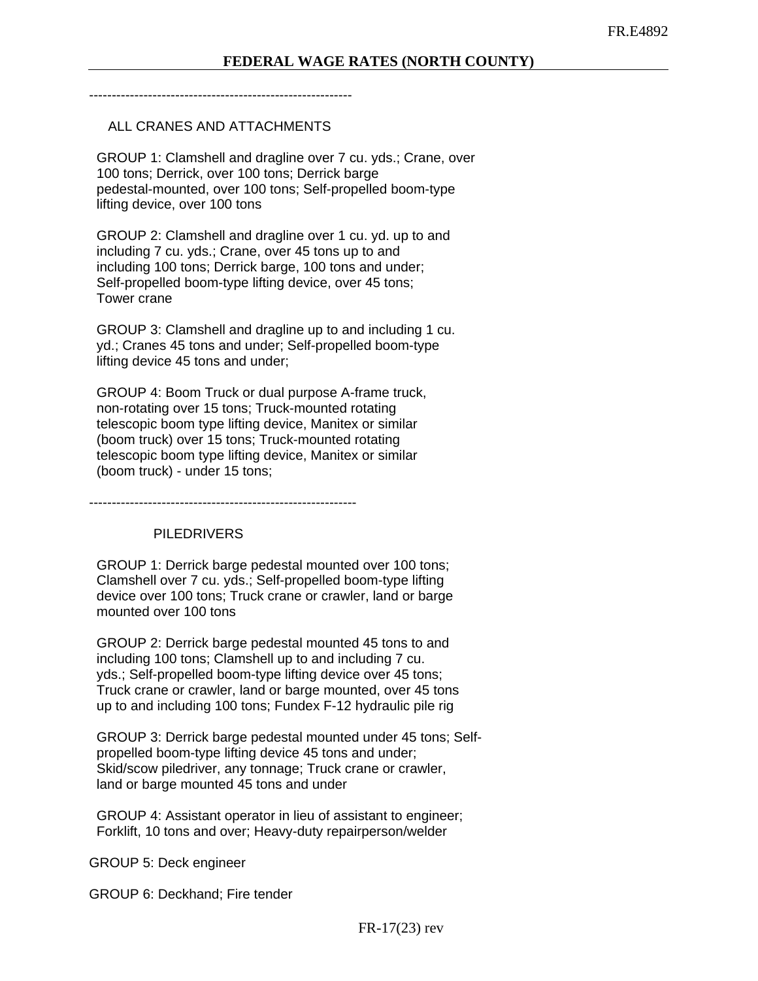----------------------------------------------------------

#### ALL CRANES AND ATTACHMENTS

 GROUP 1: Clamshell and dragline over 7 cu. yds.; Crane, over 100 tons; Derrick, over 100 tons; Derrick barge pedestal-mounted, over 100 tons; Self-propelled boom-type lifting device, over 100 tons

 GROUP 2: Clamshell and dragline over 1 cu. yd. up to and including 7 cu. yds.; Crane, over 45 tons up to and including 100 tons; Derrick barge, 100 tons and under; Self-propelled boom-type lifting device, over 45 tons; Tower crane

 GROUP 3: Clamshell and dragline up to and including 1 cu. yd.; Cranes 45 tons and under; Self-propelled boom-type lifting device 45 tons and under;

 GROUP 4: Boom Truck or dual purpose A-frame truck, non-rotating over 15 tons; Truck-mounted rotating telescopic boom type lifting device, Manitex or similar (boom truck) over 15 tons; Truck-mounted rotating telescopic boom type lifting device, Manitex or similar (boom truck) - under 15 tons;

-----------------------------------------------------------

#### **PILEDRIVERS**

 GROUP 1: Derrick barge pedestal mounted over 100 tons; Clamshell over 7 cu. yds.; Self-propelled boom-type lifting device over 100 tons; Truck crane or crawler, land or barge mounted over 100 tons

 GROUP 2: Derrick barge pedestal mounted 45 tons to and including 100 tons; Clamshell up to and including 7 cu. yds.; Self-propelled boom-type lifting device over 45 tons; Truck crane or crawler, land or barge mounted, over 45 tons up to and including 100 tons; Fundex F-12 hydraulic pile rig

 GROUP 3: Derrick barge pedestal mounted under 45 tons; Self propelled boom-type lifting device 45 tons and under; Skid/scow piledriver, any tonnage; Truck crane or crawler, land or barge mounted 45 tons and under

 GROUP 4: Assistant operator in lieu of assistant to engineer; Forklift, 10 tons and over; Heavy-duty repairperson/welder

GROUP 5: Deck engineer

GROUP 6: Deckhand; Fire tender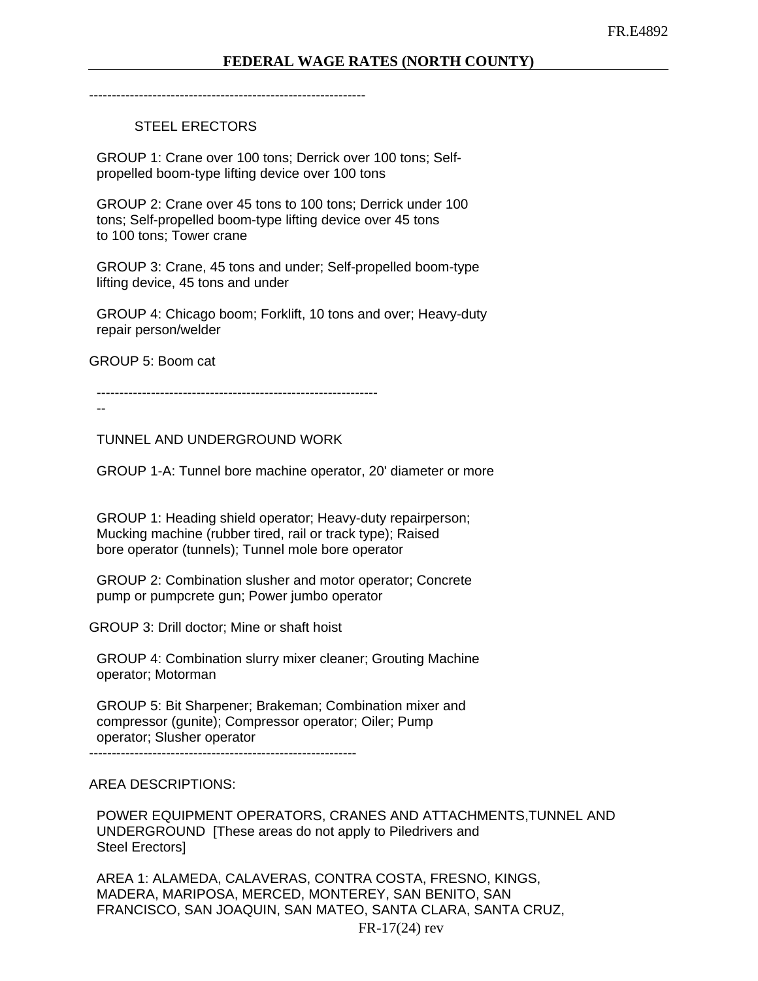-------------------------------------------------------------

#### STEEL ERECTORS

 GROUP 1: Crane over 100 tons; Derrick over 100 tons; Self propelled boom-type lifting device over 100 tons

 GROUP 2: Crane over 45 tons to 100 tons; Derrick under 100 tons; Self-propelled boom-type lifting device over 45 tons to 100 tons; Tower crane

 GROUP 3: Crane, 45 tons and under; Self-propelled boom-type lifting device, 45 tons and under

 GROUP 4: Chicago boom; Forklift, 10 tons and over; Heavy-duty repair person/welder

GROUP 5: Boom cat

--------------------------------------------------------------

--

TUNNEL AND UNDERGROUND WORK

GROUP 1-A: Tunnel bore machine operator, 20' diameter or more

 GROUP 1: Heading shield operator; Heavy-duty repairperson; Mucking machine (rubber tired, rail or track type); Raised bore operator (tunnels); Tunnel mole bore operator

 GROUP 2: Combination slusher and motor operator; Concrete pump or pumpcrete gun; Power jumbo operator

GROUP 3: Drill doctor; Mine or shaft hoist

 GROUP 4: Combination slurry mixer cleaner; Grouting Machine operator; Motorman

 GROUP 5: Bit Sharpener; Brakeman; Combination mixer and compressor (gunite); Compressor operator; Oiler; Pump operator; Slusher operator

-----------------------------------------------------------

### AREA DESCRIPTIONS:

 POWER EQUIPMENT OPERATORS, CRANES AND ATTACHMENTS,TUNNEL AND UNDERGROUND [These areas do not apply to Piledrivers and Steel Erectors]

 AREA 1: ALAMEDA, CALAVERAS, CONTRA COSTA, FRESNO, KINGS, MADERA, MARIPOSA, MERCED, MONTEREY, SAN BENITO, SAN FRANCISCO, SAN JOAQUIN, SAN MATEO, SANTA CLARA, SANTA CRUZ,

FR-17(24) rev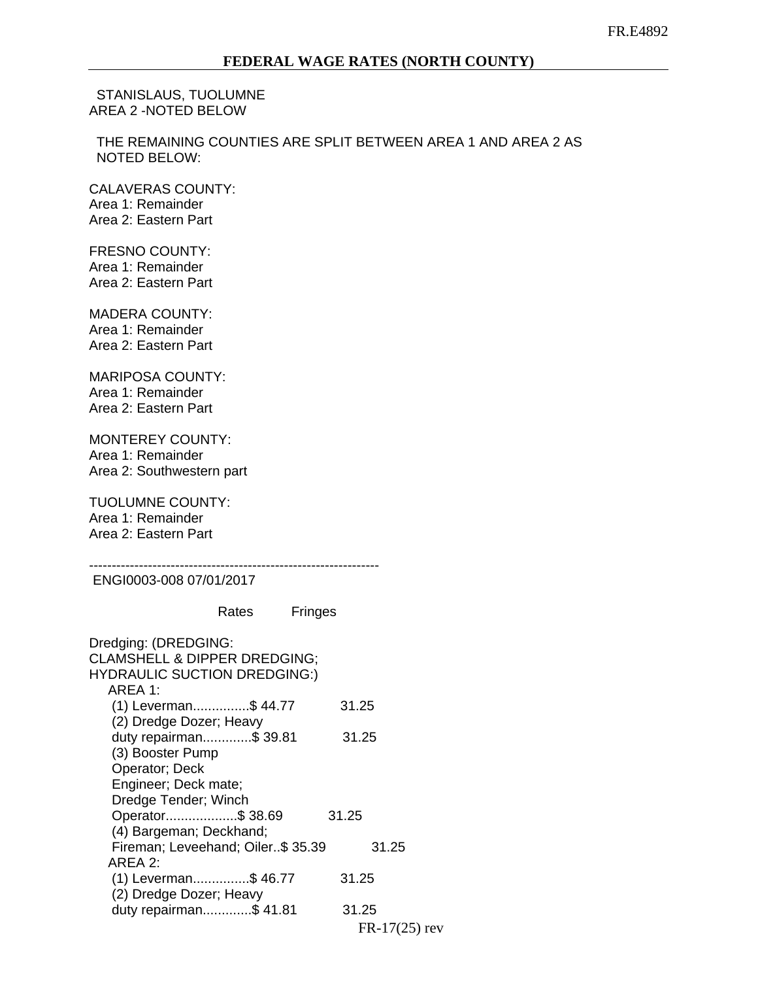STANISLAUS, TUOLUMNE AREA 2 -NOTED BELOW

 THE REMAINING COUNTIES ARE SPLIT BETWEEN AREA 1 AND AREA 2 AS NOTED BELOW:

CALAVERAS COUNTY: Area 1: Remainder Area 2: Eastern Part

FRESNO COUNTY: Area 1: Remainder Area 2: Eastern Part

MADERA COUNTY: Area 1: Remainder Area 2: Eastern Part

MARIPOSA COUNTY: Area 1: Remainder Area 2: Eastern Part

MONTEREY COUNTY: Area 1: Remainder Area 2: Southwestern part

TUOLUMNE COUNTY: Area 1: Remainder Area 2: Eastern Part

----------------------------------------------------------------

ENGI0003-008 07/01/2017

Rates Fringes

| Dredging: (DREDGING:                    |                 |
|-----------------------------------------|-----------------|
| <b>CLAMSHELL &amp; DIPPER DREDGING;</b> |                 |
| <b>HYDRAULIC SUCTION DREDGING:)</b>     |                 |
| AREA 1:                                 |                 |
| (1) Leverman\$ 44.77                    | 31.25           |
| (2) Dredge Dozer; Heavy                 |                 |
| duty repairman\$ 39.81                  | 31.25           |
| (3) Booster Pump                        |                 |
| Operator; Deck                          |                 |
| Engineer; Deck mate;                    |                 |
| Dredge Tender; Winch                    |                 |
| Operator\$ 38.69                        | 31.25           |
| (4) Bargeman; Deckhand;                 |                 |
| Fireman; Leveehand; Oiler\$ 35.39       | 31.25           |
| AREA 2:                                 |                 |
| (1) Leverman\$46.77                     | 31.25           |
| (2) Dredge Dozer; Heavy                 |                 |
| duty repairman\$ 41.81                  | 31.25           |
|                                         | $FR-17(25)$ rev |
|                                         |                 |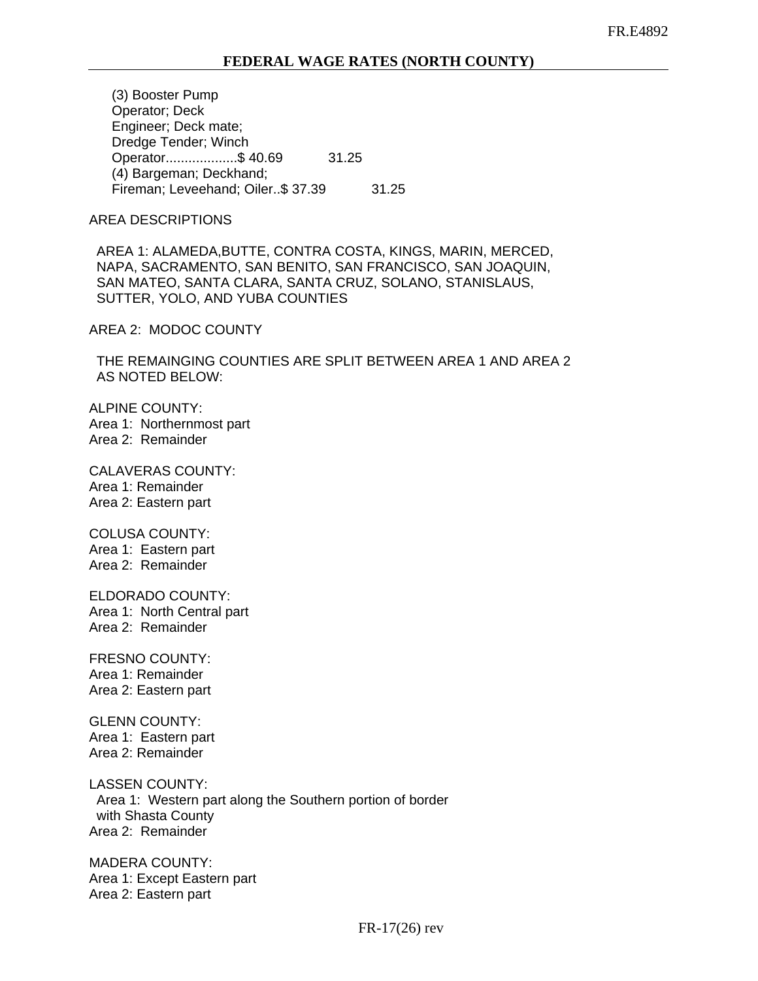(3) Booster Pump Operator; Deck Engineer; Deck mate; Dredge Tender; Winch Operator...................\$ 40.69 31.25 (4) Bargeman; Deckhand; Fireman; Leveehand; Oiler..\$ 37.39 31.25

AREA DESCRIPTIONS

 AREA 1: ALAMEDA,BUTTE, CONTRA COSTA, KINGS, MARIN, MERCED, NAPA, SACRAMENTO, SAN BENITO, SAN FRANCISCO, SAN JOAQUIN, SAN MATEO, SANTA CLARA, SANTA CRUZ, SOLANO, STANISLAUS, SUTTER, YOLO, AND YUBA COUNTIES

AREA 2: MODOC COUNTY

 THE REMAINGING COUNTIES ARE SPLIT BETWEEN AREA 1 AND AREA 2 AS NOTED BELOW:

ALPINE COUNTY: Area 1: Northernmost part Area 2: Remainder

CALAVERAS COUNTY: Area 1: Remainder Area 2: Eastern part

COLUSA COUNTY: Area 1: Eastern part Area 2: Remainder

ELDORADO COUNTY: Area 1: North Central part Area 2: Remainder

FRESNO COUNTY: Area 1: Remainder Area 2: Eastern part

GLENN COUNTY: Area 1: Eastern part Area 2: Remainder

LASSEN COUNTY: Area 1: Western part along the Southern portion of border with Shasta County Area 2: Remainder

MADERA COUNTY: Area 1: Except Eastern part Area 2: Eastern part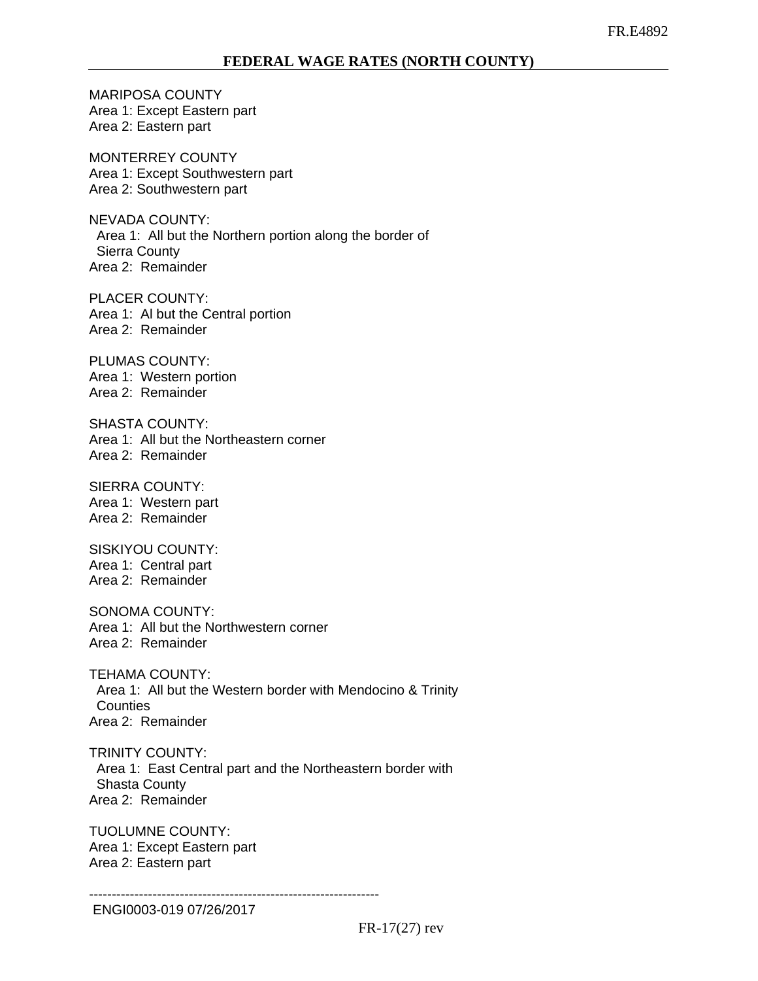MARIPOSA COUNTY Area 1: Except Eastern part Area 2: Eastern part

MONTERREY COUNTY Area 1: Except Southwestern part Area 2: Southwestern part

NEVADA COUNTY: Area 1: All but the Northern portion along the border of Sierra County Area 2: Remainder

PLACER COUNTY: Area 1: Al but the Central portion Area 2: Remainder

PLUMAS COUNTY: Area 1: Western portion Area 2: Remainder

SHASTA COUNTY: Area 1: All but the Northeastern corner Area 2: Remainder

SIERRA COUNTY: Area 1: Western part Area 2: Remainder

SISKIYOU COUNTY: Area 1: Central part Area 2: Remainder

SONOMA COUNTY: Area 1: All but the Northwestern corner Area 2: Remainder

TEHAMA COUNTY: Area 1: All but the Western border with Mendocino & Trinity **Counties** Area 2: Remainder

TRINITY COUNTY: Area 1: East Central part and the Northeastern border with Shasta County Area 2: Remainder

TUOLUMNE COUNTY: Area 1: Except Eastern part Area 2: Eastern part

----------------------------------------------------------------

ENGI0003-019 07/26/2017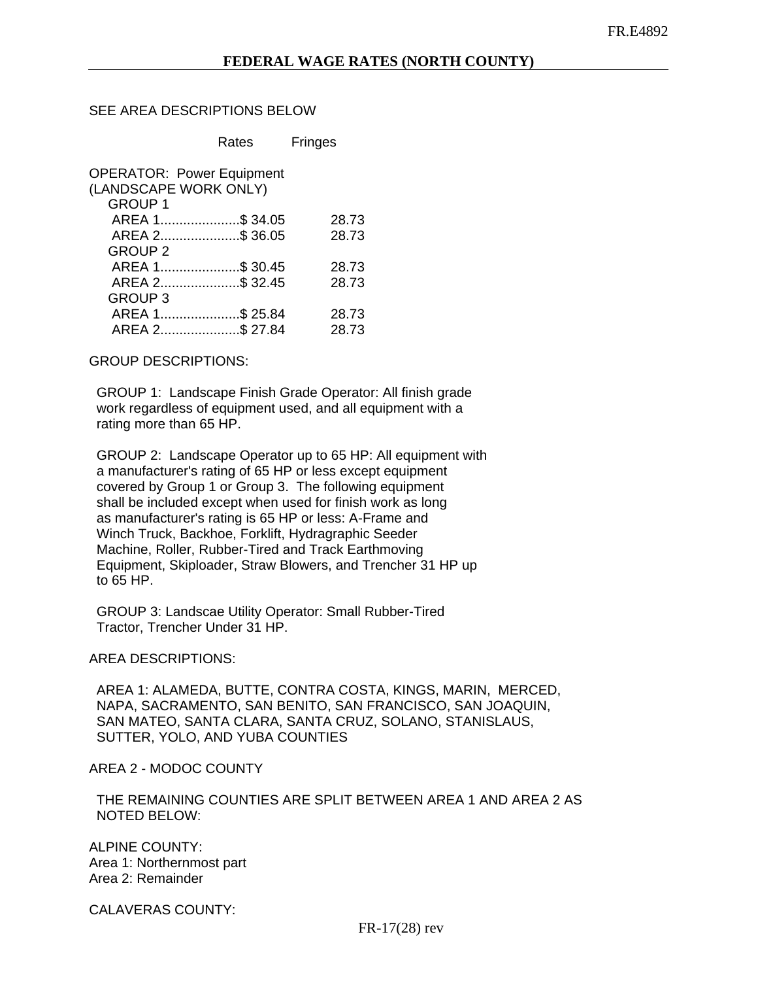### SEE AREA DESCRIPTIONS BELOW

|                                                                            | Rates | <b>Fringes</b> |
|----------------------------------------------------------------------------|-------|----------------|
| <b>OPERATOR: Power Equipment</b><br>(LANDSCAPE WORK ONLY)<br><b>GROUP1</b> |       |                |
| AREA 1\$ 34.05                                                             |       | 28.73          |
| AREA 2\$ 36.05                                                             |       | 28.73          |
| <b>GROUP 2</b>                                                             |       |                |
| AREA 1\$ 30.45                                                             |       | 28.73          |
| AREA 2\$ 32.45                                                             |       | 28.73          |
| <b>GROUP 3</b>                                                             |       |                |
| AREA 1\$ 25.84                                                             |       | 28.73          |
| AREA 2\$ 27.84                                                             |       | 28.73          |
|                                                                            |       |                |

GROUP DESCRIPTIONS:

 GROUP 1: Landscape Finish Grade Operator: All finish grade work regardless of equipment used, and all equipment with a rating more than 65 HP.

 GROUP 2: Landscape Operator up to 65 HP: All equipment with a manufacturer's rating of 65 HP or less except equipment covered by Group 1 or Group 3. The following equipment shall be included except when used for finish work as long as manufacturer's rating is 65 HP or less: A-Frame and Winch Truck, Backhoe, Forklift, Hydragraphic Seeder Machine, Roller, Rubber-Tired and Track Earthmoving Equipment, Skiploader, Straw Blowers, and Trencher 31 HP up to 65 HP.

 GROUP 3: Landscae Utility Operator: Small Rubber-Tired Tractor, Trencher Under 31 HP.

AREA DESCRIPTIONS:

 AREA 1: ALAMEDA, BUTTE, CONTRA COSTA, KINGS, MARIN, MERCED, NAPA, SACRAMENTO, SAN BENITO, SAN FRANCISCO, SAN JOAQUIN, SAN MATEO, SANTA CLARA, SANTA CRUZ, SOLANO, STANISLAUS, SUTTER, YOLO, AND YUBA COUNTIES

AREA 2 - MODOC COUNTY

 THE REMAINING COUNTIES ARE SPLIT BETWEEN AREA 1 AND AREA 2 AS NOTED BELOW:

ALPINE COUNTY: Area 1: Northernmost part Area 2: Remainder

CALAVERAS COUNTY: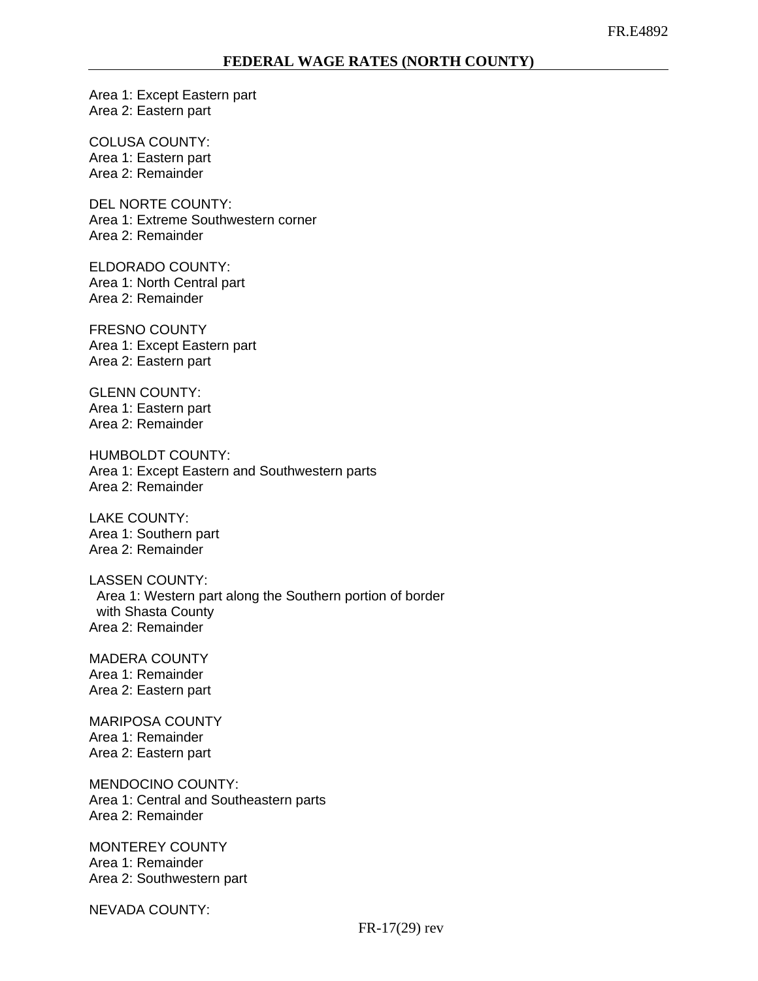Area 1: Except Eastern part Area 2: Eastern part

COLUSA COUNTY: Area 1: Eastern part Area 2: Remainder

DEL NORTE COUNTY: Area 1: Extreme Southwestern corner Area 2: Remainder

ELDORADO COUNTY: Area 1: North Central part Area 2: Remainder

FRESNO COUNTY Area 1: Except Eastern part Area 2: Eastern part

GLENN COUNTY: Area 1: Eastern part Area 2: Remainder

HUMBOLDT COUNTY: Area 1: Except Eastern and Southwestern parts Area 2: Remainder

LAKE COUNTY: Area 1: Southern part Area 2: Remainder

LASSEN COUNTY: Area 1: Western part along the Southern portion of border with Shasta County Area 2: Remainder

MADERA COUNTY Area 1: Remainder Area 2: Eastern part

MARIPOSA COUNTY Area 1: Remainder Area 2: Eastern part

MENDOCINO COUNTY: Area 1: Central and Southeastern parts Area 2: Remainder

MONTEREY COUNTY Area 1: Remainder Area 2: Southwestern part

NEVADA COUNTY: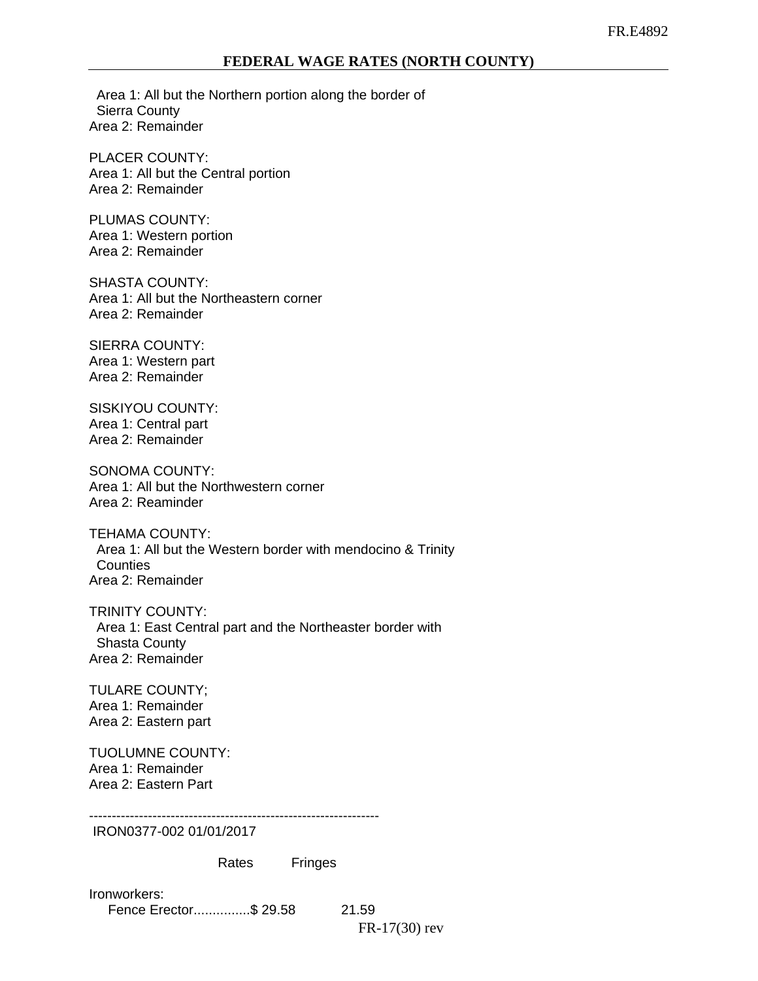Area 1: All but the Northern portion along the border of Sierra County Area 2: Remainder

PLACER COUNTY: Area 1: All but the Central portion Area 2: Remainder

PLUMAS COUNTY: Area 1: Western portion Area 2: Remainder

SHASTA COUNTY: Area 1: All but the Northeastern corner Area 2: Remainder

SIERRA COUNTY: Area 1: Western part Area 2: Remainder

SISKIYOU COUNTY: Area 1: Central part Area 2: Remainder

SONOMA COUNTY: Area 1: All but the Northwestern corner Area 2: Reaminder

TEHAMA COUNTY: Area 1: All but the Western border with mendocino & Trinity **Counties** Area 2: Remainder

TRINITY COUNTY: Area 1: East Central part and the Northeaster border with Shasta County Area 2: Remainder

TULARE COUNTY; Area 1: Remainder Area 2: Eastern part

TUOLUMNE COUNTY: Area 1: Remainder Area 2: Eastern Part

----------------------------------------------------------------

IRON0377-002 01/01/2017

Rates Fringes

Ironworkers: Fence Erector...............\$ 29.58 21.59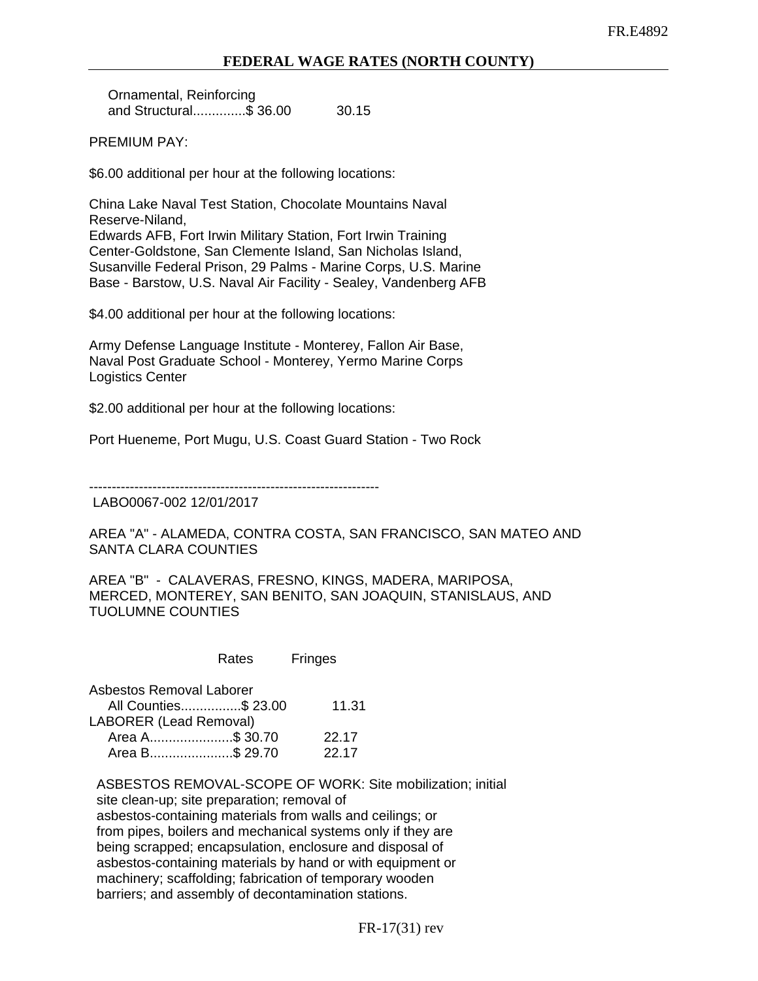Ornamental, Reinforcing and Structural..............\$ 36.00 30.15

PREMIUM PAY:

\$6.00 additional per hour at the following locations:

China Lake Naval Test Station, Chocolate Mountains Naval Reserve-Niland, Edwards AFB, Fort Irwin Military Station, Fort Irwin Training Center-Goldstone, San Clemente Island, San Nicholas Island, Susanville Federal Prison, 29 Palms - Marine Corps, U.S. Marine Base - Barstow, U.S. Naval Air Facility - Sealey, Vandenberg AFB

\$4.00 additional per hour at the following locations:

Army Defense Language Institute - Monterey, Fallon Air Base, Naval Post Graduate School - Monterey, Yermo Marine Corps Logistics Center

\$2.00 additional per hour at the following locations:

Port Hueneme, Port Mugu, U.S. Coast Guard Station - Two Rock

----------------------------------------------------------------

LABO0067-002 12/01/2017

AREA "A" - ALAMEDA, CONTRA COSTA, SAN FRANCISCO, SAN MATEO AND SANTA CLARA COUNTIES

AREA "B" - CALAVERAS, FRESNO, KINGS, MADERA, MARIPOSA, MERCED, MONTEREY, SAN BENITO, SAN JOAQUIN, STANISLAUS, AND TUOLUMNE COUNTIES

Rates Fringes

Asbestos Removal Laborer All Counties................\$ 23.00 11.31 LABORER (Lead Removal) Area A........................\$ 30.70 22.17 Area B......................\$ 29.70 22.17

 ASBESTOS REMOVAL-SCOPE OF WORK: Site mobilization; initial site clean-up; site preparation; removal of asbestos-containing materials from walls and ceilings; or from pipes, boilers and mechanical systems only if they are being scrapped; encapsulation, enclosure and disposal of asbestos-containing materials by hand or with equipment or machinery; scaffolding; fabrication of temporary wooden barriers; and assembly of decontamination stations.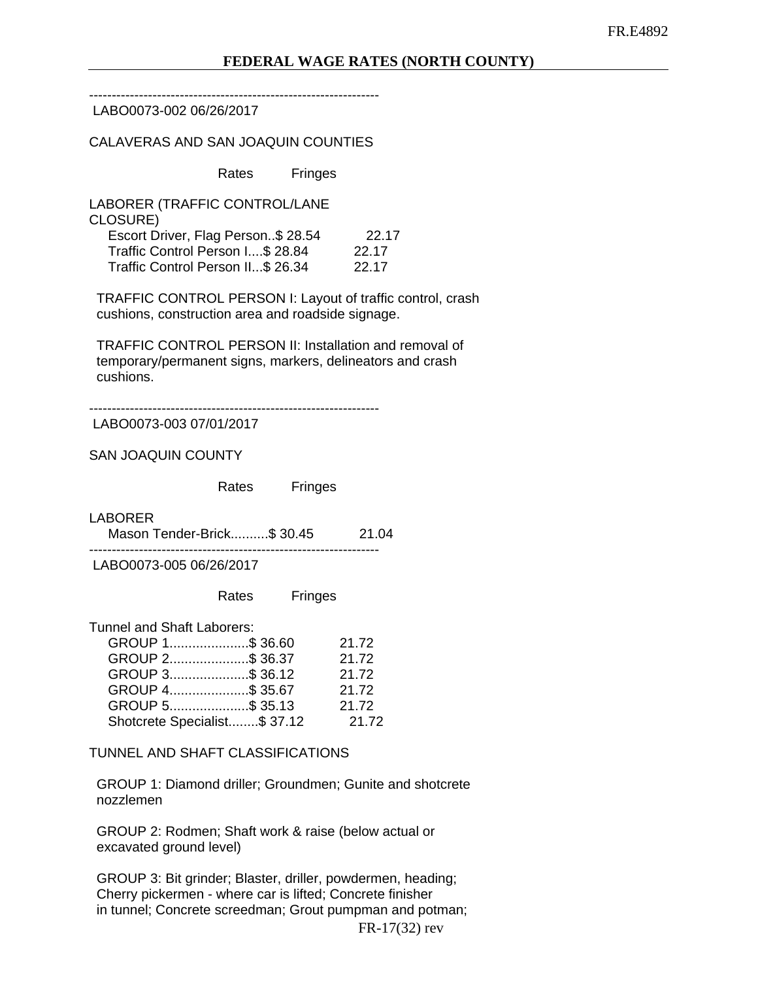----------------------------------------------------------------

### LABO0073-002 06/26/2017

CALAVERAS AND SAN JOAQUIN COUNTIES

Rates Fringes

| LABORER (TRAFFIC CONTROL/LANE      |       |
|------------------------------------|-------|
| CLOSURE)                           |       |
| Escort Driver, Flag Person\$ 28.54 | 22.17 |
| Traffic Control Person I\$ 28.84   | 22.17 |
| Traffic Control Person II\$ 26.34  | 22.17 |

 TRAFFIC CONTROL PERSON I: Layout of traffic control, crash cushions, construction area and roadside signage.

 TRAFFIC CONTROL PERSON II: Installation and removal of temporary/permanent signs, markers, delineators and crash cushions.

----------------------------------------------------------------

LABO0073-003 07/01/2017

SAN JOAQUIN COUNTY

Rates Fringes

LABORER Mason Tender-Brick..........\$ 30.45 21.04 ----------------------------------------------------------------

LABO0073-005 06/26/2017

Rates Fringes

Tunnel and Shaft Laborers:

| GROUP 1\$ 36.60              | 21.72 |
|------------------------------|-------|
| GROUP 2\$ 36.37              | 21.72 |
| GROUP 3\$ 36.12              | 21.72 |
| GROUP 4\$ 35.67              | 21.72 |
| GROUP 5\$ 35.13              | 21.72 |
| Shotcrete Specialist\$ 37.12 | 21.72 |
|                              |       |

#### TUNNEL AND SHAFT CLASSIFICATIONS

 GROUP 1: Diamond driller; Groundmen; Gunite and shotcrete nozzlemen

 GROUP 2: Rodmen; Shaft work & raise (below actual or excavated ground level)

 GROUP 3: Bit grinder; Blaster, driller, powdermen, heading; Cherry pickermen - where car is lifted; Concrete finisher in tunnel; Concrete screedman; Grout pumpman and potman;

FR-17(32) rev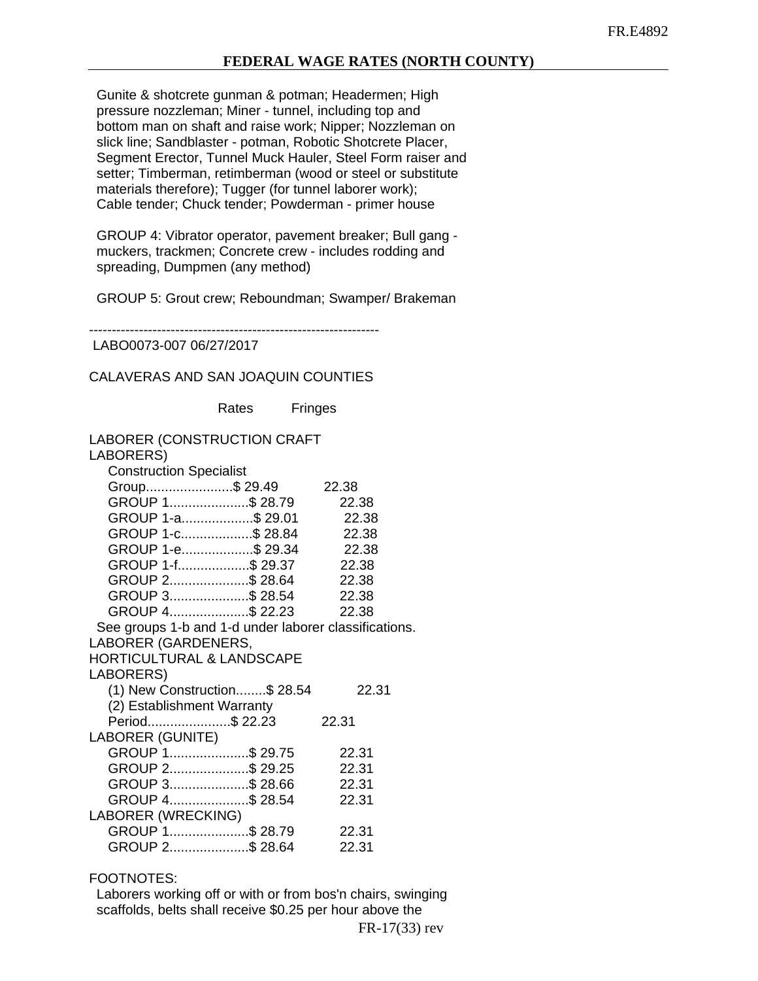Gunite & shotcrete gunman & potman; Headermen; High pressure nozzleman; Miner - tunnel, including top and bottom man on shaft and raise work; Nipper; Nozzleman on slick line; Sandblaster - potman, Robotic Shotcrete Placer, Segment Erector, Tunnel Muck Hauler, Steel Form raiser and setter; Timberman, retimberman (wood or steel or substitute materials therefore); Tugger (for tunnel laborer work); Cable tender; Chuck tender; Powderman - primer house

 GROUP 4: Vibrator operator, pavement breaker; Bull gang muckers, trackmen; Concrete crew - includes rodding and spreading, Dumpmen (any method)

GROUP 5: Grout crew; Reboundman; Swamper/ Brakeman

----------------------------------------------------------------

LABO0073-007 06/27/2017

#### CALAVERAS AND SAN JOAQUIN COUNTIES

Rates Fringes

| LABORER (CONSTRUCTION CRAFT                           |       |  |
|-------------------------------------------------------|-------|--|
| LABORERS)                                             |       |  |
| <b>Construction Specialist</b>                        |       |  |
| Group\$ 29.49                                         | 22.38 |  |
| GROUP 1\$ 28.79                                       | 22.38 |  |
| GROUP 1-a\$ 29.01                                     | 22.38 |  |
| GROUP 1-c\$ 28.84                                     | 22.38 |  |
| GROUP 1-e\$ 29.34 22.38                               |       |  |
| GROUP 1-f\$ 29.37                                     | 22.38 |  |
| GROUP 2\$ 28.64 22.38                                 |       |  |
| GROUP 3\$ 28.54 22.38                                 |       |  |
| GROUP 4\$ 22.23 22.38                                 |       |  |
| See groups 1-b and 1-d under laborer classifications. |       |  |
| LABORER (GARDENERS,                                   |       |  |
| <b>HORTICULTURAL &amp; LANDSCAPE</b>                  |       |  |
| LABORERS)                                             |       |  |
| (1) New Construction\$ 28.54                          | 22.31 |  |
| (2) Establishment Warranty                            |       |  |
| Period\$ 22.23                                        | 22.31 |  |
| LABORER (GUNITE)                                      |       |  |
| GROUP 1\$ 29.75                                       | 22.31 |  |
| GROUP 2\$ 29.25                                       | 22.31 |  |
| GROUP 3\$ 28.66                                       | 22.31 |  |
| GROUP 4\$ 28.54                                       | 22.31 |  |
| LABORER (WRECKING)                                    |       |  |
| GROUP 1\$ 28.79                                       | 22.31 |  |
| GROUP 2\$ 28.64                                       | 22.31 |  |

### FOOTNOTES:

 Laborers working off or with or from bos'n chairs, swinging scaffolds, belts shall receive \$0.25 per hour above the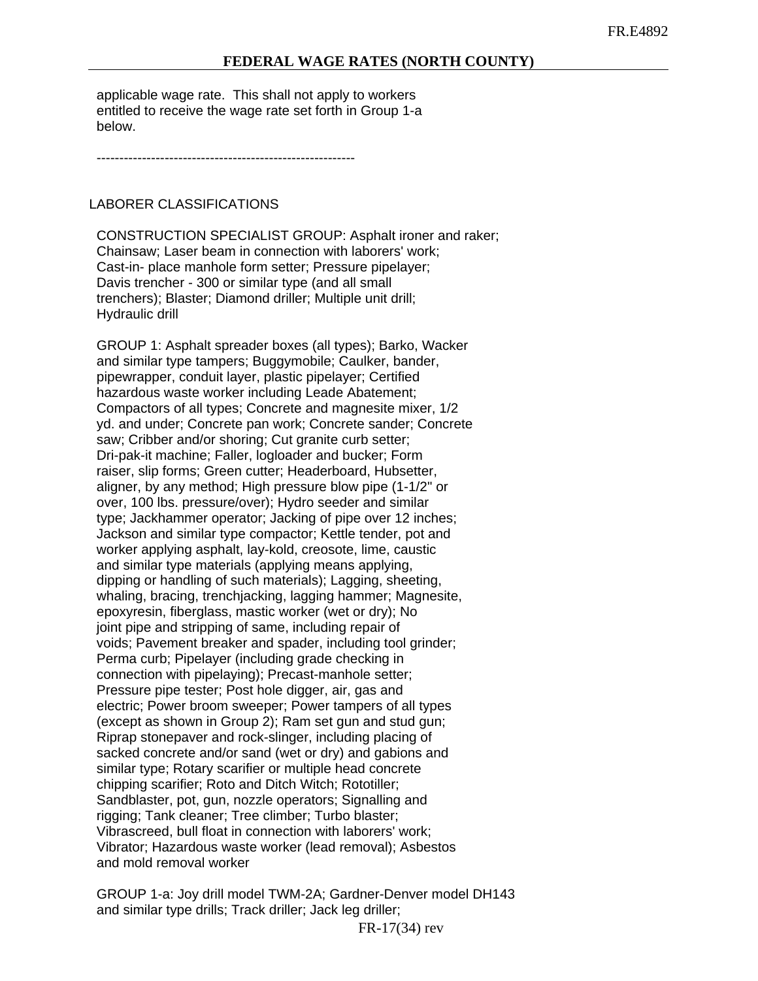applicable wage rate. This shall not apply to workers entitled to receive the wage rate set forth in Group 1-a below.

---------------------------------------------------------

## LABORER CLASSIFICATIONS

 CONSTRUCTION SPECIALIST GROUP: Asphalt ironer and raker; Chainsaw; Laser beam in connection with laborers' work; Cast-in- place manhole form setter; Pressure pipelayer; Davis trencher - 300 or similar type (and all small trenchers); Blaster; Diamond driller; Multiple unit drill; Hydraulic drill

 GROUP 1: Asphalt spreader boxes (all types); Barko, Wacker and similar type tampers; Buggymobile; Caulker, bander, pipewrapper, conduit layer, plastic pipelayer; Certified hazardous waste worker including Leade Abatement; Compactors of all types; Concrete and magnesite mixer, 1/2 yd. and under; Concrete pan work; Concrete sander; Concrete saw; Cribber and/or shoring; Cut granite curb setter; Dri-pak-it machine; Faller, logloader and bucker; Form raiser, slip forms; Green cutter; Headerboard, Hubsetter, aligner, by any method; High pressure blow pipe (1-1/2" or over, 100 lbs. pressure/over); Hydro seeder and similar type; Jackhammer operator; Jacking of pipe over 12 inches; Jackson and similar type compactor; Kettle tender, pot and worker applying asphalt, lay-kold, creosote, lime, caustic and similar type materials (applying means applying, dipping or handling of such materials); Lagging, sheeting, whaling, bracing, trenchjacking, lagging hammer; Magnesite, epoxyresin, fiberglass, mastic worker (wet or dry); No joint pipe and stripping of same, including repair of voids; Pavement breaker and spader, including tool grinder; Perma curb; Pipelayer (including grade checking in connection with pipelaying); Precast-manhole setter; Pressure pipe tester; Post hole digger, air, gas and electric; Power broom sweeper; Power tampers of all types (except as shown in Group 2); Ram set gun and stud gun; Riprap stonepaver and rock-slinger, including placing of sacked concrete and/or sand (wet or dry) and gabions and similar type; Rotary scarifier or multiple head concrete chipping scarifier; Roto and Ditch Witch; Rototiller; Sandblaster, pot, gun, nozzle operators; Signalling and rigging; Tank cleaner; Tree climber; Turbo blaster; Vibrascreed, bull float in connection with laborers' work; Vibrator; Hazardous waste worker (lead removal); Asbestos and mold removal worker

 GROUP 1-a: Joy drill model TWM-2A; Gardner-Denver model DH143 and similar type drills; Track driller; Jack leg driller;

FR-17(34) rev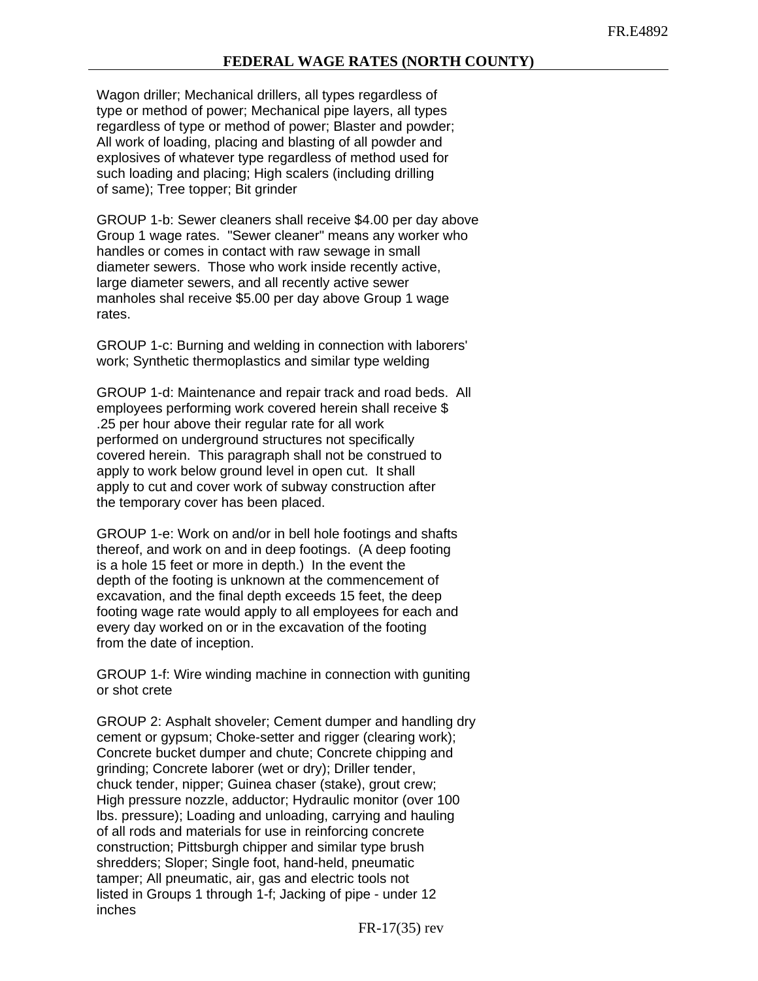Wagon driller; Mechanical drillers, all types regardless of type or method of power; Mechanical pipe layers, all types regardless of type or method of power; Blaster and powder; All work of loading, placing and blasting of all powder and explosives of whatever type regardless of method used for such loading and placing; High scalers (including drilling of same); Tree topper; Bit grinder

 GROUP 1-b: Sewer cleaners shall receive \$4.00 per day above Group 1 wage rates. "Sewer cleaner" means any worker who handles or comes in contact with raw sewage in small diameter sewers. Those who work inside recently active, large diameter sewers, and all recently active sewer manholes shal receive \$5.00 per day above Group 1 wage rates.

 GROUP 1-c: Burning and welding in connection with laborers' work; Synthetic thermoplastics and similar type welding

 GROUP 1-d: Maintenance and repair track and road beds. All employees performing work covered herein shall receive \$ .25 per hour above their regular rate for all work performed on underground structures not specifically covered herein. This paragraph shall not be construed to apply to work below ground level in open cut. It shall apply to cut and cover work of subway construction after the temporary cover has been placed.

 GROUP 1-e: Work on and/or in bell hole footings and shafts thereof, and work on and in deep footings. (A deep footing is a hole 15 feet or more in depth.) In the event the depth of the footing is unknown at the commencement of excavation, and the final depth exceeds 15 feet, the deep footing wage rate would apply to all employees for each and every day worked on or in the excavation of the footing from the date of inception.

 GROUP 1-f: Wire winding machine in connection with guniting or shot crete

 GROUP 2: Asphalt shoveler; Cement dumper and handling dry cement or gypsum; Choke-setter and rigger (clearing work); Concrete bucket dumper and chute; Concrete chipping and grinding; Concrete laborer (wet or dry); Driller tender, chuck tender, nipper; Guinea chaser (stake), grout crew; High pressure nozzle, adductor; Hydraulic monitor (over 100 lbs. pressure); Loading and unloading, carrying and hauling of all rods and materials for use in reinforcing concrete construction; Pittsburgh chipper and similar type brush shredders; Sloper; Single foot, hand-held, pneumatic tamper; All pneumatic, air, gas and electric tools not listed in Groups 1 through 1-f; Jacking of pipe - under 12 inches

FR-17(35) rev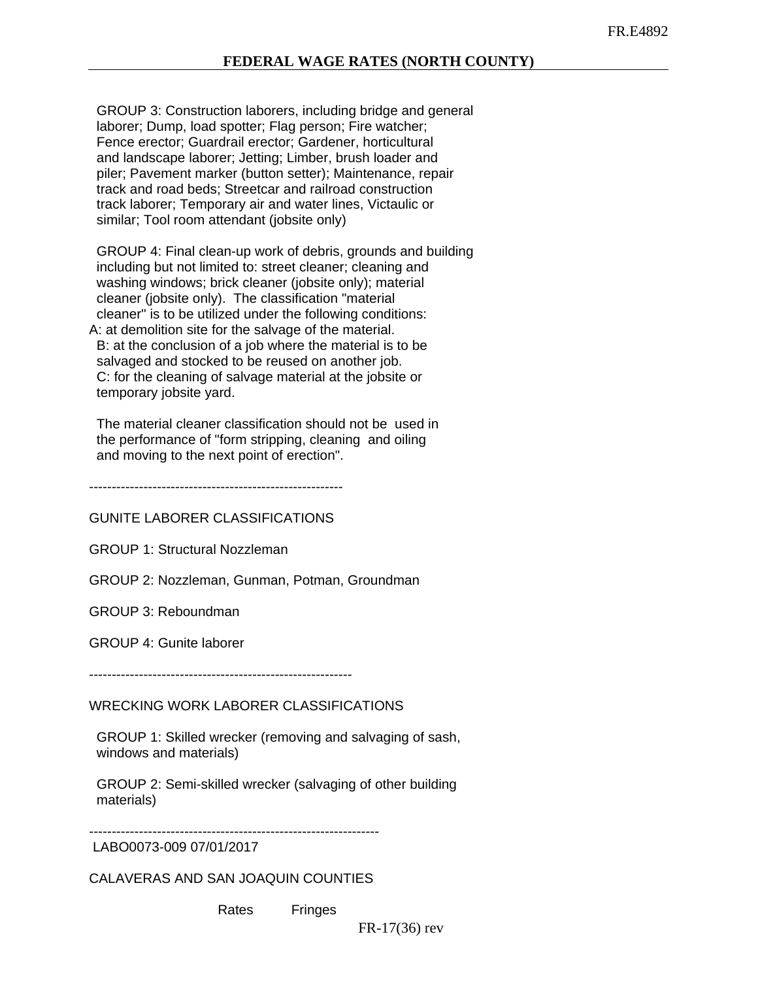GROUP 3: Construction laborers, including bridge and general laborer; Dump, load spotter; Flag person; Fire watcher; Fence erector; Guardrail erector; Gardener, horticultural and landscape laborer; Jetting; Limber, brush loader and piler; Pavement marker (button setter); Maintenance, repair track and road beds; Streetcar and railroad construction track laborer; Temporary air and water lines, Victaulic or similar; Tool room attendant (jobsite only)

 GROUP 4: Final clean-up work of debris, grounds and building including but not limited to: street cleaner; cleaning and washing windows; brick cleaner (jobsite only); material cleaner (jobsite only). The classification "material cleaner" is to be utilized under the following conditions: A: at demolition site for the salvage of the material.

 B: at the conclusion of a job where the material is to be salvaged and stocked to be reused on another job. C: for the cleaning of salvage material at the jobsite or temporary jobsite yard.

 The material cleaner classification should not be used in the performance of "form stripping, cleaning and oiling and moving to the next point of erection".

--------------------------------------------------------

## GUNITE LABORER CLASSIFICATIONS

GROUP 1: Structural Nozzleman

GROUP 2: Nozzleman, Gunman, Potman, Groundman

GROUP 3: Reboundman

GROUP 4: Gunite laborer

----------------------------------------------------------

# WRECKING WORK LABORER CLASSIFICATIONS

 GROUP 1: Skilled wrecker (removing and salvaging of sash, windows and materials)

 GROUP 2: Semi-skilled wrecker (salvaging of other building materials)

----------------------------------------------------------------

LABO0073-009 07/01/2017

CALAVERAS AND SAN JOAQUIN COUNTIES

Rates Fringes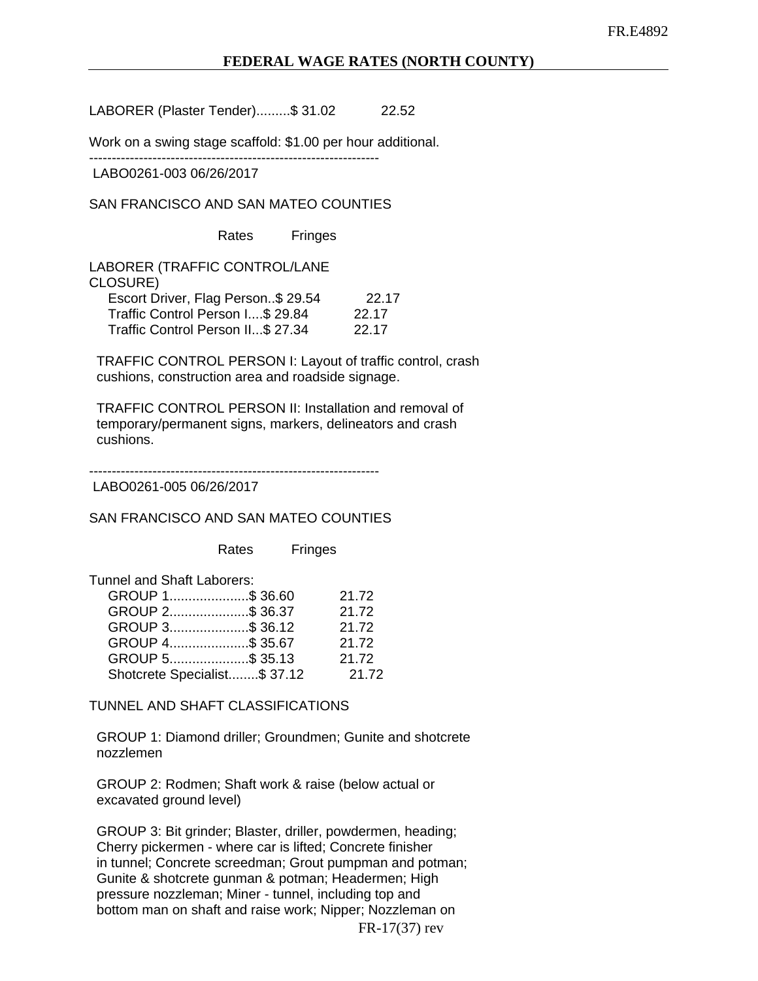LABORER (Plaster Tender).........\$ 31.02 22.52

Work on a swing stage scaffold: \$1.00 per hour additional.

---------------------------------------------------------------- LABO0261-003 06/26/2017

SAN FRANCISCO AND SAN MATEO COUNTIES

Rates Fringes

LABORER (TRAFFIC CONTROL/LANE CLOSURE) Escort Driver, Flag Person..\$ 29.54 22.17 Traffic Control Person I....\$ 29.84 22.17 Traffic Control Person II...\$ 27.34 22.17

 TRAFFIC CONTROL PERSON I: Layout of traffic control, crash cushions, construction area and roadside signage.

 TRAFFIC CONTROL PERSON II: Installation and removal of temporary/permanent signs, markers, delineators and crash cushions.

---------------------------------------------------------------- LABO0261-005 06/26/2017

SAN FRANCISCO AND SAN MATEO COUNTIES

Rates Fringes

Tunnel and Shaft Laborers:

| GROUP 1\$ 36.60              | 21.72 |
|------------------------------|-------|
| GROUP 2\$ 36.37              | 21.72 |
| GROUP 3\$ 36.12              | 21.72 |
| GROUP 4\$ 35.67              | 21.72 |
| GROUP 5\$ 35.13              | 21.72 |
| Shotcrete Specialist\$ 37.12 | 21.72 |

TUNNEL AND SHAFT CLASSIFICATIONS

 GROUP 1: Diamond driller; Groundmen; Gunite and shotcrete nozzlemen

 GROUP 2: Rodmen; Shaft work & raise (below actual or excavated ground level)

 GROUP 3: Bit grinder; Blaster, driller, powdermen, heading; Cherry pickermen - where car is lifted; Concrete finisher in tunnel; Concrete screedman; Grout pumpman and potman; Gunite & shotcrete gunman & potman; Headermen; High pressure nozzleman; Miner - tunnel, including top and bottom man on shaft and raise work; Nipper; Nozzleman on

FR-17(37) rev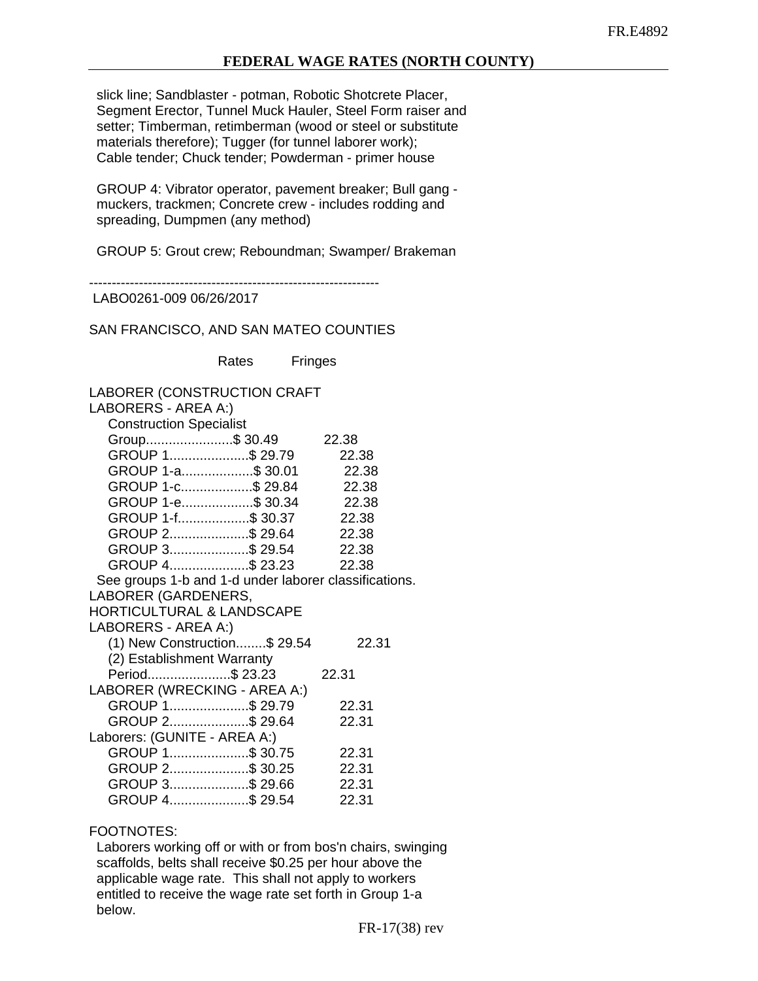slick line; Sandblaster - potman, Robotic Shotcrete Placer, Segment Erector, Tunnel Muck Hauler, Steel Form raiser and setter; Timberman, retimberman (wood or steel or substitute materials therefore); Tugger (for tunnel laborer work); Cable tender; Chuck tender; Powderman - primer house

 GROUP 4: Vibrator operator, pavement breaker; Bull gang muckers, trackmen; Concrete crew - includes rodding and spreading, Dumpmen (any method)

GROUP 5: Grout crew; Reboundman; Swamper/ Brakeman

----------------------------------------------------------------

LABO0261-009 06/26/2017

SAN FRANCISCO, AND SAN MATEO COUNTIES

Rates Fringes

| LABORER (CONSTRUCTION CRAFT                           |  |       |  |  |
|-------------------------------------------------------|--|-------|--|--|
| LABORERS - AREA A:)                                   |  |       |  |  |
| <b>Construction Specialist</b>                        |  |       |  |  |
| Group\$ 30.49                                         |  | 22.38 |  |  |
| GROUP 1\$ 29.79                                       |  | 22.38 |  |  |
| GROUP 1-a\$ 30.01                                     |  | 22.38 |  |  |
| GROUP 1-c\$ 29.84                                     |  | 22.38 |  |  |
| GROUP 1-e\$ 30.34                                     |  | 22.38 |  |  |
| GROUP 1-f\$ 30.37                                     |  | 22.38 |  |  |
| GROUP 2\$ 29.64 22.38                                 |  |       |  |  |
| GROUP 3\$ 29.54 22.38                                 |  |       |  |  |
| GROUP 4\$ 23.23                                       |  | 22.38 |  |  |
| See groups 1-b and 1-d under laborer classifications. |  |       |  |  |
| LABORER (GARDENERS,                                   |  |       |  |  |
| <b>HORTICULTURAL &amp; LANDSCAPE</b>                  |  |       |  |  |
| LABORERS - AREA A:)                                   |  |       |  |  |
| (1) New Construction\$ 29.54                          |  | 22.31 |  |  |
| (2) Establishment Warranty                            |  |       |  |  |
| Period\$ 23.23                                        |  | 22.31 |  |  |
| LABORER (WRECKING - AREA A:)                          |  |       |  |  |
| GROUP 1\$ 29.79                                       |  | 22.31 |  |  |
| GROUP 2\$ 29.64                                       |  | 22.31 |  |  |
| Laborers: (GUNITE - AREA A:)                          |  |       |  |  |
| GROUP 1\$ 30.75                                       |  | 22.31 |  |  |
| GROUP 2\$ 30.25                                       |  | 22.31 |  |  |
| GROUP 3\$ 29.66                                       |  | 22.31 |  |  |
| GROUP 4\$ 29.54                                       |  | 22.31 |  |  |

FOOTNOTES:

 Laborers working off or with or from bos'n chairs, swinging scaffolds, belts shall receive \$0.25 per hour above the applicable wage rate. This shall not apply to workers entitled to receive the wage rate set forth in Group 1-a below.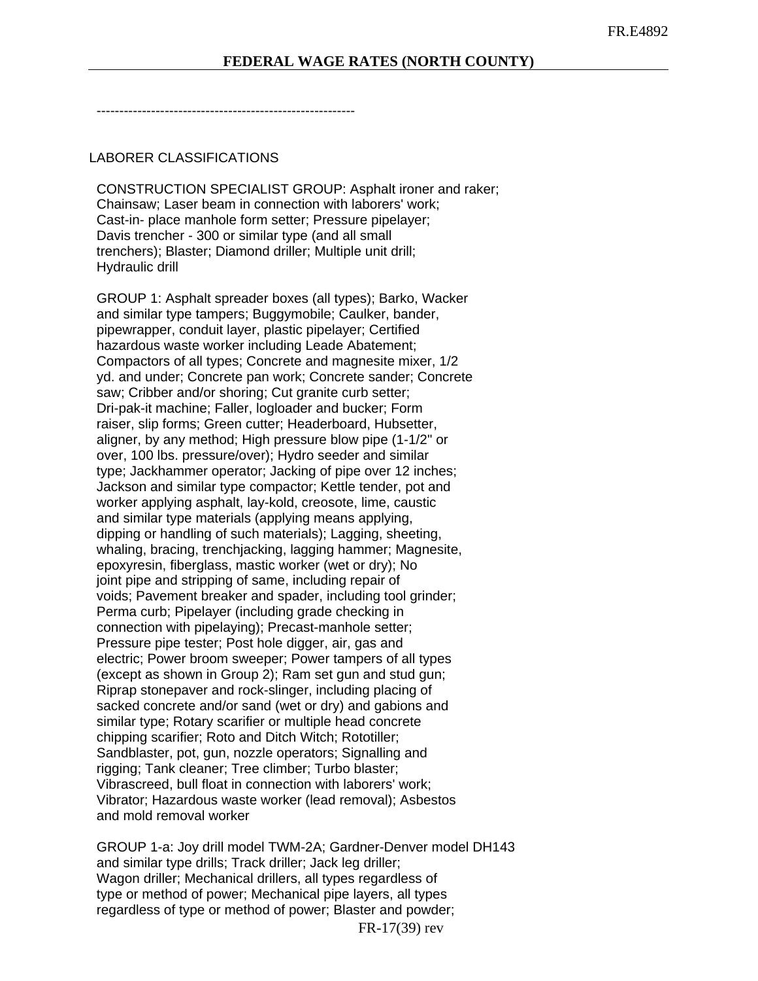---------------------------------------------------------

## LABORER CLASSIFICATIONS

 CONSTRUCTION SPECIALIST GROUP: Asphalt ironer and raker; Chainsaw; Laser beam in connection with laborers' work; Cast-in- place manhole form setter; Pressure pipelayer; Davis trencher - 300 or similar type (and all small trenchers); Blaster; Diamond driller; Multiple unit drill; Hydraulic drill

 GROUP 1: Asphalt spreader boxes (all types); Barko, Wacker and similar type tampers; Buggymobile; Caulker, bander, pipewrapper, conduit layer, plastic pipelayer; Certified hazardous waste worker including Leade Abatement; Compactors of all types; Concrete and magnesite mixer, 1/2 yd. and under; Concrete pan work; Concrete sander; Concrete saw; Cribber and/or shoring; Cut granite curb setter; Dri-pak-it machine; Faller, logloader and bucker; Form raiser, slip forms; Green cutter; Headerboard, Hubsetter, aligner, by any method; High pressure blow pipe (1-1/2" or over, 100 lbs. pressure/over); Hydro seeder and similar type; Jackhammer operator; Jacking of pipe over 12 inches; Jackson and similar type compactor; Kettle tender, pot and worker applying asphalt, lay-kold, creosote, lime, caustic and similar type materials (applying means applying, dipping or handling of such materials); Lagging, sheeting, whaling, bracing, trenchjacking, lagging hammer; Magnesite, epoxyresin, fiberglass, mastic worker (wet or dry); No joint pipe and stripping of same, including repair of voids; Pavement breaker and spader, including tool grinder; Perma curb; Pipelayer (including grade checking in connection with pipelaying); Precast-manhole setter; Pressure pipe tester; Post hole digger, air, gas and electric; Power broom sweeper; Power tampers of all types (except as shown in Group 2); Ram set gun and stud gun; Riprap stonepaver and rock-slinger, including placing of sacked concrete and/or sand (wet or dry) and gabions and similar type; Rotary scarifier or multiple head concrete chipping scarifier; Roto and Ditch Witch; Rototiller; Sandblaster, pot, gun, nozzle operators; Signalling and rigging; Tank cleaner; Tree climber; Turbo blaster; Vibrascreed, bull float in connection with laborers' work; Vibrator; Hazardous waste worker (lead removal); Asbestos and mold removal worker

 GROUP 1-a: Joy drill model TWM-2A; Gardner-Denver model DH143 and similar type drills; Track driller; Jack leg driller; Wagon driller; Mechanical drillers, all types regardless of type or method of power; Mechanical pipe layers, all types regardless of type or method of power; Blaster and powder;

FR-17(39) rev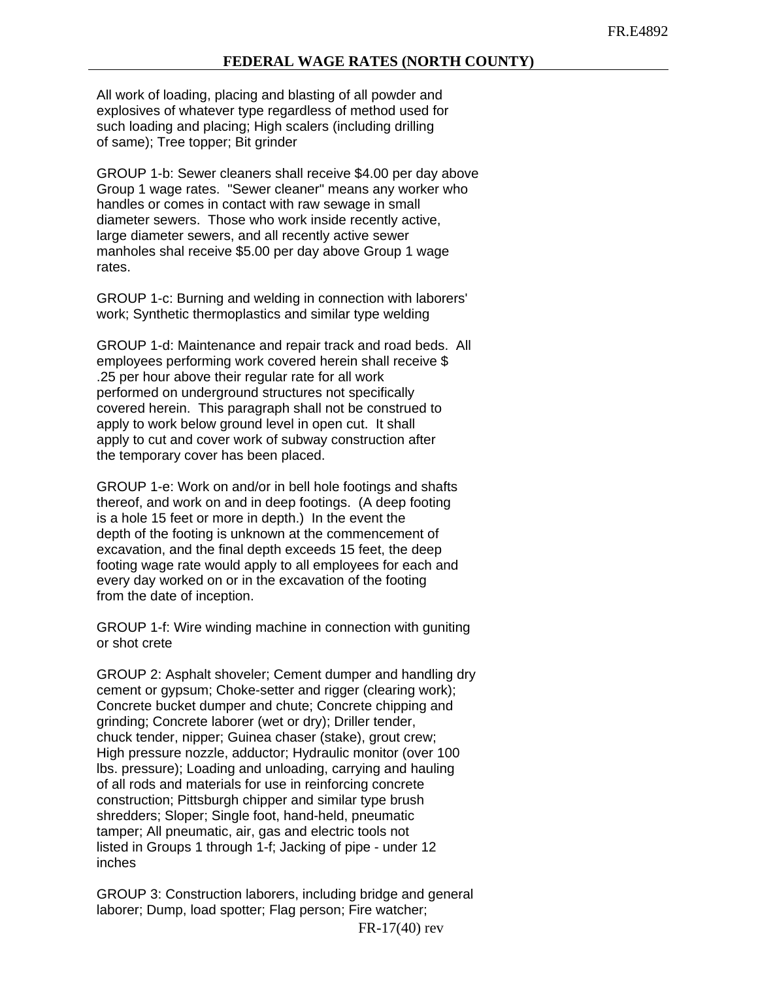All work of loading, placing and blasting of all powder and explosives of whatever type regardless of method used for such loading and placing; High scalers (including drilling of same); Tree topper; Bit grinder

 GROUP 1-b: Sewer cleaners shall receive \$4.00 per day above Group 1 wage rates. "Sewer cleaner" means any worker who handles or comes in contact with raw sewage in small diameter sewers. Those who work inside recently active, large diameter sewers, and all recently active sewer manholes shal receive \$5.00 per day above Group 1 wage rates.

 GROUP 1-c: Burning and welding in connection with laborers' work; Synthetic thermoplastics and similar type welding

 GROUP 1-d: Maintenance and repair track and road beds. All employees performing work covered herein shall receive \$ .25 per hour above their regular rate for all work performed on underground structures not specifically covered herein. This paragraph shall not be construed to apply to work below ground level in open cut. It shall apply to cut and cover work of subway construction after the temporary cover has been placed.

 GROUP 1-e: Work on and/or in bell hole footings and shafts thereof, and work on and in deep footings. (A deep footing is a hole 15 feet or more in depth.) In the event the depth of the footing is unknown at the commencement of excavation, and the final depth exceeds 15 feet, the deep footing wage rate would apply to all employees for each and every day worked on or in the excavation of the footing from the date of inception.

 GROUP 1-f: Wire winding machine in connection with guniting or shot crete

 GROUP 2: Asphalt shoveler; Cement dumper and handling dry cement or gypsum; Choke-setter and rigger (clearing work); Concrete bucket dumper and chute; Concrete chipping and grinding; Concrete laborer (wet or dry); Driller tender, chuck tender, nipper; Guinea chaser (stake), grout crew; High pressure nozzle, adductor; Hydraulic monitor (over 100 lbs. pressure); Loading and unloading, carrying and hauling of all rods and materials for use in reinforcing concrete construction; Pittsburgh chipper and similar type brush shredders; Sloper; Single foot, hand-held, pneumatic tamper; All pneumatic, air, gas and electric tools not listed in Groups 1 through 1-f; Jacking of pipe - under 12 inches

 GROUP 3: Construction laborers, including bridge and general laborer; Dump, load spotter; Flag person; Fire watcher;

FR-17(40) rev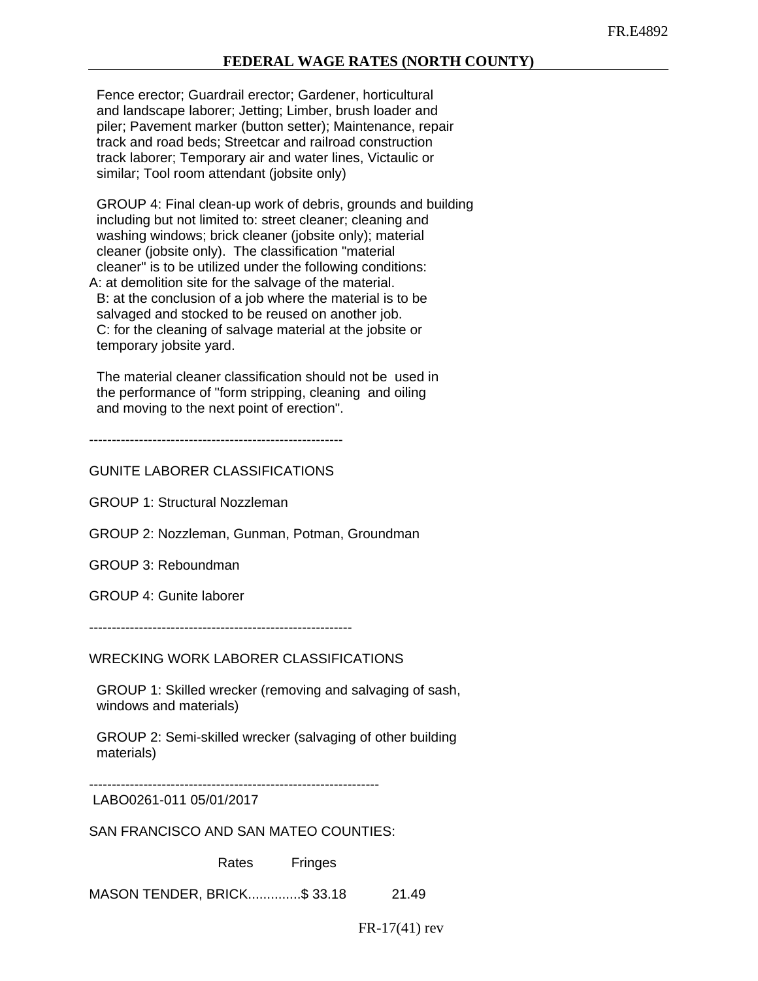## **FEDERAL WAGE RATES (NORTH COUNTY)**

 Fence erector; Guardrail erector; Gardener, horticultural and landscape laborer; Jetting; Limber, brush loader and piler; Pavement marker (button setter); Maintenance, repair track and road beds; Streetcar and railroad construction track laborer; Temporary air and water lines, Victaulic or similar; Tool room attendant (jobsite only)

 GROUP 4: Final clean-up work of debris, grounds and building including but not limited to: street cleaner; cleaning and washing windows; brick cleaner (jobsite only); material cleaner (jobsite only). The classification "material cleaner" is to be utilized under the following conditions: A: at demolition site for the salvage of the material. B: at the conclusion of a job where the material is to be salvaged and stocked to be reused on another job. C: for the cleaning of salvage material at the jobsite or temporary jobsite yard.

 The material cleaner classification should not be used in the performance of "form stripping, cleaning and oiling and moving to the next point of erection".

--------------------------------------------------------

GUNITE LABORER CLASSIFICATIONS

GROUP 1: Structural Nozzleman

GROUP 2: Nozzleman, Gunman, Potman, Groundman

GROUP 3: Reboundman

GROUP 4: Gunite laborer

----------------------------------------------------------

WRECKING WORK LABORER CLASSIFICATIONS

 GROUP 1: Skilled wrecker (removing and salvaging of sash, windows and materials)

 GROUP 2: Semi-skilled wrecker (salvaging of other building materials)

----------------------------------------------------------------

LABO0261-011 05/01/2017

SAN FRANCISCO AND SAN MATEO COUNTIES:

Rates Fringes

MASON TENDER, BRICK..............\$ 33.18 21.49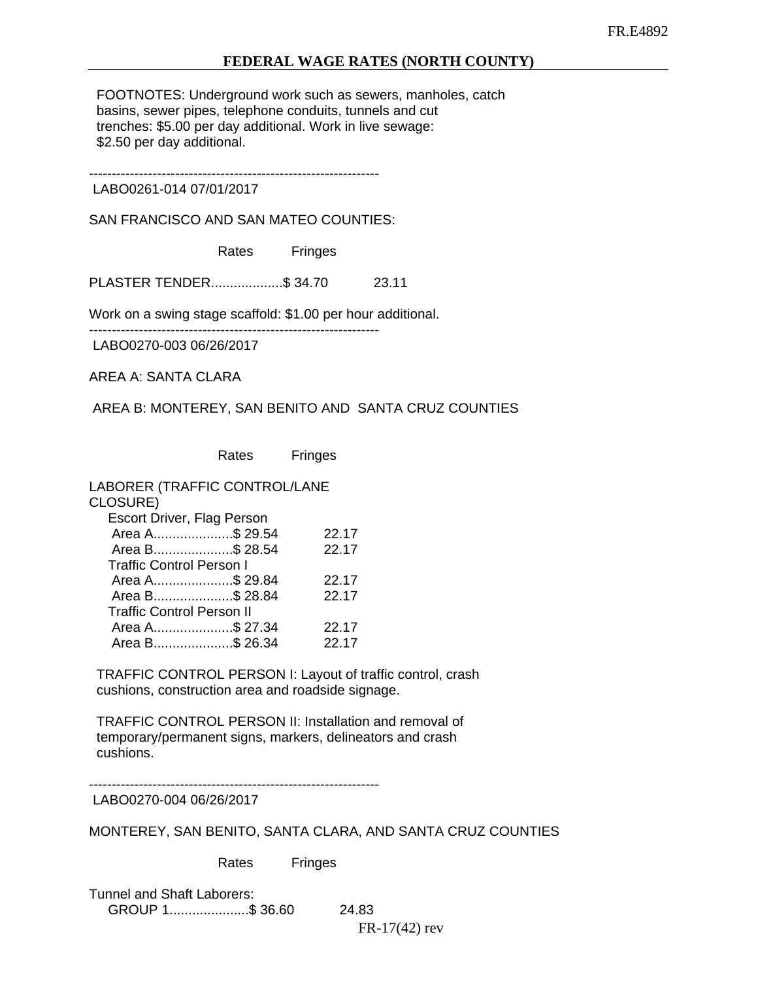## **FEDERAL WAGE RATES (NORTH COUNTY)**

 FOOTNOTES: Underground work such as sewers, manholes, catch basins, sewer pipes, telephone conduits, tunnels and cut trenches: \$5.00 per day additional. Work in live sewage: \$2.50 per day additional.

----------------------------------------------------------------

LABO0261-014 07/01/2017

SAN FRANCISCO AND SAN MATEO COUNTIES:

Rates Fringes

PLASTER TENDER...................\$ 34.70 23.11

Work on a swing stage scaffold: \$1.00 per hour additional.

----------------------------------------------------------------

LABO0270-003 06/26/2017

AREA A: SANTA CLARA

AREA B: MONTEREY, SAN BENITO AND SANTA CRUZ COUNTIES

Rates Fringes

LABORER (TRAFFIC CONTROL/LANE CLOSURE) Escort Driver, Flag Person Area A.....................\$ 29.54 22.17 Area B.....................\$ 28.54 22.17 Traffic Control Person I Area A.....................\$ 29.84 22.17 Area B.....................\$ 28.84 22.17 Traffic Control Person II Area A....................... \$ 27.34 22.17 Area B........................\$ 26.34 22.17

 TRAFFIC CONTROL PERSON I: Layout of traffic control, crash cushions, construction area and roadside signage.

 TRAFFIC CONTROL PERSON II: Installation and removal of temporary/permanent signs, markers, delineators and crash cushions.

----------------------------------------------------------------

LABO0270-004 06/26/2017

MONTEREY, SAN BENITO, SANTA CLARA, AND SANTA CRUZ COUNTIES

Rates Fringes

Tunnel and Shaft Laborers: GROUP 1.....................\$ 36.60 24.83

FR-17(42) rev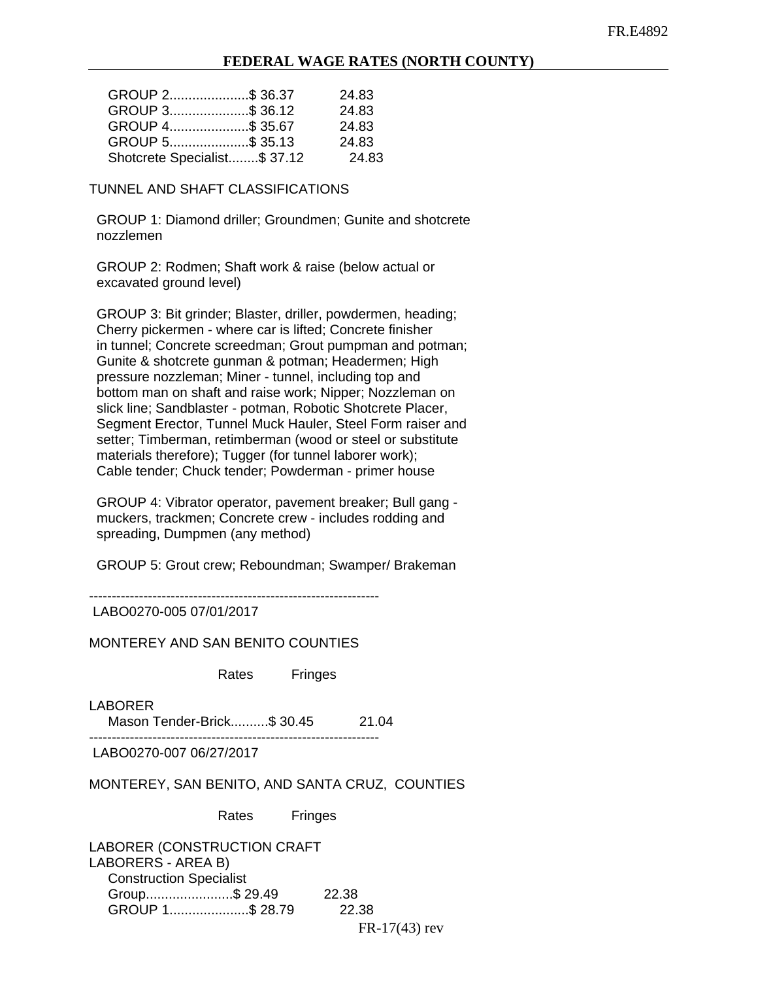**FEDERAL WAGE RATES (NORTH COUNTY)**

| GROUP 2\$ 36.37              | 24.83 |
|------------------------------|-------|
| GROUP 3\$ 36.12              | 24.83 |
| GROUP 4\$ 35.67              | 24.83 |
| GROUP 5\$ 35.13              | 24.83 |
| Shotcrete Specialist\$ 37.12 | 24.83 |

TUNNEL AND SHAFT CLASSIFICATIONS

 GROUP 1: Diamond driller; Groundmen; Gunite and shotcrete nozzlemen

 GROUP 2: Rodmen; Shaft work & raise (below actual or excavated ground level)

 GROUP 3: Bit grinder; Blaster, driller, powdermen, heading; Cherry pickermen - where car is lifted; Concrete finisher in tunnel; Concrete screedman; Grout pumpman and potman; Gunite & shotcrete gunman & potman; Headermen; High pressure nozzleman; Miner - tunnel, including top and bottom man on shaft and raise work; Nipper; Nozzleman on slick line; Sandblaster - potman, Robotic Shotcrete Placer, Segment Erector, Tunnel Muck Hauler, Steel Form raiser and setter; Timberman, retimberman (wood or steel or substitute materials therefore); Tugger (for tunnel laborer work); Cable tender; Chuck tender; Powderman - primer house

 GROUP 4: Vibrator operator, pavement breaker; Bull gang muckers, trackmen; Concrete crew - includes rodding and spreading, Dumpmen (any method)

GROUP 5: Grout crew; Reboundman; Swamper/ Brakeman

----------------------------------------------------------------

LABO0270-005 07/01/2017

MONTEREY AND SAN BENITO COUNTIES

Rates Fringes

LABORER

Mason Tender-Brick.......... \$30.45 21.04

----------------------------------------------------------------

LABO0270-007 06/27/2017

MONTEREY, SAN BENITO, AND SANTA CRUZ, COUNTIES

Rates Fringes

LABORER (CONSTRUCTION CRAFT LABORERS - AREA B) Construction Specialist Group.......................\$ 29.49 22.38 GROUP 1.....................\$ 28.79 22.38

FR-17(43) rev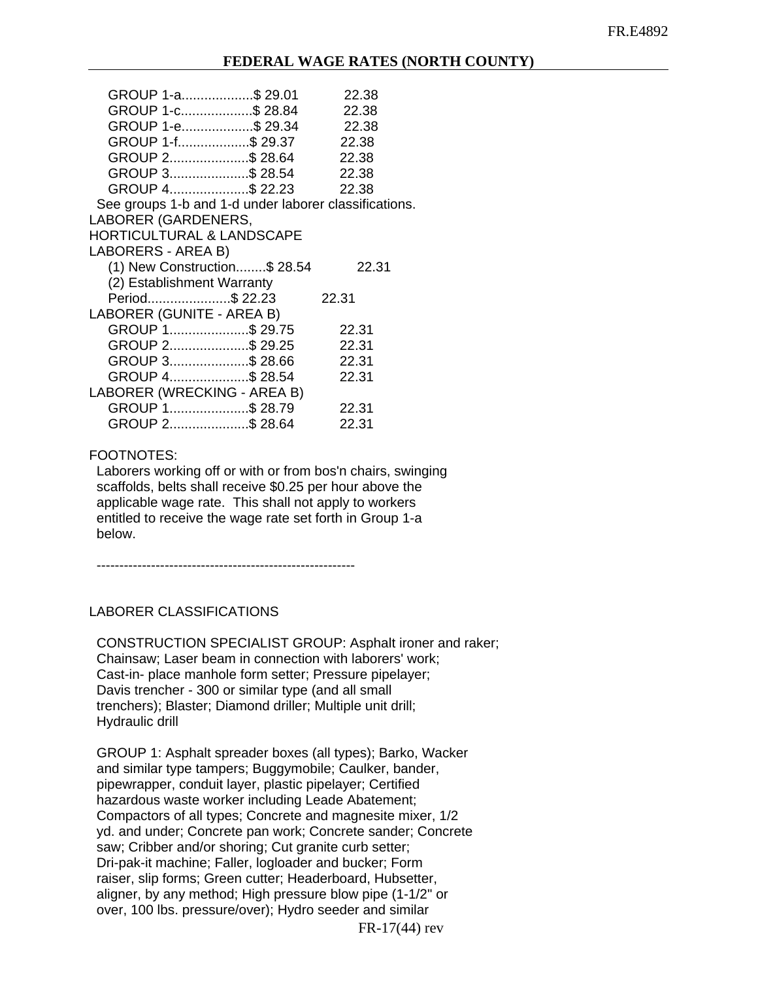| GROUP 1-a\$ 29.01                                     | 22.38                                                                                                                                  |
|-------------------------------------------------------|----------------------------------------------------------------------------------------------------------------------------------------|
|                                                       | 22.38                                                                                                                                  |
|                                                       |                                                                                                                                        |
|                                                       |                                                                                                                                        |
|                                                       | 22.38                                                                                                                                  |
| GROUP 3\$ 28.54 22.38                                 |                                                                                                                                        |
|                                                       |                                                                                                                                        |
| See groups 1-b and 1-d under laborer classifications. |                                                                                                                                        |
| LABORER (GARDENERS,                                   |                                                                                                                                        |
| <b>HORTICULTURAL &amp; LANDSCAPE</b>                  |                                                                                                                                        |
| LABORERS - AREA B)                                    |                                                                                                                                        |
| (1) New Construction\$ 28.54                          | 22.31                                                                                                                                  |
| (2) Establishment Warranty                            |                                                                                                                                        |
| Period\$ 22.23                                        | 22.31                                                                                                                                  |
| LABORER (GUNITE - AREA B)                             |                                                                                                                                        |
| GROUP 1\$ 29.75                                       | 22.31                                                                                                                                  |
|                                                       | 22.31                                                                                                                                  |
| GROUP 3\$ 28.66 22.31                                 |                                                                                                                                        |
| GROUP 4\$ 28.54                                       | 22.31                                                                                                                                  |
| LABORER (WRECKING - AREA B)                           |                                                                                                                                        |
| GROUP 1\$ 28.79                                       | 22.31                                                                                                                                  |
| GROUP 2\$ 28.64                                       | 22.31                                                                                                                                  |
|                                                       | GROUP 1-c\$ 28.84<br>GROUP 1-e\$ 29.34 22.38<br>GROUP 1-f\$ 29.37 22.38<br>GROUP 2\$ 28.64<br>GROUP 4\$ 22.23 22.38<br>GROUP 2\$ 29.25 |

## FOOTNOTES:

 Laborers working off or with or from bos'n chairs, swinging scaffolds, belts shall receive \$0.25 per hour above the applicable wage rate. This shall not apply to workers entitled to receive the wage rate set forth in Group 1-a below.

---------------------------------------------------------

## LABORER CLASSIFICATIONS

 CONSTRUCTION SPECIALIST GROUP: Asphalt ironer and raker; Chainsaw; Laser beam in connection with laborers' work; Cast-in- place manhole form setter; Pressure pipelayer; Davis trencher - 300 or similar type (and all small trenchers); Blaster; Diamond driller; Multiple unit drill; Hydraulic drill

 GROUP 1: Asphalt spreader boxes (all types); Barko, Wacker and similar type tampers; Buggymobile; Caulker, bander, pipewrapper, conduit layer, plastic pipelayer; Certified hazardous waste worker including Leade Abatement; Compactors of all types; Concrete and magnesite mixer, 1/2 yd. and under; Concrete pan work; Concrete sander; Concrete saw; Cribber and/or shoring; Cut granite curb setter; Dri-pak-it machine; Faller, logloader and bucker; Form raiser, slip forms; Green cutter; Headerboard, Hubsetter, aligner, by any method; High pressure blow pipe (1-1/2" or over, 100 lbs. pressure/over); Hydro seeder and similar

FR-17(44) rev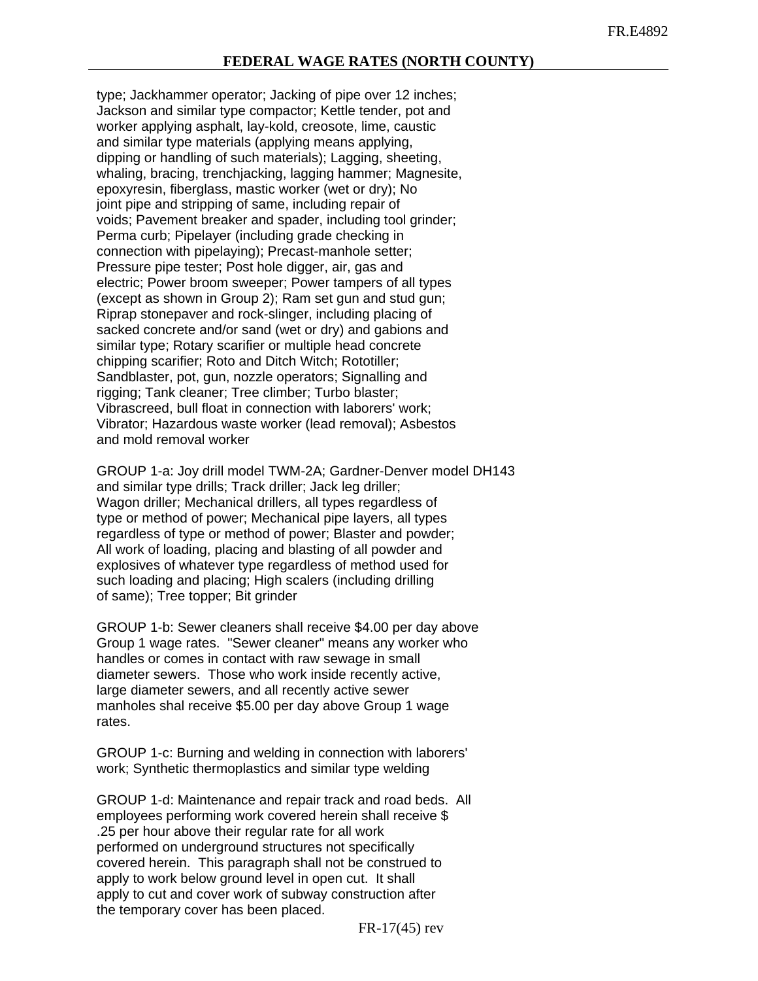type; Jackhammer operator; Jacking of pipe over 12 inches; Jackson and similar type compactor; Kettle tender, pot and worker applying asphalt, lay-kold, creosote, lime, caustic and similar type materials (applying means applying, dipping or handling of such materials); Lagging, sheeting, whaling, bracing, trenchjacking, lagging hammer; Magnesite, epoxyresin, fiberglass, mastic worker (wet or dry); No joint pipe and stripping of same, including repair of voids; Pavement breaker and spader, including tool grinder; Perma curb; Pipelayer (including grade checking in connection with pipelaying); Precast-manhole setter; Pressure pipe tester; Post hole digger, air, gas and electric; Power broom sweeper; Power tampers of all types (except as shown in Group 2); Ram set gun and stud gun; Riprap stonepaver and rock-slinger, including placing of sacked concrete and/or sand (wet or dry) and gabions and similar type; Rotary scarifier or multiple head concrete chipping scarifier; Roto and Ditch Witch; Rototiller; Sandblaster, pot, gun, nozzle operators; Signalling and rigging; Tank cleaner; Tree climber; Turbo blaster; Vibrascreed, bull float in connection with laborers' work; Vibrator; Hazardous waste worker (lead removal); Asbestos and mold removal worker

 GROUP 1-a: Joy drill model TWM-2A; Gardner-Denver model DH143 and similar type drills; Track driller; Jack leg driller; Wagon driller; Mechanical drillers, all types regardless of type or method of power; Mechanical pipe layers, all types regardless of type or method of power; Blaster and powder; All work of loading, placing and blasting of all powder and explosives of whatever type regardless of method used for such loading and placing; High scalers (including drilling of same); Tree topper; Bit grinder

 GROUP 1-b: Sewer cleaners shall receive \$4.00 per day above Group 1 wage rates. "Sewer cleaner" means any worker who handles or comes in contact with raw sewage in small diameter sewers. Those who work inside recently active, large diameter sewers, and all recently active sewer manholes shal receive \$5.00 per day above Group 1 wage rates.

 GROUP 1-c: Burning and welding in connection with laborers' work; Synthetic thermoplastics and similar type welding

 GROUP 1-d: Maintenance and repair track and road beds. All employees performing work covered herein shall receive \$ .25 per hour above their regular rate for all work performed on underground structures not specifically covered herein. This paragraph shall not be construed to apply to work below ground level in open cut. It shall apply to cut and cover work of subway construction after the temporary cover has been placed.

FR-17(45) rev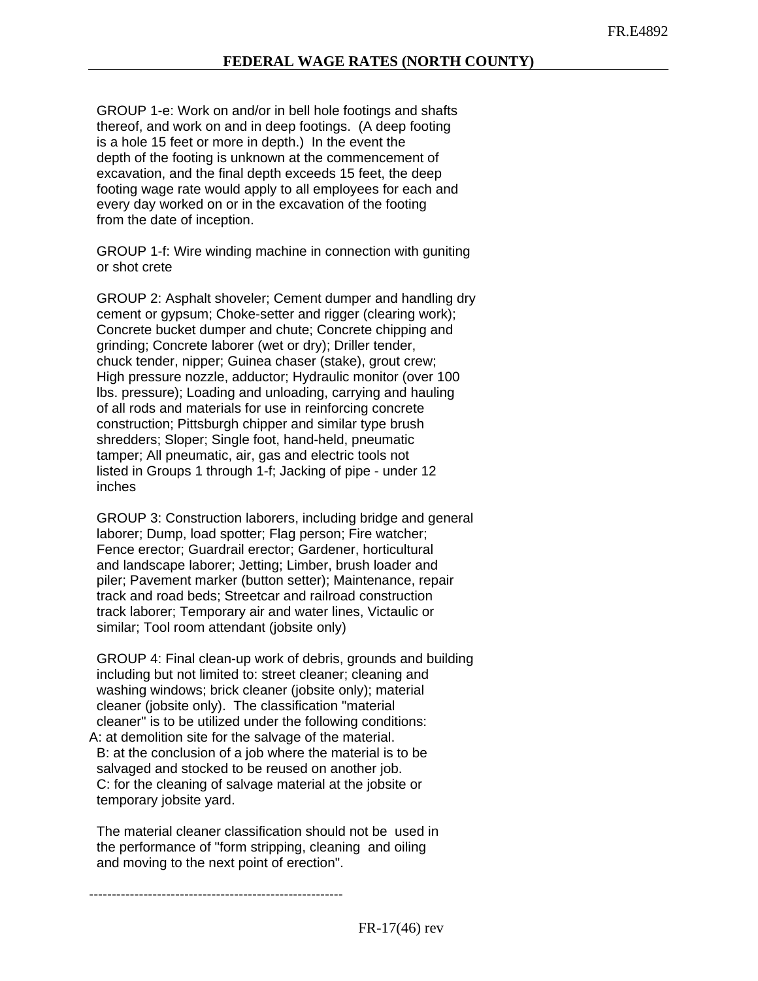GROUP 1-e: Work on and/or in bell hole footings and shafts thereof, and work on and in deep footings. (A deep footing is a hole 15 feet or more in depth.) In the event the depth of the footing is unknown at the commencement of excavation, and the final depth exceeds 15 feet, the deep footing wage rate would apply to all employees for each and every day worked on or in the excavation of the footing from the date of inception.

 GROUP 1-f: Wire winding machine in connection with guniting or shot crete

 GROUP 2: Asphalt shoveler; Cement dumper and handling dry cement or gypsum; Choke-setter and rigger (clearing work); Concrete bucket dumper and chute; Concrete chipping and grinding; Concrete laborer (wet or dry); Driller tender, chuck tender, nipper; Guinea chaser (stake), grout crew; High pressure nozzle, adductor; Hydraulic monitor (over 100 lbs. pressure); Loading and unloading, carrying and hauling of all rods and materials for use in reinforcing concrete construction; Pittsburgh chipper and similar type brush shredders; Sloper; Single foot, hand-held, pneumatic tamper; All pneumatic, air, gas and electric tools not listed in Groups 1 through 1-f; Jacking of pipe - under 12 inches

 GROUP 3: Construction laborers, including bridge and general laborer; Dump, load spotter; Flag person; Fire watcher; Fence erector; Guardrail erector; Gardener, horticultural and landscape laborer; Jetting; Limber, brush loader and piler; Pavement marker (button setter); Maintenance, repair track and road beds; Streetcar and railroad construction track laborer; Temporary air and water lines, Victaulic or similar; Tool room attendant (jobsite only)

 GROUP 4: Final clean-up work of debris, grounds and building including but not limited to: street cleaner; cleaning and washing windows; brick cleaner (jobsite only); material cleaner (jobsite only). The classification "material cleaner" is to be utilized under the following conditions: A: at demolition site for the salvage of the material.

 B: at the conclusion of a job where the material is to be salvaged and stocked to be reused on another job. C: for the cleaning of salvage material at the jobsite or temporary jobsite yard.

 The material cleaner classification should not be used in the performance of "form stripping, cleaning and oiling and moving to the next point of erection".

--------------------------------------------------------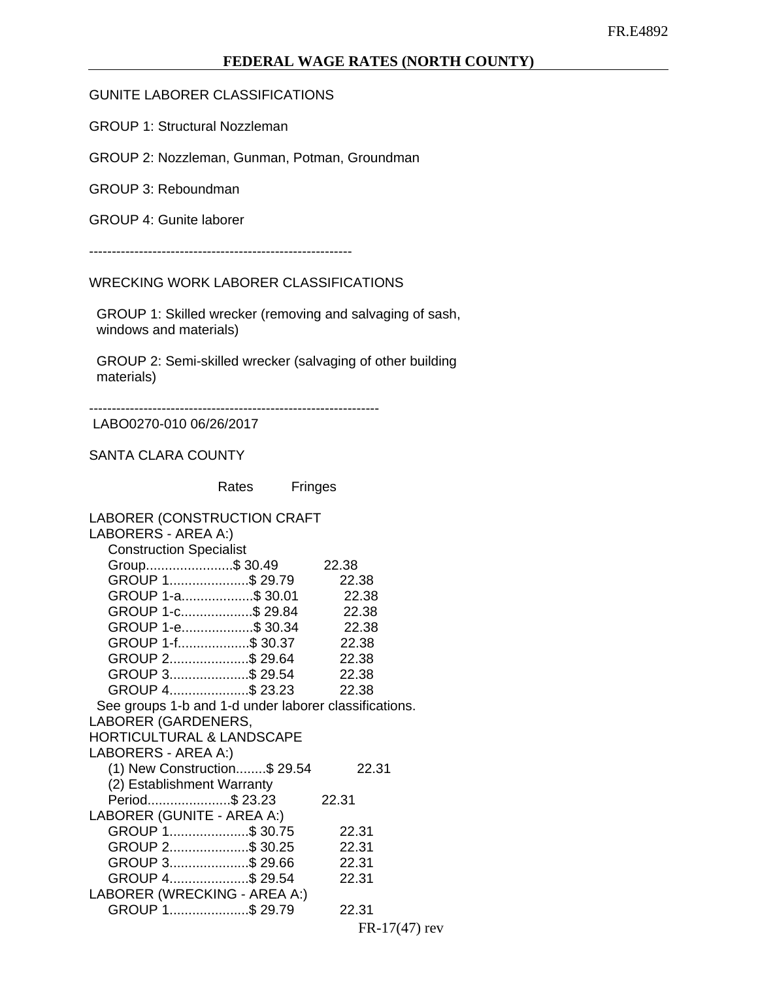## GUNITE LABORER CLASSIFICATIONS

GROUP 1: Structural Nozzleman

GROUP 2: Nozzleman, Gunman, Potman, Groundman

GROUP 3: Reboundman

GROUP 4: Gunite laborer

----------------------------------------------------------

## WRECKING WORK LABORER CLASSIFICATIONS

 GROUP 1: Skilled wrecker (removing and salvaging of sash, windows and materials)

 GROUP 2: Semi-skilled wrecker (salvaging of other building materials)

----------------------------------------------------------------

LABO0270-010 06/26/2017

SANTA CLARA COUNTY

Rates Fringes

| <b>LABORER (CONSTRUCTION CRAFT</b>   |                                                 |                                                                                                                            |  |
|--------------------------------------|-------------------------------------------------|----------------------------------------------------------------------------------------------------------------------------|--|
| LABORERS - AREA A:)                  |                                                 |                                                                                                                            |  |
|                                      |                                                 |                                                                                                                            |  |
|                                      | 22.38                                           |                                                                                                                            |  |
| GROUP 1\$ 29.79                      | 22.38                                           |                                                                                                                            |  |
| GROUP 1-a\$ 30.01                    | 22.38                                           |                                                                                                                            |  |
| GROUP 1-c\$ 29.84                    | 22.38                                           |                                                                                                                            |  |
| GROUP 1-e\$ 30.34                    | 22.38                                           |                                                                                                                            |  |
| GROUP 1-f\$ 30.37                    | 22.38                                           |                                                                                                                            |  |
|                                      | 22.38                                           |                                                                                                                            |  |
|                                      |                                                 |                                                                                                                            |  |
|                                      |                                                 |                                                                                                                            |  |
|                                      |                                                 |                                                                                                                            |  |
| LABORER (GARDENERS,                  |                                                 |                                                                                                                            |  |
| <b>HORTICULTURAL &amp; LANDSCAPE</b> |                                                 |                                                                                                                            |  |
| LABORERS - AREA A:)                  |                                                 |                                                                                                                            |  |
| (1) New Construction\$ 29.54         | 22.31                                           |                                                                                                                            |  |
| (2) Establishment Warranty           |                                                 |                                                                                                                            |  |
| Period\$ 23.23                       | 22.31                                           |                                                                                                                            |  |
| LABORER (GUNITE - AREA A:)           |                                                 |                                                                                                                            |  |
| GROUP 1\$ 30.75                      | 22.31                                           |                                                                                                                            |  |
| GROUP 2\$ 30.25                      | 22.31                                           |                                                                                                                            |  |
| GROUP 3\$ 29.66                      | 22.31                                           |                                                                                                                            |  |
| GROUP 4\$ 29.54                      | 22.31                                           |                                                                                                                            |  |
| LABORER (WRECKING - AREA A:)         |                                                 |                                                                                                                            |  |
| GROUP 1\$ 29.79                      | 22.31                                           |                                                                                                                            |  |
|                                      |                                                 | $FR-17(47)$ rev                                                                                                            |  |
|                                      | <b>Construction Specialist</b><br>Group\$ 30.49 | GROUP 2\$ 29.64<br>GROUP 3\$ 29.54 22.38<br>GROUP 4\$ 23.23 22.38<br>See groups 1-b and 1-d under laborer classifications. |  |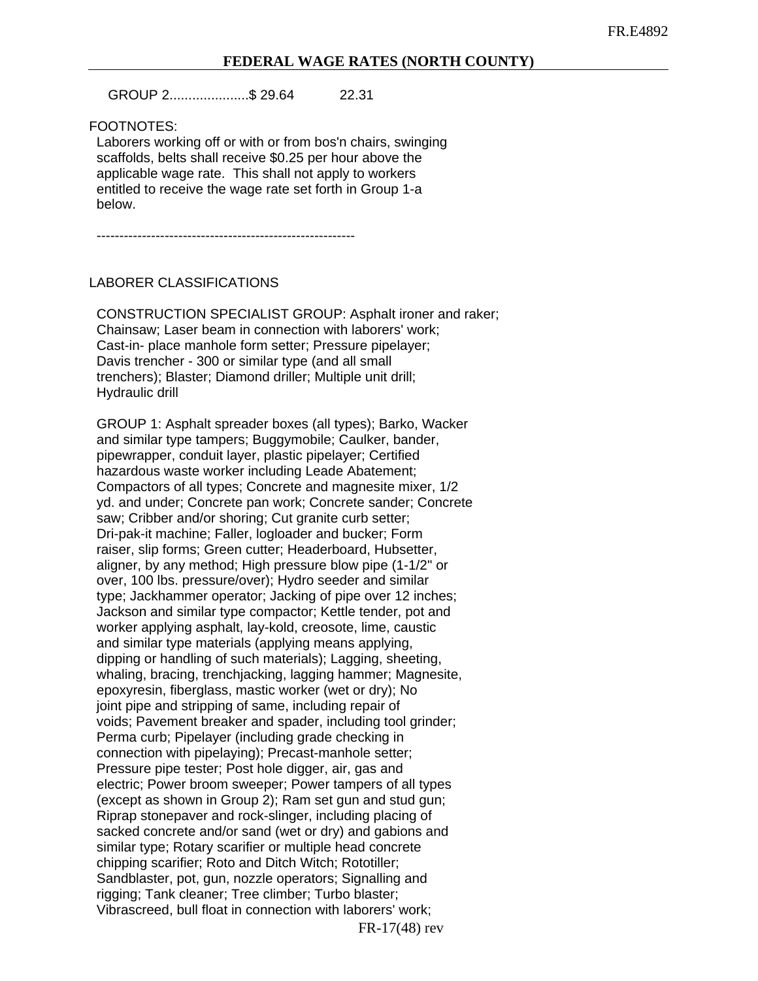GROUP 2.....................\$ 29.64 22.31

FOOTNOTES:

 Laborers working off or with or from bos'n chairs, swinging scaffolds, belts shall receive \$0.25 per hour above the applicable wage rate. This shall not apply to workers entitled to receive the wage rate set forth in Group 1-a below.

---------------------------------------------------------

## LABORER CLASSIFICATIONS

 CONSTRUCTION SPECIALIST GROUP: Asphalt ironer and raker; Chainsaw; Laser beam in connection with laborers' work; Cast-in- place manhole form setter; Pressure pipelayer; Davis trencher - 300 or similar type (and all small trenchers); Blaster; Diamond driller; Multiple unit drill; Hydraulic drill

 GROUP 1: Asphalt spreader boxes (all types); Barko, Wacker and similar type tampers; Buggymobile; Caulker, bander, pipewrapper, conduit layer, plastic pipelayer; Certified hazardous waste worker including Leade Abatement; Compactors of all types; Concrete and magnesite mixer, 1/2 yd. and under; Concrete pan work; Concrete sander; Concrete saw; Cribber and/or shoring; Cut granite curb setter; Dri-pak-it machine; Faller, logloader and bucker; Form raiser, slip forms; Green cutter; Headerboard, Hubsetter, aligner, by any method; High pressure blow pipe (1-1/2" or over, 100 lbs. pressure/over); Hydro seeder and similar type; Jackhammer operator; Jacking of pipe over 12 inches; Jackson and similar type compactor; Kettle tender, pot and worker applying asphalt, lay-kold, creosote, lime, caustic and similar type materials (applying means applying, dipping or handling of such materials); Lagging, sheeting, whaling, bracing, trenchjacking, lagging hammer; Magnesite, epoxyresin, fiberglass, mastic worker (wet or dry); No joint pipe and stripping of same, including repair of voids; Pavement breaker and spader, including tool grinder; Perma curb; Pipelayer (including grade checking in connection with pipelaying); Precast-manhole setter; Pressure pipe tester; Post hole digger, air, gas and electric; Power broom sweeper; Power tampers of all types (except as shown in Group 2); Ram set gun and stud gun; Riprap stonepaver and rock-slinger, including placing of sacked concrete and/or sand (wet or dry) and gabions and similar type; Rotary scarifier or multiple head concrete chipping scarifier; Roto and Ditch Witch; Rototiller; Sandblaster, pot, gun, nozzle operators; Signalling and rigging; Tank cleaner; Tree climber; Turbo blaster; Vibrascreed, bull float in connection with laborers' work;

FR-17(48) rev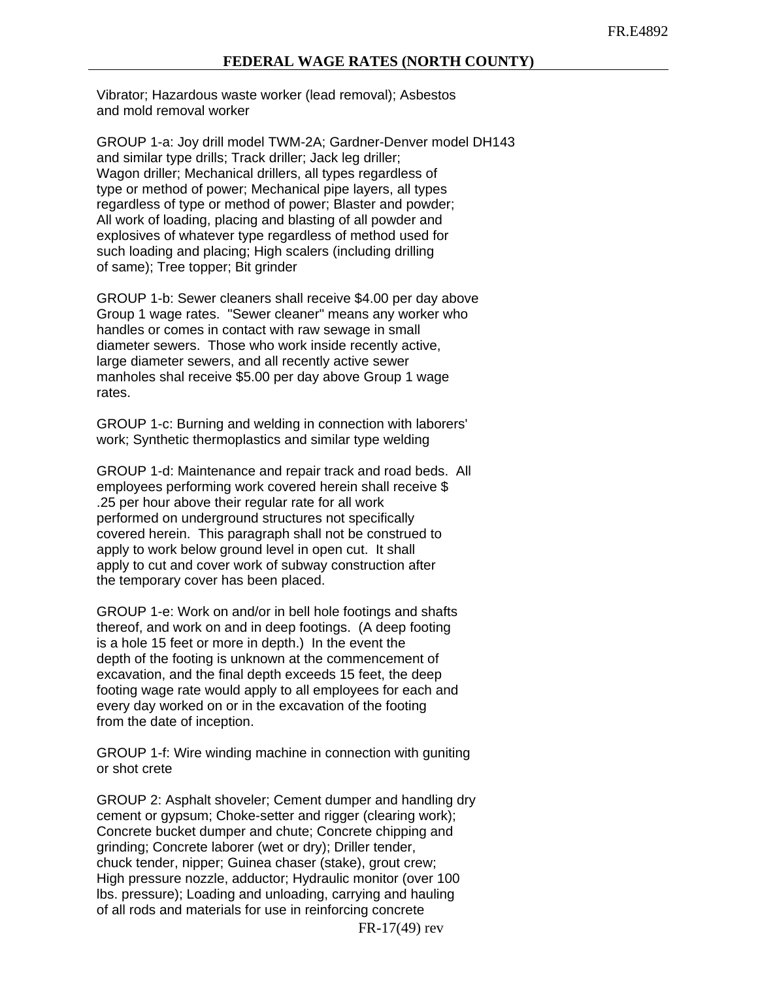Vibrator; Hazardous waste worker (lead removal); Asbestos and mold removal worker

 GROUP 1-a: Joy drill model TWM-2A; Gardner-Denver model DH143 and similar type drills; Track driller; Jack leg driller; Wagon driller; Mechanical drillers, all types regardless of type or method of power; Mechanical pipe layers, all types regardless of type or method of power; Blaster and powder; All work of loading, placing and blasting of all powder and explosives of whatever type regardless of method used for such loading and placing; High scalers (including drilling of same); Tree topper; Bit grinder

 GROUP 1-b: Sewer cleaners shall receive \$4.00 per day above Group 1 wage rates. "Sewer cleaner" means any worker who handles or comes in contact with raw sewage in small diameter sewers. Those who work inside recently active, large diameter sewers, and all recently active sewer manholes shal receive \$5.00 per day above Group 1 wage rates.

 GROUP 1-c: Burning and welding in connection with laborers' work; Synthetic thermoplastics and similar type welding

 GROUP 1-d: Maintenance and repair track and road beds. All employees performing work covered herein shall receive \$ .25 per hour above their regular rate for all work performed on underground structures not specifically covered herein. This paragraph shall not be construed to apply to work below ground level in open cut. It shall apply to cut and cover work of subway construction after the temporary cover has been placed.

 GROUP 1-e: Work on and/or in bell hole footings and shafts thereof, and work on and in deep footings. (A deep footing is a hole 15 feet or more in depth.) In the event the depth of the footing is unknown at the commencement of excavation, and the final depth exceeds 15 feet, the deep footing wage rate would apply to all employees for each and every day worked on or in the excavation of the footing from the date of inception.

 GROUP 1-f: Wire winding machine in connection with guniting or shot crete

 GROUP 2: Asphalt shoveler; Cement dumper and handling dry cement or gypsum; Choke-setter and rigger (clearing work); Concrete bucket dumper and chute; Concrete chipping and grinding; Concrete laborer (wet or dry); Driller tender, chuck tender, nipper; Guinea chaser (stake), grout crew; High pressure nozzle, adductor; Hydraulic monitor (over 100 lbs. pressure); Loading and unloading, carrying and hauling of all rods and materials for use in reinforcing concrete

FR-17(49) rev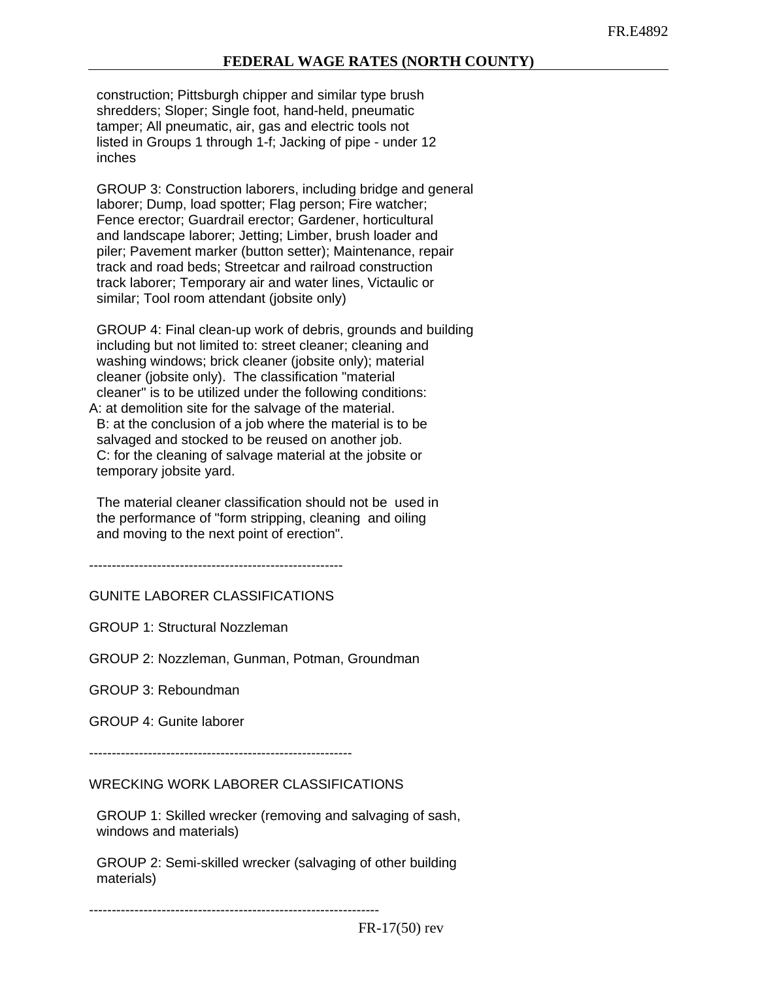construction; Pittsburgh chipper and similar type brush shredders; Sloper; Single foot, hand-held, pneumatic tamper; All pneumatic, air, gas and electric tools not listed in Groups 1 through 1-f; Jacking of pipe - under 12 inches

 GROUP 3: Construction laborers, including bridge and general laborer; Dump, load spotter; Flag person; Fire watcher; Fence erector; Guardrail erector; Gardener, horticultural and landscape laborer; Jetting; Limber, brush loader and piler; Pavement marker (button setter); Maintenance, repair track and road beds; Streetcar and railroad construction track laborer; Temporary air and water lines, Victaulic or similar; Tool room attendant (jobsite only)

 GROUP 4: Final clean-up work of debris, grounds and building including but not limited to: street cleaner; cleaning and washing windows; brick cleaner (jobsite only); material cleaner (jobsite only). The classification "material cleaner" is to be utilized under the following conditions: A: at demolition site for the salvage of the material.

 B: at the conclusion of a job where the material is to be salvaged and stocked to be reused on another job. C: for the cleaning of salvage material at the jobsite or temporary jobsite yard.

 The material cleaner classification should not be used in the performance of "form stripping, cleaning and oiling and moving to the next point of erection".

--------------------------------------------------------

GUNITE LABORER CLASSIFICATIONS

GROUP 1: Structural Nozzleman

GROUP 2: Nozzleman, Gunman, Potman, Groundman

GROUP 3: Reboundman

GROUP 4: Gunite laborer

----------------------------------------------------------

WRECKING WORK LABORER CLASSIFICATIONS

 GROUP 1: Skilled wrecker (removing and salvaging of sash, windows and materials)

 GROUP 2: Semi-skilled wrecker (salvaging of other building materials)

----------------------------------------------------------------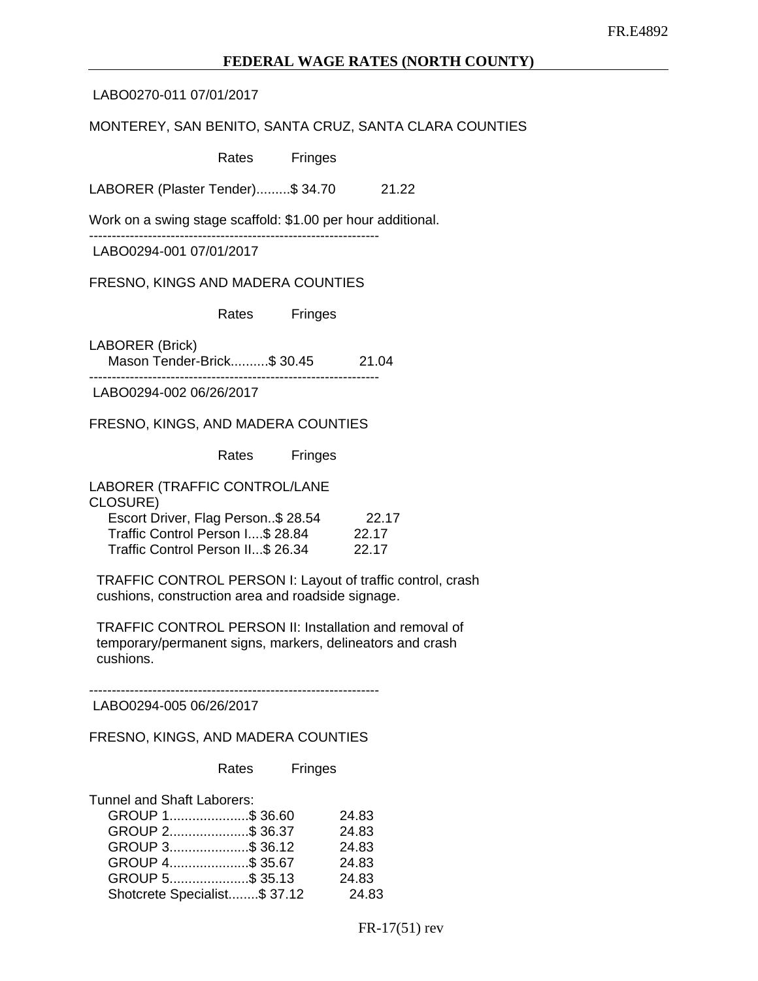LABO0270-011 07/01/2017

## MONTEREY, SAN BENITO, SANTA CRUZ, SANTA CLARA COUNTIES

Rates Fringes

LABORER (Plaster Tender).........\$ 34.70 21.22

Work on a swing stage scaffold: \$1.00 per hour additional.

----------------------------------------------------------------

LABO0294-001 07/01/2017

## FRESNO, KINGS AND MADERA COUNTIES

Rates Fringes

LABORER (Brick) Mason Tender-Brick..........\$ 30.45 21.04

---------------------------------------------------------------- LABO0294-002 06/26/2017

FRESNO, KINGS, AND MADERA COUNTIES

Rates Fringes

| LABORER (TRAFFIC CONTROL/LANE       |       |
|-------------------------------------|-------|
| CLOSURE)                            |       |
| Escort Driver, Flag Person. \$28.54 | 22.17 |
| Traffic Control Person I\$ 28.84    | 22.17 |
| Traffic Control Person II\$ 26.34   | 22.17 |

 TRAFFIC CONTROL PERSON I: Layout of traffic control, crash cushions, construction area and roadside signage.

 TRAFFIC CONTROL PERSON II: Installation and removal of temporary/permanent signs, markers, delineators and crash cushions.

----------------------------------------------------------------

LABO0294-005 06/26/2017

# FRESNO, KINGS, AND MADERA COUNTIES

Rates Fringes

| Tunnel and Shaft Laborers:   |       |
|------------------------------|-------|
| GROUP 1\$ 36.60              | 24.83 |
| GROUP 2\$ 36.37              | 24.83 |
| GROUP 3\$ 36.12              | 24.83 |
| GROUP 4\$ 35.67              | 24.83 |
| GROUP 5\$ 35.13              | 24.83 |
| Shotcrete Specialist\$ 37.12 | 24.83 |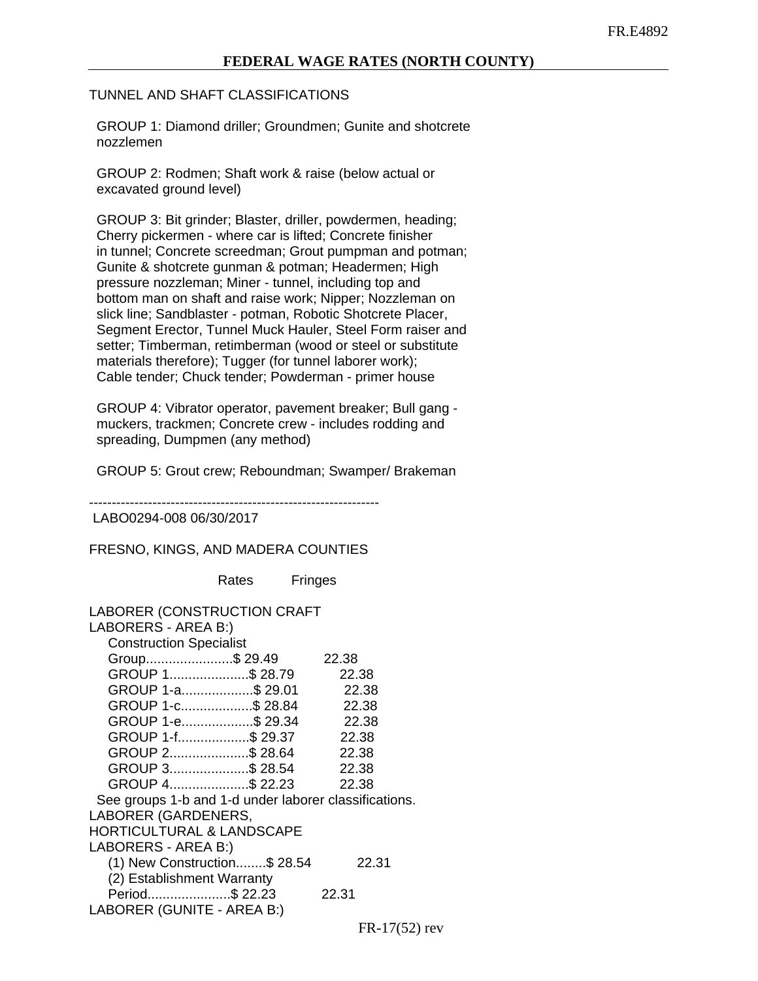TUNNEL AND SHAFT CLASSIFICATIONS

 GROUP 1: Diamond driller; Groundmen; Gunite and shotcrete nozzlemen

 GROUP 2: Rodmen; Shaft work & raise (below actual or excavated ground level)

 GROUP 3: Bit grinder; Blaster, driller, powdermen, heading; Cherry pickermen - where car is lifted; Concrete finisher in tunnel; Concrete screedman; Grout pumpman and potman; Gunite & shotcrete gunman & potman; Headermen; High pressure nozzleman; Miner - tunnel, including top and bottom man on shaft and raise work; Nipper; Nozzleman on slick line; Sandblaster - potman, Robotic Shotcrete Placer, Segment Erector, Tunnel Muck Hauler, Steel Form raiser and setter; Timberman, retimberman (wood or steel or substitute materials therefore); Tugger (for tunnel laborer work); Cable tender; Chuck tender; Powderman - primer house

 GROUP 4: Vibrator operator, pavement breaker; Bull gang muckers, trackmen; Concrete crew - includes rodding and spreading, Dumpmen (any method)

GROUP 5: Grout crew; Reboundman; Swamper/ Brakeman

----------------------------------------------------------------

LABO0294-008 06/30/2017

#### FRESNO, KINGS, AND MADERA COUNTIES

Rates Fringes

| <b>LABORER (CONSTRUCTION CRAFT</b>                    |  |       |  |  |
|-------------------------------------------------------|--|-------|--|--|
| LABORERS - AREA B:)                                   |  |       |  |  |
| <b>Construction Specialist</b>                        |  |       |  |  |
| Group\$ 29.49                                         |  | 22.38 |  |  |
| GROUP 1\$ 28.79                                       |  | 22.38 |  |  |
| GROUP 1-a\$ 29.01                                     |  | 22.38 |  |  |
| GROUP 1-c\$ 28.84                                     |  | 22.38 |  |  |
| GROUP 1-e\$ 29.34 22.38                               |  |       |  |  |
| GROUP 1-f\$ 29.37 22.38                               |  |       |  |  |
| GROUP 2\$ 28.64 22.38                                 |  |       |  |  |
| GROUP 3\$ 28.54 22.38                                 |  |       |  |  |
| GROUP 4\$ 22.23                                       |  | 22.38 |  |  |
| See groups 1-b and 1-d under laborer classifications. |  |       |  |  |
| LABORER (GARDENERS,                                   |  |       |  |  |
| <b>HORTICULTURAL &amp; LANDSCAPE</b>                  |  |       |  |  |
| LABORERS - AREA B:)                                   |  |       |  |  |
| (1) New Construction\$ 28.54                          |  | 22.31 |  |  |
| (2) Establishment Warranty                            |  |       |  |  |
| Period\$ 22.23                                        |  | 22.31 |  |  |
| LABORER (GUNITE - AREA B:)                            |  |       |  |  |
|                                                       |  |       |  |  |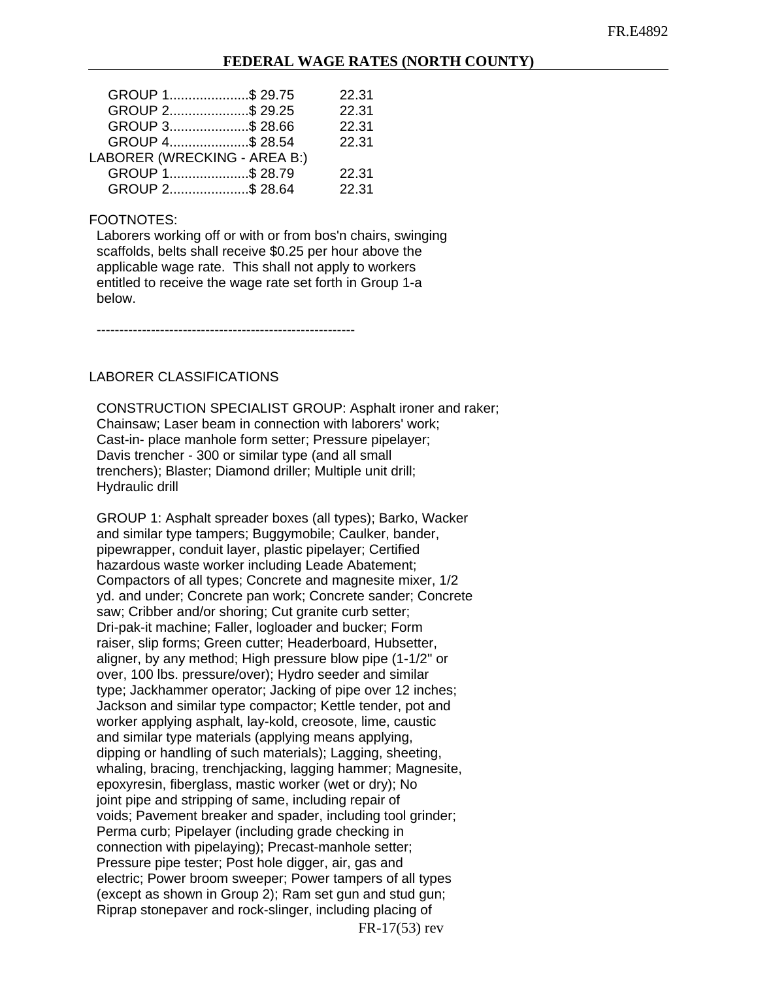| GROUP 1\$ 29.75              | 22.31 |
|------------------------------|-------|
| GROUP 2\$ 29.25              | 22.31 |
| GROUP 3\$ 28.66              | 22.31 |
| GROUP 4\$ 28.54              | 22.31 |
| LABORER (WRECKING - AREA B:) |       |
| GROUP 1\$ 28.79              | 22.31 |
| GROUP 2\$ 28.64              | 22.31 |

## FOOTNOTES:

 Laborers working off or with or from bos'n chairs, swinging scaffolds, belts shall receive \$0.25 per hour above the applicable wage rate. This shall not apply to workers entitled to receive the wage rate set forth in Group 1-a below.

---------------------------------------------------------

## LABORER CLASSIFICATIONS

 CONSTRUCTION SPECIALIST GROUP: Asphalt ironer and raker; Chainsaw; Laser beam in connection with laborers' work; Cast-in- place manhole form setter; Pressure pipelayer; Davis trencher - 300 or similar type (and all small trenchers); Blaster; Diamond driller; Multiple unit drill; Hydraulic drill

 GROUP 1: Asphalt spreader boxes (all types); Barko, Wacker and similar type tampers; Buggymobile; Caulker, bander, pipewrapper, conduit layer, plastic pipelayer; Certified hazardous waste worker including Leade Abatement; Compactors of all types; Concrete and magnesite mixer, 1/2 yd. and under; Concrete pan work; Concrete sander; Concrete saw; Cribber and/or shoring; Cut granite curb setter; Dri-pak-it machine; Faller, logloader and bucker; Form raiser, slip forms; Green cutter; Headerboard, Hubsetter, aligner, by any method; High pressure blow pipe (1-1/2" or over, 100 lbs. pressure/over); Hydro seeder and similar type; Jackhammer operator; Jacking of pipe over 12 inches; Jackson and similar type compactor; Kettle tender, pot and worker applying asphalt, lay-kold, creosote, lime, caustic and similar type materials (applying means applying, dipping or handling of such materials); Lagging, sheeting, whaling, bracing, trenchjacking, lagging hammer; Magnesite, epoxyresin, fiberglass, mastic worker (wet or dry); No joint pipe and stripping of same, including repair of voids; Pavement breaker and spader, including tool grinder; Perma curb; Pipelayer (including grade checking in connection with pipelaying); Precast-manhole setter; Pressure pipe tester; Post hole digger, air, gas and electric; Power broom sweeper; Power tampers of all types (except as shown in Group 2); Ram set gun and stud gun; Riprap stonepaver and rock-slinger, including placing of

FR-17(53) rev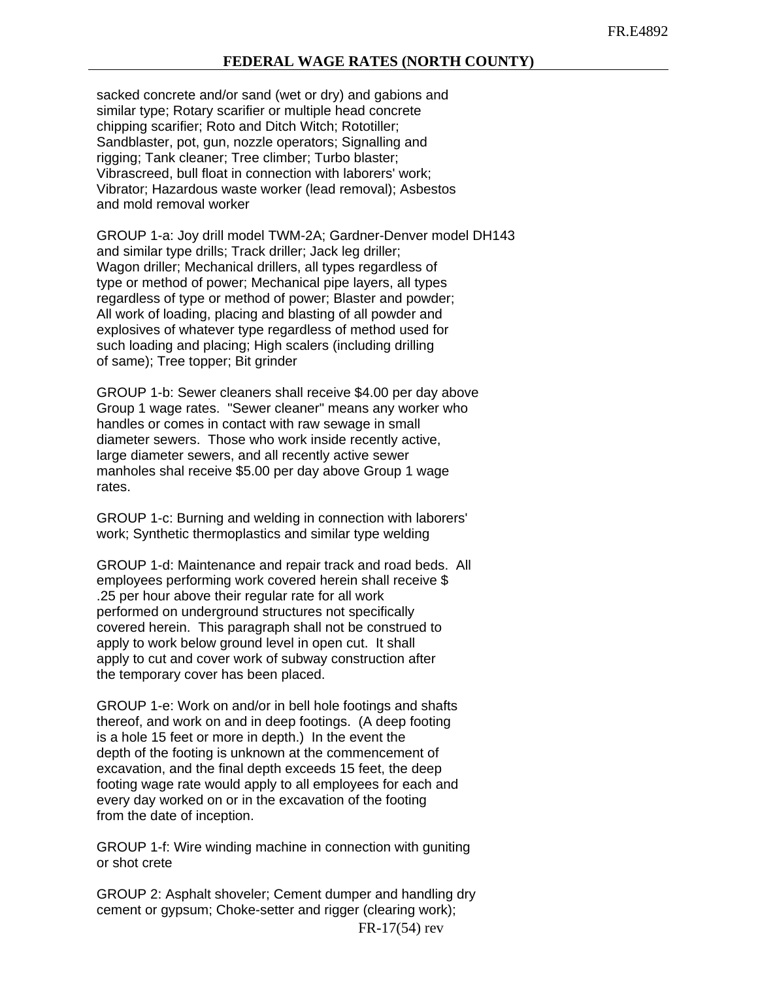sacked concrete and/or sand (wet or dry) and gabions and similar type; Rotary scarifier or multiple head concrete chipping scarifier; Roto and Ditch Witch; Rototiller; Sandblaster, pot, gun, nozzle operators; Signalling and rigging; Tank cleaner; Tree climber; Turbo blaster; Vibrascreed, bull float in connection with laborers' work; Vibrator; Hazardous waste worker (lead removal); Asbestos and mold removal worker

 GROUP 1-a: Joy drill model TWM-2A; Gardner-Denver model DH143 and similar type drills; Track driller; Jack leg driller; Wagon driller; Mechanical drillers, all types regardless of type or method of power; Mechanical pipe layers, all types regardless of type or method of power; Blaster and powder; All work of loading, placing and blasting of all powder and explosives of whatever type regardless of method used for such loading and placing; High scalers (including drilling of same); Tree topper; Bit grinder

 GROUP 1-b: Sewer cleaners shall receive \$4.00 per day above Group 1 wage rates. "Sewer cleaner" means any worker who handles or comes in contact with raw sewage in small diameter sewers. Those who work inside recently active, large diameter sewers, and all recently active sewer manholes shal receive \$5.00 per day above Group 1 wage rates.

 GROUP 1-c: Burning and welding in connection with laborers' work; Synthetic thermoplastics and similar type welding

 GROUP 1-d: Maintenance and repair track and road beds. All employees performing work covered herein shall receive \$ .25 per hour above their regular rate for all work performed on underground structures not specifically covered herein. This paragraph shall not be construed to apply to work below ground level in open cut. It shall apply to cut and cover work of subway construction after the temporary cover has been placed.

 GROUP 1-e: Work on and/or in bell hole footings and shafts thereof, and work on and in deep footings. (A deep footing is a hole 15 feet or more in depth.) In the event the depth of the footing is unknown at the commencement of excavation, and the final depth exceeds 15 feet, the deep footing wage rate would apply to all employees for each and every day worked on or in the excavation of the footing from the date of inception.

 GROUP 1-f: Wire winding machine in connection with guniting or shot crete

 GROUP 2: Asphalt shoveler; Cement dumper and handling dry cement or gypsum; Choke-setter and rigger (clearing work);

FR-17(54) rev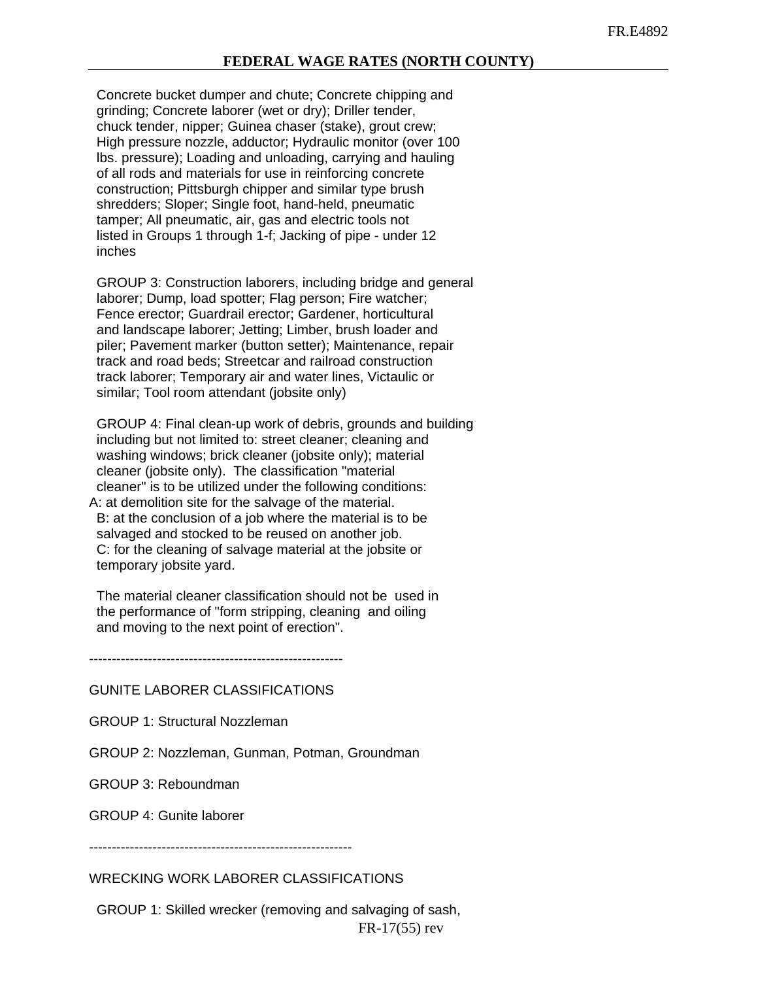Concrete bucket dumper and chute; Concrete chipping and grinding; Concrete laborer (wet or dry); Driller tender, chuck tender, nipper; Guinea chaser (stake), grout crew; High pressure nozzle, adductor; Hydraulic monitor (over 100 lbs. pressure); Loading and unloading, carrying and hauling of all rods and materials for use in reinforcing concrete construction; Pittsburgh chipper and similar type brush shredders; Sloper; Single foot, hand-held, pneumatic tamper; All pneumatic, air, gas and electric tools not listed in Groups 1 through 1-f; Jacking of pipe - under 12 inches

 GROUP 3: Construction laborers, including bridge and general laborer; Dump, load spotter; Flag person; Fire watcher; Fence erector; Guardrail erector; Gardener, horticultural and landscape laborer; Jetting; Limber, brush loader and piler; Pavement marker (button setter); Maintenance, repair track and road beds; Streetcar and railroad construction track laborer; Temporary air and water lines, Victaulic or similar; Tool room attendant (jobsite only)

 GROUP 4: Final clean-up work of debris, grounds and building including but not limited to: street cleaner; cleaning and washing windows; brick cleaner (jobsite only); material cleaner (jobsite only). The classification "material cleaner" is to be utilized under the following conditions: A: at demolition site for the salvage of the material. B: at the conclusion of a job where the material is to be salvaged and stocked to be reused on another job. C: for the cleaning of salvage material at the jobsite or temporary jobsite yard.

 The material cleaner classification should not be used in the performance of "form stripping, cleaning and oiling and moving to the next point of erection".

--------------------------------------------------------

## GUNITE LABORER CLASSIFICATIONS

GROUP 1: Structural Nozzleman

GROUP 2: Nozzleman, Gunman, Potman, Groundman

GROUP 3: Reboundman

GROUP 4: Gunite laborer

----------------------------------------------------------

WRECKING WORK LABORER CLASSIFICATIONS

FR-17(55) rev GROUP 1: Skilled wrecker (removing and salvaging of sash,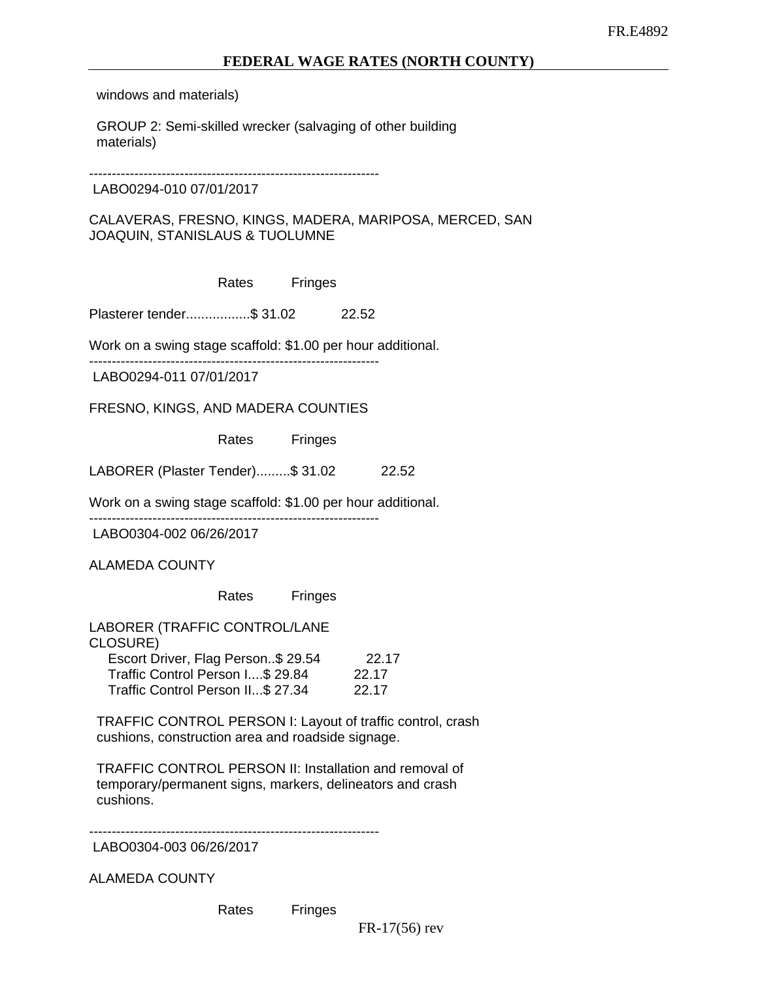windows and materials)

 GROUP 2: Semi-skilled wrecker (salvaging of other building materials)

----------------------------------------------------------------

LABO0294-010 07/01/2017

CALAVERAS, FRESNO, KINGS, MADERA, MARIPOSA, MERCED, SAN JOAQUIN, STANISLAUS & TUOLUMNE

Rates Fringes

Plasterer tender.................\$ 31.02 22.52

Work on a swing stage scaffold: \$1.00 per hour additional.

----------------------------------------------------------------

LABO0294-011 07/01/2017

FRESNO, KINGS, AND MADERA COUNTIES

Rates Fringes

LABORER (Plaster Tender).........\$ 31.02 22.52

Work on a swing stage scaffold: \$1.00 per hour additional.

----------------------------------------------------------------

LABO0304-002 06/26/2017

ALAMEDA COUNTY

Rates Fringes

LABORER (TRAFFIC CONTROL/LANE CLOSURE) Escort Driver, Flag Person..\$ 29.54 22.17 Traffic Control Person I....\$ 29.84 22.17 Traffic Control Person II...\$ 27.34 22.17

 TRAFFIC CONTROL PERSON I: Layout of traffic control, crash cushions, construction area and roadside signage.

 TRAFFIC CONTROL PERSON II: Installation and removal of temporary/permanent signs, markers, delineators and crash cushions.

----------------------------------------------------------------

LABO0304-003 06/26/2017

ALAMEDA COUNTY

Rates Fringes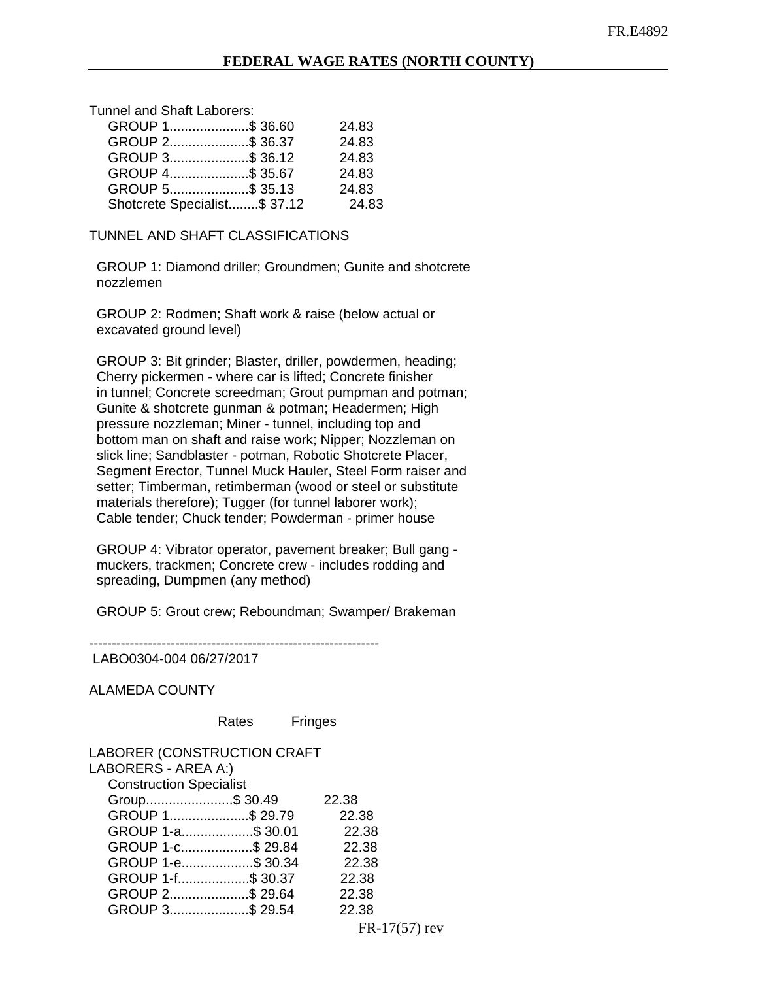| Tunnel and Shaft Laborers: |  |
|----------------------------|--|
|----------------------------|--|

| GROUP 1\$ 36.60              | 24.83 |
|------------------------------|-------|
| GROUP 2\$ 36.37              | 24.83 |
| GROUP 3\$ 36.12              | 24.83 |
| GROUP 4\$ 35.67              | 24.83 |
| GROUP 5\$ 35.13              | 24.83 |
| Shotcrete Specialist\$ 37.12 | 24.83 |

TUNNEL AND SHAFT CLASSIFICATIONS

 GROUP 1: Diamond driller; Groundmen; Gunite and shotcrete nozzlemen

 GROUP 2: Rodmen; Shaft work & raise (below actual or excavated ground level)

 GROUP 3: Bit grinder; Blaster, driller, powdermen, heading; Cherry pickermen - where car is lifted; Concrete finisher in tunnel; Concrete screedman; Grout pumpman and potman; Gunite & shotcrete gunman & potman; Headermen; High pressure nozzleman; Miner - tunnel, including top and bottom man on shaft and raise work; Nipper; Nozzleman on slick line; Sandblaster - potman, Robotic Shotcrete Placer, Segment Erector, Tunnel Muck Hauler, Steel Form raiser and setter; Timberman, retimberman (wood or steel or substitute materials therefore); Tugger (for tunnel laborer work); Cable tender; Chuck tender; Powderman - primer house

 GROUP 4: Vibrator operator, pavement breaker; Bull gang muckers, trackmen; Concrete crew - includes rodding and spreading, Dumpmen (any method)

GROUP 5: Grout crew; Reboundman; Swamper/ Brakeman

---------------------------------------------------------------- LABO0304-004 06/27/2017

ALAMEDA COUNTY

Rates Fringes

# LABORER (CONSTRUCTION CRAFT LABORERS - AREA A:) Construction Specialist Group.......................\$ 30.49 22.38 GROUP 1....................\$ 29.79 22.38 GROUP 1-a..................\$ 30.01 22.38 GROUP 1-c...................\$ 29.84 22.38 GROUP 1-e..................\$ 30.34 22.38 GROUP 1-f...................\$ 30.37 22.38 GROUP 2.....................\$ 29.64 22.38 GROUP 3.....................\$ 29.54 22.38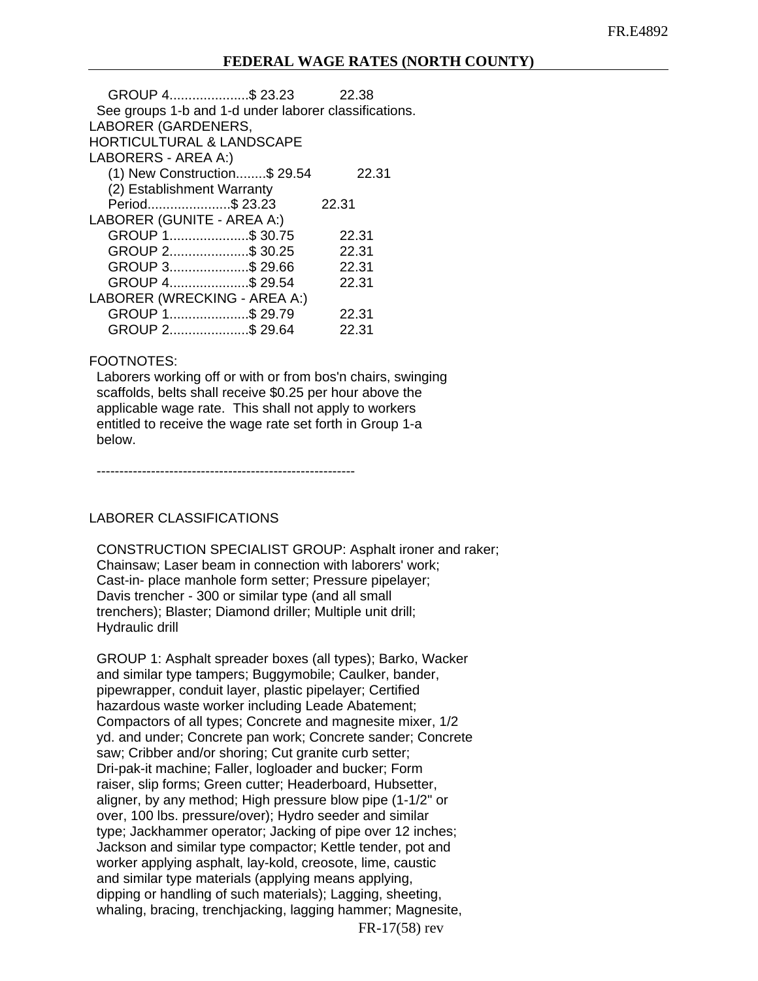| GROUP 4\$ 23.23 22.38                                 |       |
|-------------------------------------------------------|-------|
| See groups 1-b and 1-d under laborer classifications. |       |
| LABORER (GARDENERS,                                   |       |
| <b>HORTICULTURAL &amp; LANDSCAPE</b>                  |       |
| LABORERS - AREA A:)                                   |       |
| (1) New Construction\$ 29.54                          | 22.31 |
| (2) Establishment Warranty                            |       |
| Period\$ 23.23                                        | 22.31 |
| LABORER (GUNITE - AREA A:)                            |       |
| GROUP 1\$ 30.75                                       | 22.31 |
| GROUP 2\$ 30.25                                       | 22.31 |
| GROUP 3\$ 29.66                                       | 22.31 |
| GROUP 4\$ 29.54                                       | 22.31 |
| LABORER (WRECKING - AREA A:)                          |       |
| GROUP 1\$ 29.79                                       | 22.31 |
| GROUP 2\$ 29.64                                       | 22.31 |
|                                                       |       |

## FOOTNOTES:

 Laborers working off or with or from bos'n chairs, swinging scaffolds, belts shall receive \$0.25 per hour above the applicable wage rate. This shall not apply to workers entitled to receive the wage rate set forth in Group 1-a below.

---------------------------------------------------------

## LABORER CLASSIFICATIONS

 CONSTRUCTION SPECIALIST GROUP: Asphalt ironer and raker; Chainsaw; Laser beam in connection with laborers' work; Cast-in- place manhole form setter; Pressure pipelayer; Davis trencher - 300 or similar type (and all small trenchers); Blaster; Diamond driller; Multiple unit drill; Hydraulic drill

 GROUP 1: Asphalt spreader boxes (all types); Barko, Wacker and similar type tampers; Buggymobile; Caulker, bander, pipewrapper, conduit layer, plastic pipelayer; Certified hazardous waste worker including Leade Abatement; Compactors of all types; Concrete and magnesite mixer, 1/2 yd. and under; Concrete pan work; Concrete sander; Concrete saw; Cribber and/or shoring; Cut granite curb setter; Dri-pak-it machine; Faller, logloader and bucker; Form raiser, slip forms; Green cutter; Headerboard, Hubsetter, aligner, by any method; High pressure blow pipe (1-1/2" or over, 100 lbs. pressure/over); Hydro seeder and similar type; Jackhammer operator; Jacking of pipe over 12 inches; Jackson and similar type compactor; Kettle tender, pot and worker applying asphalt, lay-kold, creosote, lime, caustic and similar type materials (applying means applying, dipping or handling of such materials); Lagging, sheeting, whaling, bracing, trenchjacking, lagging hammer; Magnesite,

FR-17(58) rev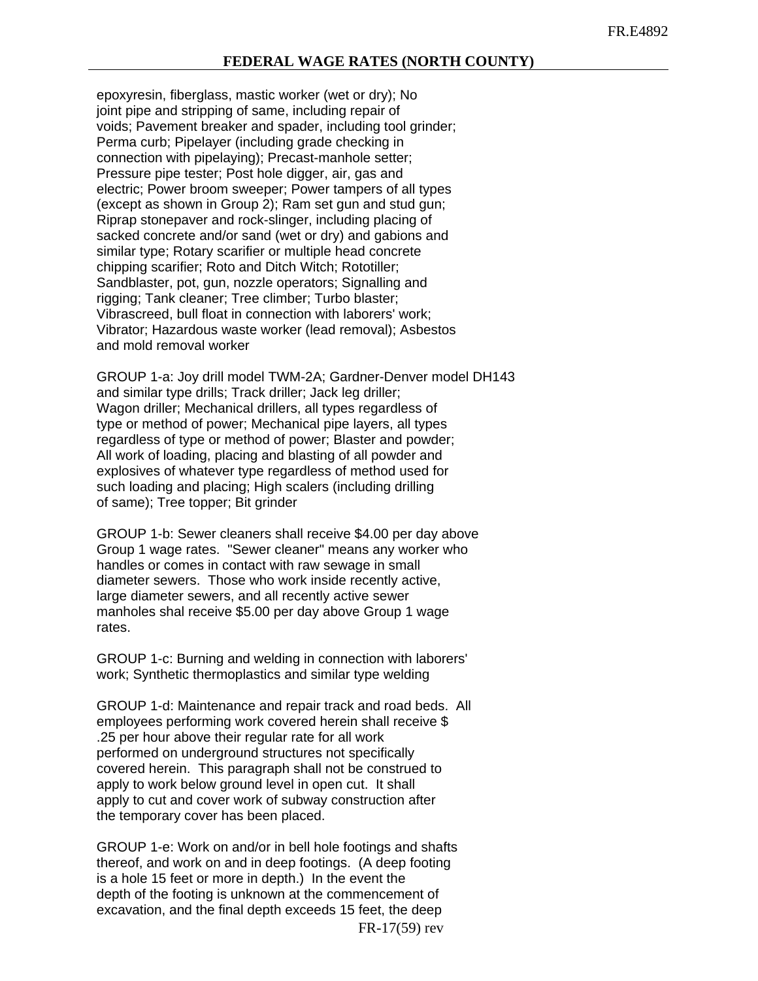epoxyresin, fiberglass, mastic worker (wet or dry); No joint pipe and stripping of same, including repair of voids; Pavement breaker and spader, including tool grinder; Perma curb; Pipelayer (including grade checking in connection with pipelaying); Precast-manhole setter; Pressure pipe tester; Post hole digger, air, gas and electric; Power broom sweeper; Power tampers of all types (except as shown in Group 2); Ram set gun and stud gun; Riprap stonepaver and rock-slinger, including placing of sacked concrete and/or sand (wet or dry) and gabions and similar type; Rotary scarifier or multiple head concrete chipping scarifier; Roto and Ditch Witch; Rototiller; Sandblaster, pot, gun, nozzle operators; Signalling and rigging; Tank cleaner; Tree climber; Turbo blaster; Vibrascreed, bull float in connection with laborers' work; Vibrator; Hazardous waste worker (lead removal); Asbestos and mold removal worker

 GROUP 1-a: Joy drill model TWM-2A; Gardner-Denver model DH143 and similar type drills; Track driller; Jack leg driller; Wagon driller; Mechanical drillers, all types regardless of type or method of power; Mechanical pipe layers, all types regardless of type or method of power; Blaster and powder; All work of loading, placing and blasting of all powder and explosives of whatever type regardless of method used for such loading and placing; High scalers (including drilling of same); Tree topper; Bit grinder

 GROUP 1-b: Sewer cleaners shall receive \$4.00 per day above Group 1 wage rates. "Sewer cleaner" means any worker who handles or comes in contact with raw sewage in small diameter sewers. Those who work inside recently active, large diameter sewers, and all recently active sewer manholes shal receive \$5.00 per day above Group 1 wage rates.

 GROUP 1-c: Burning and welding in connection with laborers' work; Synthetic thermoplastics and similar type welding

 GROUP 1-d: Maintenance and repair track and road beds. All employees performing work covered herein shall receive \$ .25 per hour above their regular rate for all work performed on underground structures not specifically covered herein. This paragraph shall not be construed to apply to work below ground level in open cut. It shall apply to cut and cover work of subway construction after the temporary cover has been placed.

 GROUP 1-e: Work on and/or in bell hole footings and shafts thereof, and work on and in deep footings. (A deep footing is a hole 15 feet or more in depth.) In the event the depth of the footing is unknown at the commencement of excavation, and the final depth exceeds 15 feet, the deep

FR-17(59) rev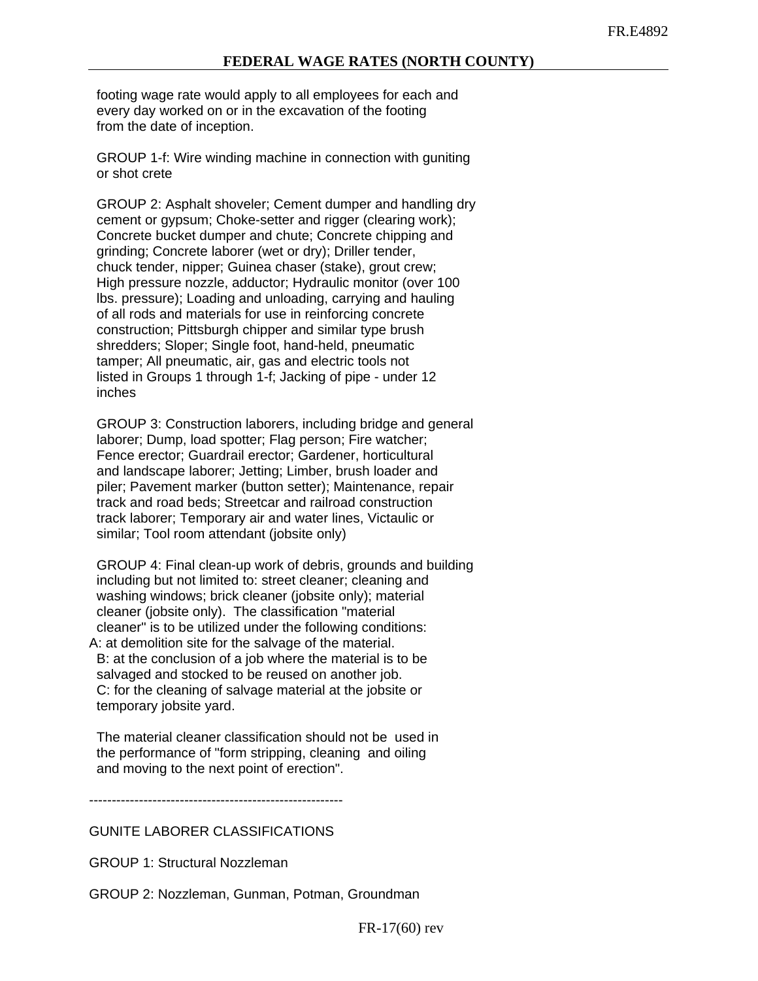footing wage rate would apply to all employees for each and every day worked on or in the excavation of the footing from the date of inception.

 GROUP 1-f: Wire winding machine in connection with guniting or shot crete

 GROUP 2: Asphalt shoveler; Cement dumper and handling dry cement or gypsum; Choke-setter and rigger (clearing work); Concrete bucket dumper and chute; Concrete chipping and grinding; Concrete laborer (wet or dry); Driller tender, chuck tender, nipper; Guinea chaser (stake), grout crew; High pressure nozzle, adductor; Hydraulic monitor (over 100 lbs. pressure); Loading and unloading, carrying and hauling of all rods and materials for use in reinforcing concrete construction; Pittsburgh chipper and similar type brush shredders; Sloper; Single foot, hand-held, pneumatic tamper; All pneumatic, air, gas and electric tools not listed in Groups 1 through 1-f; Jacking of pipe - under 12 inches

 GROUP 3: Construction laborers, including bridge and general laborer; Dump, load spotter; Flag person; Fire watcher; Fence erector; Guardrail erector; Gardener, horticultural and landscape laborer; Jetting; Limber, brush loader and piler; Pavement marker (button setter); Maintenance, repair track and road beds; Streetcar and railroad construction track laborer; Temporary air and water lines, Victaulic or similar; Tool room attendant (jobsite only)

 GROUP 4: Final clean-up work of debris, grounds and building including but not limited to: street cleaner; cleaning and washing windows; brick cleaner (jobsite only); material cleaner (jobsite only). The classification "material cleaner" is to be utilized under the following conditions: A: at demolition site for the salvage of the material. B: at the conclusion of a job where the material is to be salvaged and stocked to be reused on another job. C: for the cleaning of salvage material at the jobsite or temporary jobsite yard.

 The material cleaner classification should not be used in the performance of "form stripping, cleaning and oiling and moving to the next point of erection".

--------------------------------------------------------

## GUNITE LABORER CLASSIFICATIONS

GROUP 1: Structural Nozzleman

GROUP 2: Nozzleman, Gunman, Potman, Groundman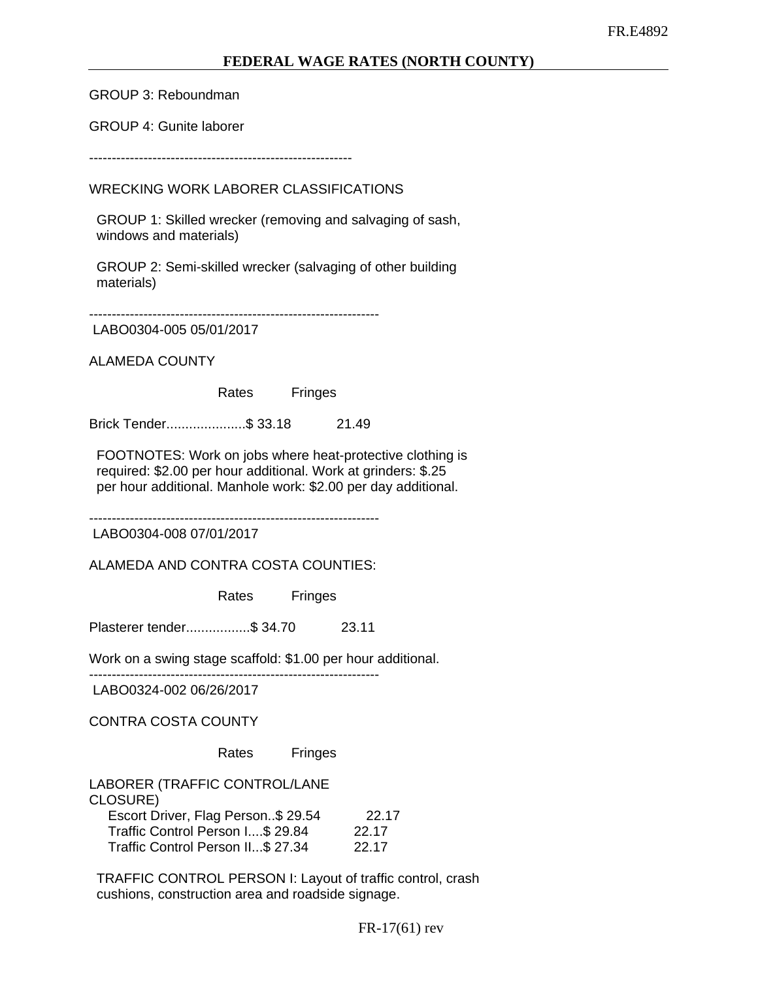GROUP 3: Reboundman

GROUP 4: Gunite laborer

----------------------------------------------------------

WRECKING WORK LABORER CLASSIFICATIONS

 GROUP 1: Skilled wrecker (removing and salvaging of sash, windows and materials)

 GROUP 2: Semi-skilled wrecker (salvaging of other building materials)

----------------------------------------------------------------

LABO0304-005 05/01/2017

ALAMEDA COUNTY

Rates Fringes

Brick Tender.....................\$ 33.18 21.49

 FOOTNOTES: Work on jobs where heat-protective clothing is required: \$2.00 per hour additional. Work at grinders: \$.25 per hour additional. Manhole work: \$2.00 per day additional.

----------------------------------------------------------------

LABO0304-008 07/01/2017

ALAMEDA AND CONTRA COSTA COUNTIES:

Rates Fringes

Plasterer tender.................\$ 34.70 23.11

Work on a swing stage scaffold: \$1.00 per hour additional.

----------------------------------------------------------------

LABO0324-002 06/26/2017

CONTRA COSTA COUNTY

Rates Fringes

LABORER (TRAFFIC CONTROL/LANE CLOSURE)

| Escort Driver, Flag Person. \$29.54 | 22.17 |
|-------------------------------------|-------|
| Traffic Control Person I\$ 29.84    | 22.17 |
| Traffic Control Person II\$ 27.34   | 22.17 |

 TRAFFIC CONTROL PERSON I: Layout of traffic control, crash cushions, construction area and roadside signage.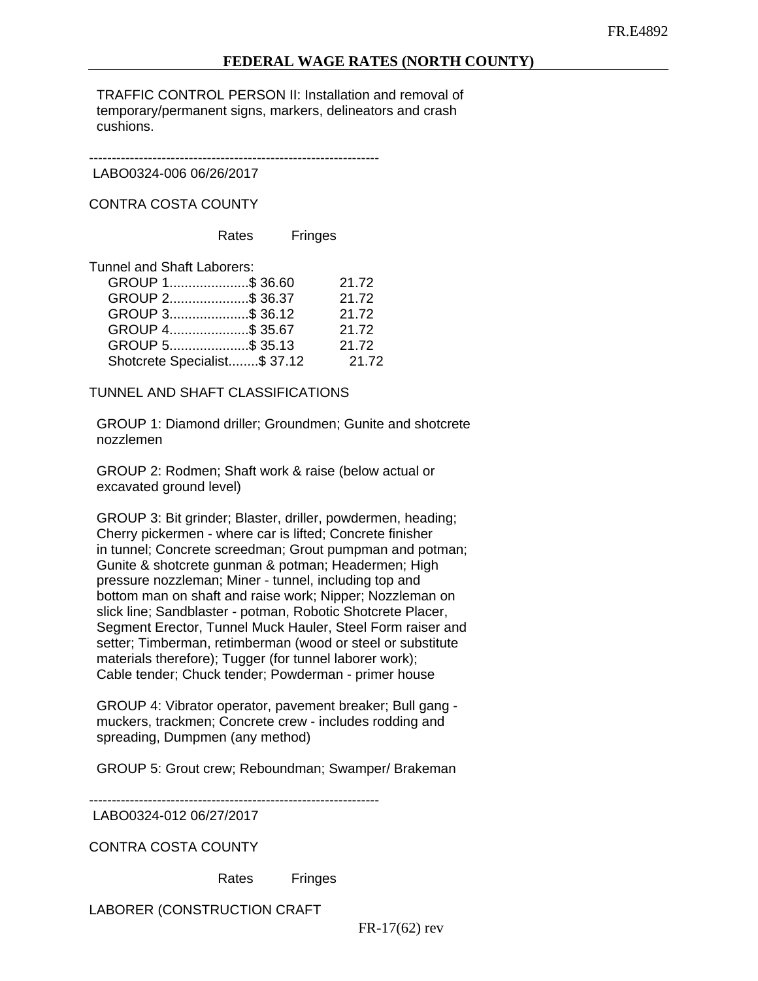TRAFFIC CONTROL PERSON II: Installation and removal of temporary/permanent signs, markers, delineators and crash cushions.

----------------------------------------------------------------

LABO0324-006 06/26/2017

CONTRA COSTA COUNTY

Rates Fringes

Tunnel and Shaft Laborers:

| 21.72                                                                                                                       |
|-----------------------------------------------------------------------------------------------------------------------------|
| 21.72                                                                                                                       |
| 21.72                                                                                                                       |
| 21.72                                                                                                                       |
| 21.72                                                                                                                       |
| 21.72                                                                                                                       |
| GROUP 1\$ 36.60<br>GROUP 2\$ 36.37<br>GROUP 3\$ 36.12<br>GROUP 4\$ 35.67<br>GROUP 5\$ 35.13<br>Shotcrete Specialist\$ 37.12 |

TUNNEL AND SHAFT CLASSIFICATIONS

 GROUP 1: Diamond driller; Groundmen; Gunite and shotcrete nozzlemen

 GROUP 2: Rodmen; Shaft work & raise (below actual or excavated ground level)

 GROUP 3: Bit grinder; Blaster, driller, powdermen, heading; Cherry pickermen - where car is lifted; Concrete finisher in tunnel; Concrete screedman; Grout pumpman and potman; Gunite & shotcrete gunman & potman; Headermen; High pressure nozzleman; Miner - tunnel, including top and bottom man on shaft and raise work; Nipper; Nozzleman on slick line; Sandblaster - potman, Robotic Shotcrete Placer, Segment Erector, Tunnel Muck Hauler, Steel Form raiser and setter; Timberman, retimberman (wood or steel or substitute materials therefore); Tugger (for tunnel laborer work); Cable tender; Chuck tender; Powderman - primer house

 GROUP 4: Vibrator operator, pavement breaker; Bull gang muckers, trackmen; Concrete crew - includes rodding and spreading, Dumpmen (any method)

GROUP 5: Grout crew; Reboundman; Swamper/ Brakeman

---------------------------------------------------------------- LABO0324-012 06/27/2017

CONTRA COSTA COUNTY

Rates Fringes

LABORER (CONSTRUCTION CRAFT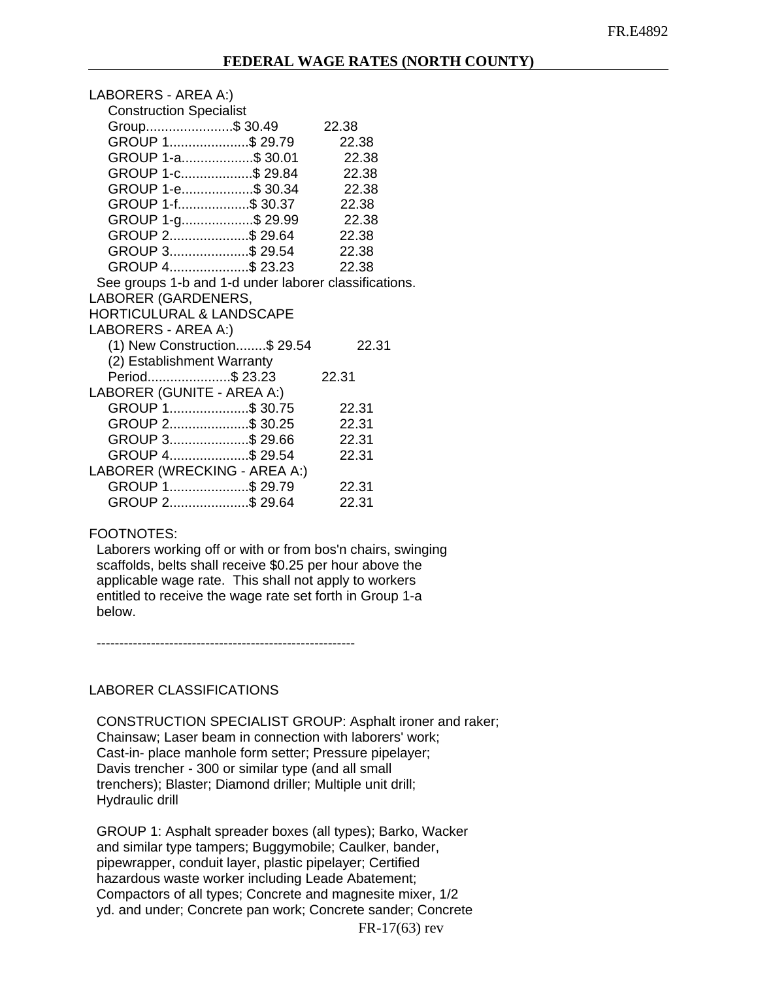| 22.38                                                 |
|-------------------------------------------------------|
| 22.38                                                 |
| 22.38                                                 |
| 22.38                                                 |
| 22.38                                                 |
| 22.38                                                 |
| 22.38                                                 |
| 22.38                                                 |
| 22.38                                                 |
| 22.38                                                 |
| See groups 1-b and 1-d under laborer classifications. |
|                                                       |
|                                                       |
|                                                       |
| 22.31                                                 |
|                                                       |
| 22.31                                                 |
|                                                       |
| 22.31                                                 |
| 22.31                                                 |
| 22.31                                                 |
| 22.31                                                 |
|                                                       |
| 22.31                                                 |
| 22.31                                                 |
|                                                       |

## FOOTNOTES:

 Laborers working off or with or from bos'n chairs, swinging scaffolds, belts shall receive \$0.25 per hour above the applicable wage rate. This shall not apply to workers entitled to receive the wage rate set forth in Group 1-a below.

---------------------------------------------------------

# LABORER CLASSIFICATIONS

 CONSTRUCTION SPECIALIST GROUP: Asphalt ironer and raker; Chainsaw; Laser beam in connection with laborers' work; Cast-in- place manhole form setter; Pressure pipelayer; Davis trencher - 300 or similar type (and all small trenchers); Blaster; Diamond driller; Multiple unit drill; Hydraulic drill

 GROUP 1: Asphalt spreader boxes (all types); Barko, Wacker and similar type tampers; Buggymobile; Caulker, bander, pipewrapper, conduit layer, plastic pipelayer; Certified hazardous waste worker including Leade Abatement; Compactors of all types; Concrete and magnesite mixer, 1/2 yd. and under; Concrete pan work; Concrete sander; Concrete

FR-17(63) rev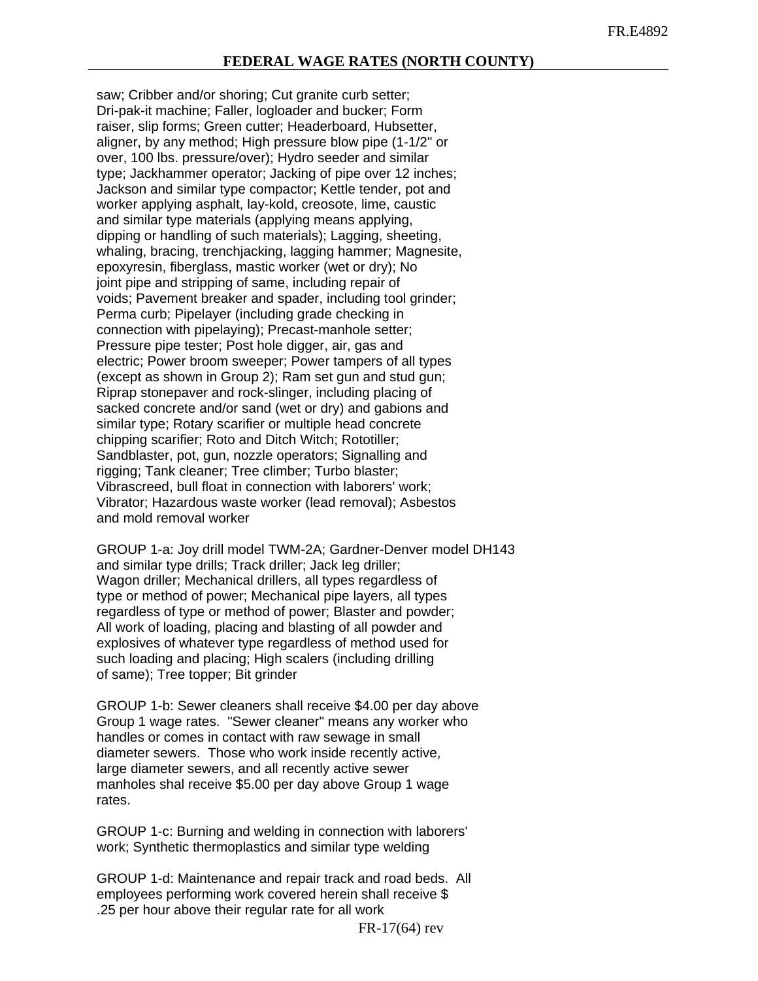saw; Cribber and/or shoring; Cut granite curb setter; Dri-pak-it machine; Faller, logloader and bucker; Form raiser, slip forms; Green cutter; Headerboard, Hubsetter, aligner, by any method; High pressure blow pipe (1-1/2" or over, 100 lbs. pressure/over); Hydro seeder and similar type; Jackhammer operator; Jacking of pipe over 12 inches; Jackson and similar type compactor; Kettle tender, pot and worker applying asphalt, lay-kold, creosote, lime, caustic and similar type materials (applying means applying, dipping or handling of such materials); Lagging, sheeting, whaling, bracing, trenchjacking, lagging hammer; Magnesite, epoxyresin, fiberglass, mastic worker (wet or dry); No joint pipe and stripping of same, including repair of voids; Pavement breaker and spader, including tool grinder; Perma curb; Pipelayer (including grade checking in connection with pipelaying); Precast-manhole setter; Pressure pipe tester; Post hole digger, air, gas and electric; Power broom sweeper; Power tampers of all types (except as shown in Group 2); Ram set gun and stud gun; Riprap stonepaver and rock-slinger, including placing of sacked concrete and/or sand (wet or dry) and gabions and similar type; Rotary scarifier or multiple head concrete chipping scarifier; Roto and Ditch Witch; Rototiller; Sandblaster, pot, gun, nozzle operators; Signalling and rigging; Tank cleaner; Tree climber; Turbo blaster; Vibrascreed, bull float in connection with laborers' work; Vibrator; Hazardous waste worker (lead removal); Asbestos and mold removal worker

 GROUP 1-a: Joy drill model TWM-2A; Gardner-Denver model DH143 and similar type drills; Track driller; Jack leg driller; Wagon driller; Mechanical drillers, all types regardless of type or method of power; Mechanical pipe layers, all types regardless of type or method of power; Blaster and powder; All work of loading, placing and blasting of all powder and explosives of whatever type regardless of method used for such loading and placing; High scalers (including drilling of same); Tree topper; Bit grinder

 GROUP 1-b: Sewer cleaners shall receive \$4.00 per day above Group 1 wage rates. "Sewer cleaner" means any worker who handles or comes in contact with raw sewage in small diameter sewers. Those who work inside recently active, large diameter sewers, and all recently active sewer manholes shal receive \$5.00 per day above Group 1 wage rates.

 GROUP 1-c: Burning and welding in connection with laborers' work; Synthetic thermoplastics and similar type welding

 GROUP 1-d: Maintenance and repair track and road beds. All employees performing work covered herein shall receive \$ .25 per hour above their regular rate for all work

FR-17(64) rev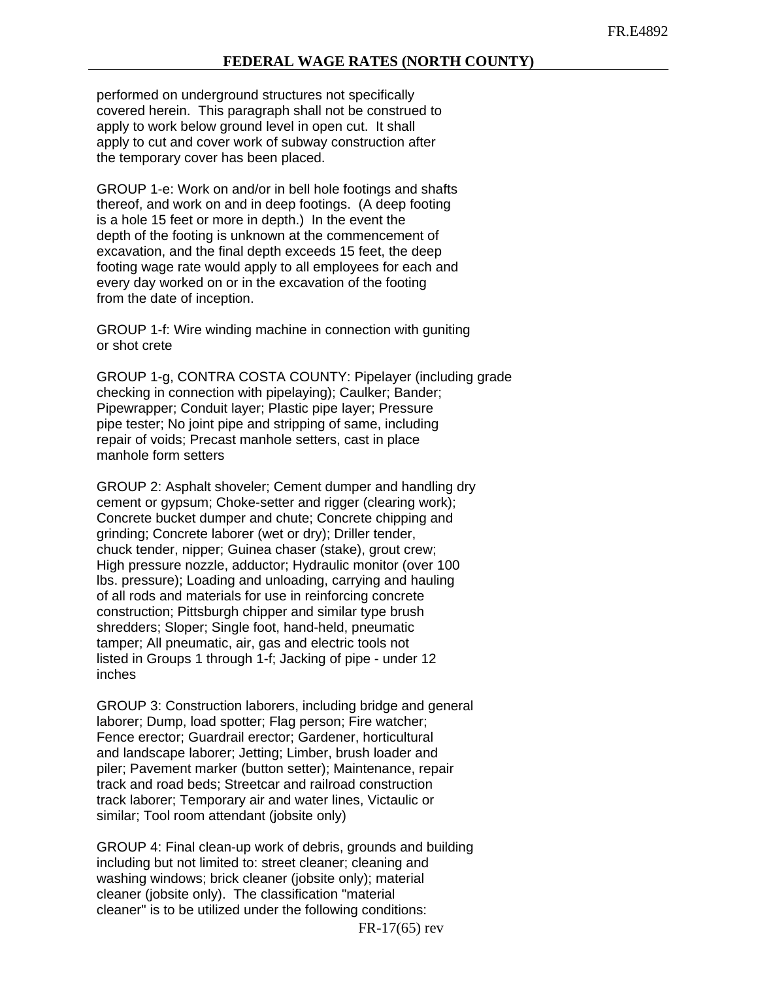performed on underground structures not specifically covered herein. This paragraph shall not be construed to apply to work below ground level in open cut. It shall apply to cut and cover work of subway construction after the temporary cover has been placed.

 GROUP 1-e: Work on and/or in bell hole footings and shafts thereof, and work on and in deep footings. (A deep footing is a hole 15 feet or more in depth.) In the event the depth of the footing is unknown at the commencement of excavation, and the final depth exceeds 15 feet, the deep footing wage rate would apply to all employees for each and every day worked on or in the excavation of the footing from the date of inception.

 GROUP 1-f: Wire winding machine in connection with guniting or shot crete

 GROUP 1-g, CONTRA COSTA COUNTY: Pipelayer (including grade checking in connection with pipelaying); Caulker; Bander; Pipewrapper; Conduit layer; Plastic pipe layer; Pressure pipe tester; No joint pipe and stripping of same, including repair of voids; Precast manhole setters, cast in place manhole form setters

 GROUP 2: Asphalt shoveler; Cement dumper and handling dry cement or gypsum; Choke-setter and rigger (clearing work); Concrete bucket dumper and chute; Concrete chipping and grinding; Concrete laborer (wet or dry); Driller tender, chuck tender, nipper; Guinea chaser (stake), grout crew; High pressure nozzle, adductor; Hydraulic monitor (over 100 lbs. pressure); Loading and unloading, carrying and hauling of all rods and materials for use in reinforcing concrete construction; Pittsburgh chipper and similar type brush shredders; Sloper; Single foot, hand-held, pneumatic tamper; All pneumatic, air, gas and electric tools not listed in Groups 1 through 1-f; Jacking of pipe - under 12 inches

 GROUP 3: Construction laborers, including bridge and general laborer; Dump, load spotter; Flag person; Fire watcher; Fence erector; Guardrail erector; Gardener, horticultural and landscape laborer; Jetting; Limber, brush loader and piler; Pavement marker (button setter); Maintenance, repair track and road beds; Streetcar and railroad construction track laborer; Temporary air and water lines, Victaulic or similar; Tool room attendant (jobsite only)

 GROUP 4: Final clean-up work of debris, grounds and building including but not limited to: street cleaner; cleaning and washing windows; brick cleaner (jobsite only); material cleaner (jobsite only). The classification "material cleaner" is to be utilized under the following conditions: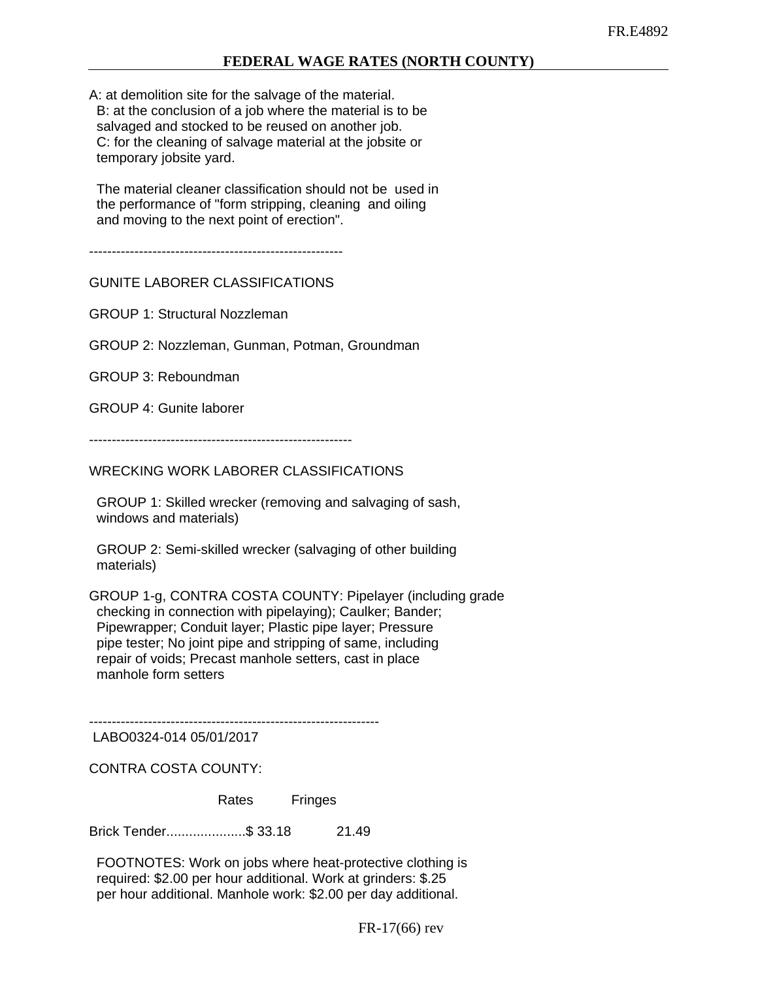A: at demolition site for the salvage of the material. B: at the conclusion of a job where the material is to be salvaged and stocked to be reused on another job. C: for the cleaning of salvage material at the jobsite or temporary jobsite yard.

 The material cleaner classification should not be used in the performance of "form stripping, cleaning and oiling and moving to the next point of erection".

--------------------------------------------------------

GUNITE LABORER CLASSIFICATIONS

GROUP 1: Structural Nozzleman

GROUP 2: Nozzleman, Gunman, Potman, Groundman

GROUP 3: Reboundman

GROUP 4: Gunite laborer

----------------------------------------------------------

WRECKING WORK LABORER CLASSIFICATIONS

 GROUP 1: Skilled wrecker (removing and salvaging of sash, windows and materials)

 GROUP 2: Semi-skilled wrecker (salvaging of other building materials)

GROUP 1-g, CONTRA COSTA COUNTY: Pipelayer (including grade checking in connection with pipelaying); Caulker; Bander; Pipewrapper; Conduit layer; Plastic pipe layer; Pressure pipe tester; No joint pipe and stripping of same, including repair of voids; Precast manhole setters, cast in place manhole form setters

----------------------------------------------------------------

LABO0324-014 05/01/2017

CONTRA COSTA COUNTY:

Rates Fringes

Brick Tender.....................\$ 33.18 21.49

 FOOTNOTES: Work on jobs where heat-protective clothing is required: \$2.00 per hour additional. Work at grinders: \$.25 per hour additional. Manhole work: \$2.00 per day additional.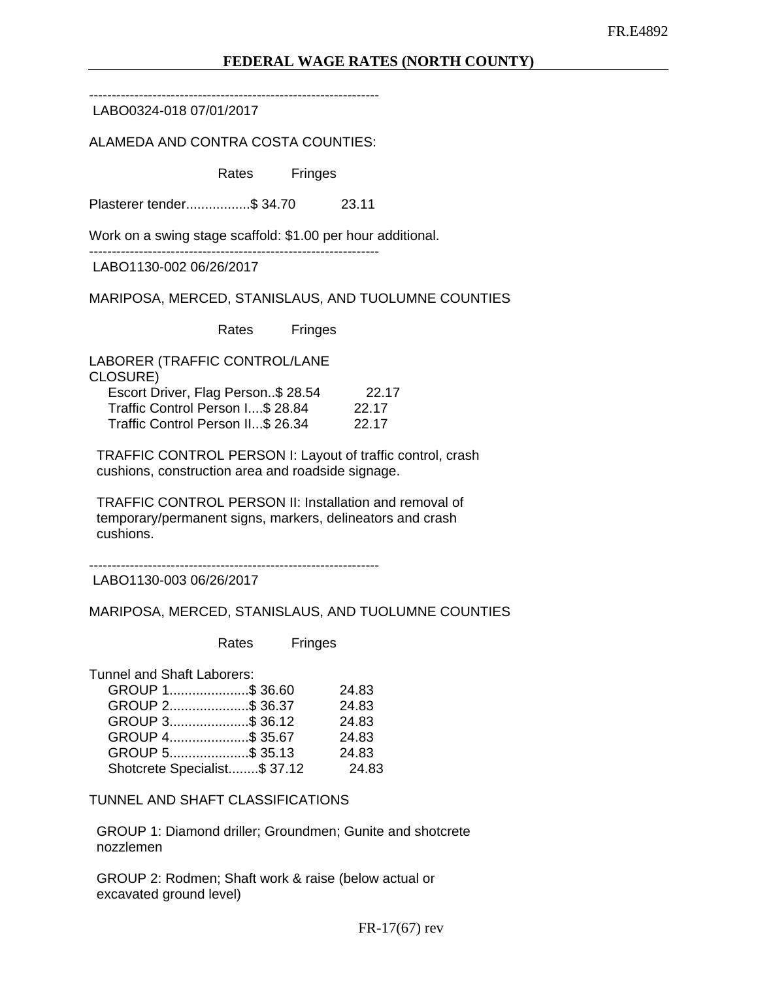----------------------------------------------------------------

LABO0324-018 07/01/2017

ALAMEDA AND CONTRA COSTA COUNTIES:

Rates Fringes

Plasterer tender.................\$ 34.70 23.11

Work on a swing stage scaffold: \$1.00 per hour additional.

----------------------------------------------------------------

LABO1130-002 06/26/2017

MARIPOSA, MERCED, STANISLAUS, AND TUOLUMNE COUNTIES

Rates Fringes

LABORER (TRAFFIC CONTROL/LANE CLOSURE) Escort Driver, Flag Person..\$ 28.54 22.17 Traffic Control Person I....\$ 28.84 22.17 Traffic Control Person II...\$ 26.34 22.17

 TRAFFIC CONTROL PERSON I: Layout of traffic control, crash cushions, construction area and roadside signage.

 TRAFFIC CONTROL PERSON II: Installation and removal of temporary/permanent signs, markers, delineators and crash cushions.

----------------------------------------------------------------

LABO1130-003 06/26/2017

MARIPOSA, MERCED, STANISLAUS, AND TUOLUMNE COUNTIES

Rates Fringes

Tunnel and Shaft Laborers:

| GROUP 1\$ 36.60              | 24.83 |
|------------------------------|-------|
| GROUP 2\$ 36.37              | 24.83 |
| GROUP 3\$ 36.12              | 24.83 |
| GROUP 4\$ 35.67              | 24.83 |
| GROUP 5\$ 35.13              | 24.83 |
| Shotcrete Specialist\$ 37.12 | 24.83 |

TUNNEL AND SHAFT CLASSIFICATIONS

 GROUP 1: Diamond driller; Groundmen; Gunite and shotcrete nozzlemen

 GROUP 2: Rodmen; Shaft work & raise (below actual or excavated ground level)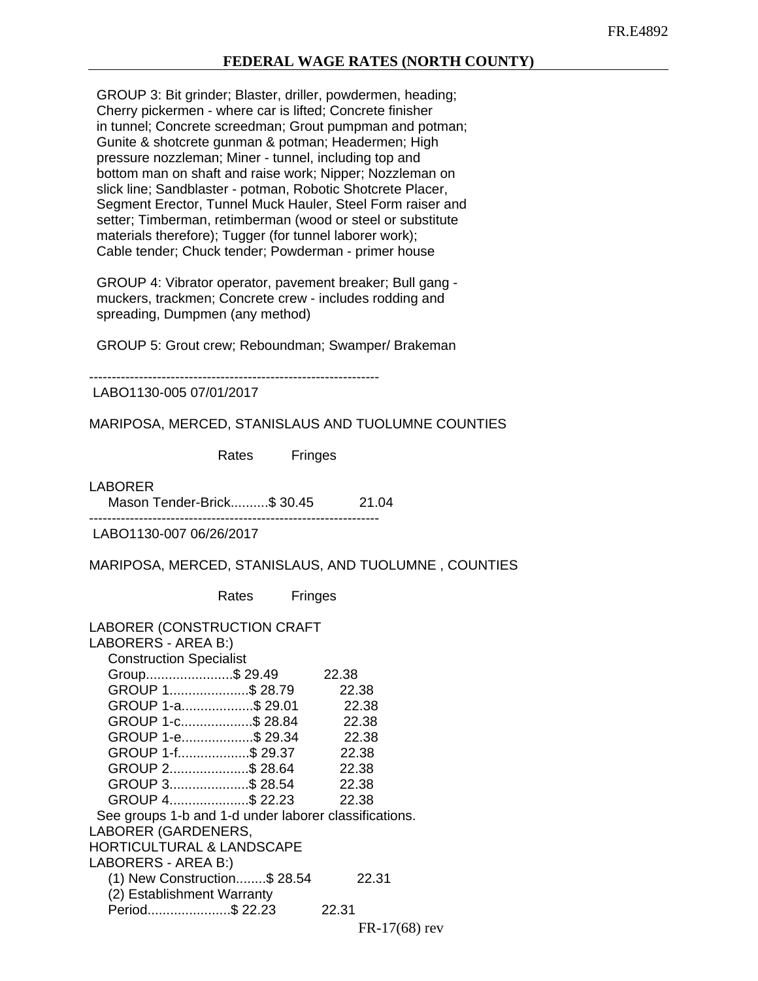GROUP 3: Bit grinder; Blaster, driller, powdermen, heading; Cherry pickermen - where car is lifted; Concrete finisher in tunnel; Concrete screedman; Grout pumpman and potman; Gunite & shotcrete gunman & potman; Headermen; High pressure nozzleman; Miner - tunnel, including top and bottom man on shaft and raise work; Nipper; Nozzleman on slick line; Sandblaster - potman, Robotic Shotcrete Placer, Segment Erector, Tunnel Muck Hauler, Steel Form raiser and setter; Timberman, retimberman (wood or steel or substitute materials therefore); Tugger (for tunnel laborer work); Cable tender; Chuck tender; Powderman - primer house

 GROUP 4: Vibrator operator, pavement breaker; Bull gang muckers, trackmen; Concrete crew - includes rodding and spreading, Dumpmen (any method)

GROUP 5: Grout crew; Reboundman; Swamper/ Brakeman

----------------------------------------------------------------

LABO1130-005 07/01/2017

MARIPOSA, MERCED, STANISLAUS AND TUOLUMNE COUNTIES

Rates Fringes

LABORER

 Mason Tender-Brick..........\$ 30.45 21.04 ----------------------------------------------------------------

LABO1130-007 06/26/2017

MARIPOSA, MERCED, STANISLAUS, AND TUOLUMNE , COUNTIES

Rates Fringes

| <b>LABORER (CONSTRUCTION CRAFT</b><br>LABORERS - AREA B:)<br><b>Construction Specialist</b>                          |  |       |  |
|----------------------------------------------------------------------------------------------------------------------|--|-------|--|
| Group\$ 29.49                                                                                                        |  | 22.38 |  |
| GROUP 1\$ 28.79                                                                                                      |  | 22.38 |  |
| GROUP 1-a\$ 29.01                                                                                                    |  | 22.38 |  |
| GROUP 1-c\$ 28.84                                                                                                    |  | 22.38 |  |
| GROUP 1-e\$ 29.34                                                                                                    |  | 22.38 |  |
| GROUP 1-f\$ 29.37 22.38                                                                                              |  |       |  |
| GROUP 2\$ 28.64                                                                                                      |  | 22.38 |  |
| GROUP 3\$ 28.54 22.38                                                                                                |  |       |  |
| GROUP 4\$ 22.23 22.38                                                                                                |  |       |  |
| See groups 1-b and 1-d under laborer classifications.<br>LABORER (GARDENERS,<br><b>HORTICULTURAL &amp; LANDSCAPE</b> |  |       |  |
| LABORERS - AREA B:)<br>(1) New Construction\$ 28.54<br>(2) Establishment Warranty                                    |  | 22.31 |  |
| Period\$ 22.23                                                                                                       |  | 22.31 |  |

FR-17(68) rev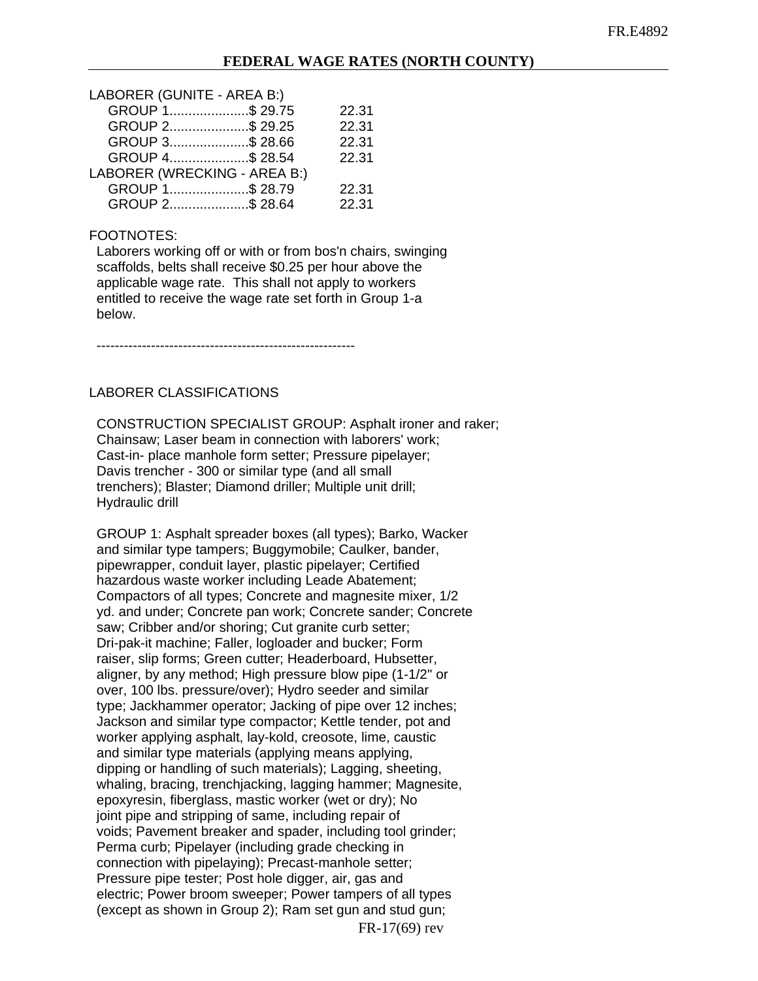| LABORER (GUNITE - AREA B:) |  |  |
|----------------------------|--|--|
|----------------------------|--|--|

| GROUP 1\$ 29.75              | 22.31 |
|------------------------------|-------|
| GROUP 2\$ 29.25              | 22.31 |
| GROUP 3\$ 28.66              | 22.31 |
| GROUP 4\$ 28.54              | 22.31 |
| LABORER (WRECKING - AREA B:) |       |
| GROUP 1\$ 28.79              | 22.31 |
| GROUP 2\$ 28.64              | 22.31 |
|                              |       |

### FOOTNOTES:

 Laborers working off or with or from bos'n chairs, swinging scaffolds, belts shall receive \$0.25 per hour above the applicable wage rate. This shall not apply to workers entitled to receive the wage rate set forth in Group 1-a below.

---------------------------------------------------------

## LABORER CLASSIFICATIONS

 CONSTRUCTION SPECIALIST GROUP: Asphalt ironer and raker; Chainsaw; Laser beam in connection with laborers' work; Cast-in- place manhole form setter; Pressure pipelayer; Davis trencher - 300 or similar type (and all small trenchers); Blaster; Diamond driller; Multiple unit drill; Hydraulic drill

 GROUP 1: Asphalt spreader boxes (all types); Barko, Wacker and similar type tampers; Buggymobile; Caulker, bander, pipewrapper, conduit layer, plastic pipelayer; Certified hazardous waste worker including Leade Abatement; Compactors of all types; Concrete and magnesite mixer, 1/2 yd. and under; Concrete pan work; Concrete sander; Concrete saw; Cribber and/or shoring; Cut granite curb setter; Dri-pak-it machine; Faller, logloader and bucker; Form raiser, slip forms; Green cutter; Headerboard, Hubsetter, aligner, by any method; High pressure blow pipe (1-1/2" or over, 100 lbs. pressure/over); Hydro seeder and similar type; Jackhammer operator; Jacking of pipe over 12 inches; Jackson and similar type compactor; Kettle tender, pot and worker applying asphalt, lay-kold, creosote, lime, caustic and similar type materials (applying means applying, dipping or handling of such materials); Lagging, sheeting, whaling, bracing, trenchjacking, lagging hammer; Magnesite, epoxyresin, fiberglass, mastic worker (wet or dry); No joint pipe and stripping of same, including repair of voids; Pavement breaker and spader, including tool grinder; Perma curb; Pipelayer (including grade checking in connection with pipelaying); Precast-manhole setter; Pressure pipe tester; Post hole digger, air, gas and electric; Power broom sweeper; Power tampers of all types (except as shown in Group 2); Ram set gun and stud gun;

FR-17(69) rev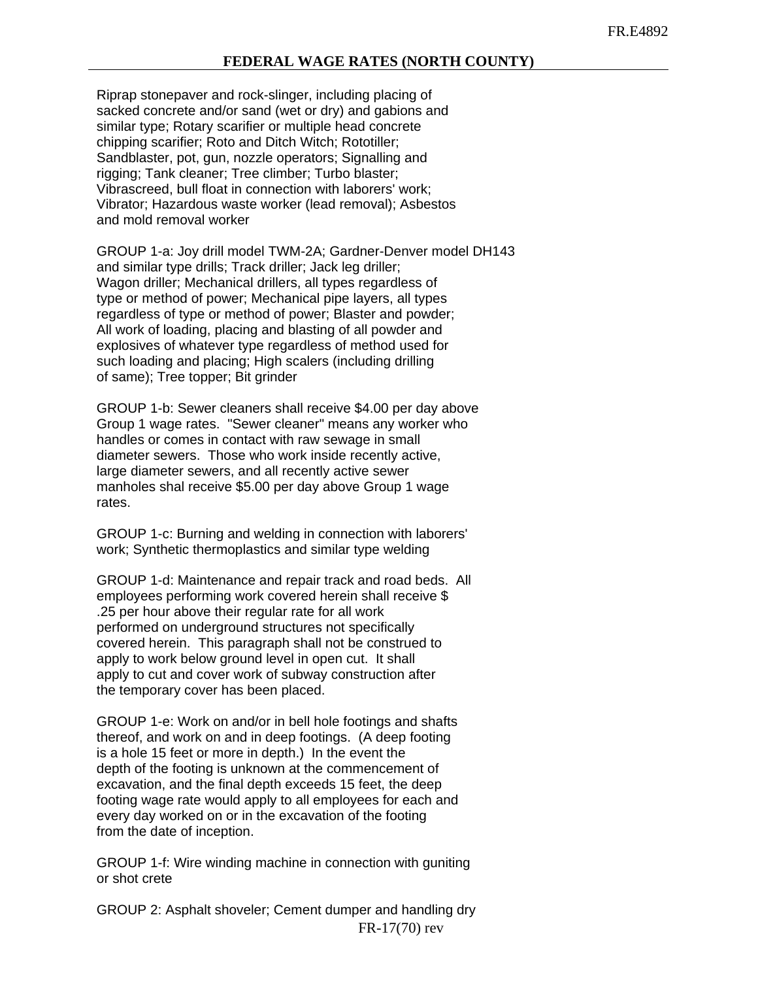Riprap stonepaver and rock-slinger, including placing of sacked concrete and/or sand (wet or dry) and gabions and similar type; Rotary scarifier or multiple head concrete chipping scarifier; Roto and Ditch Witch; Rototiller; Sandblaster, pot, gun, nozzle operators; Signalling and rigging; Tank cleaner; Tree climber; Turbo blaster; Vibrascreed, bull float in connection with laborers' work; Vibrator; Hazardous waste worker (lead removal); Asbestos and mold removal worker

 GROUP 1-a: Joy drill model TWM-2A; Gardner-Denver model DH143 and similar type drills; Track driller; Jack leg driller; Wagon driller; Mechanical drillers, all types regardless of type or method of power; Mechanical pipe layers, all types regardless of type or method of power; Blaster and powder; All work of loading, placing and blasting of all powder and explosives of whatever type regardless of method used for such loading and placing; High scalers (including drilling of same); Tree topper; Bit grinder

 GROUP 1-b: Sewer cleaners shall receive \$4.00 per day above Group 1 wage rates. "Sewer cleaner" means any worker who handles or comes in contact with raw sewage in small diameter sewers. Those who work inside recently active, large diameter sewers, and all recently active sewer manholes shal receive \$5.00 per day above Group 1 wage rates.

 GROUP 1-c: Burning and welding in connection with laborers' work; Synthetic thermoplastics and similar type welding

 GROUP 1-d: Maintenance and repair track and road beds. All employees performing work covered herein shall receive \$ .25 per hour above their regular rate for all work performed on underground structures not specifically covered herein. This paragraph shall not be construed to apply to work below ground level in open cut. It shall apply to cut and cover work of subway construction after the temporary cover has been placed.

 GROUP 1-e: Work on and/or in bell hole footings and shafts thereof, and work on and in deep footings. (A deep footing is a hole 15 feet or more in depth.) In the event the depth of the footing is unknown at the commencement of excavation, and the final depth exceeds 15 feet, the deep footing wage rate would apply to all employees for each and every day worked on or in the excavation of the footing from the date of inception.

 GROUP 1-f: Wire winding machine in connection with guniting or shot crete

FR-17(70) rev GROUP 2: Asphalt shoveler; Cement dumper and handling dry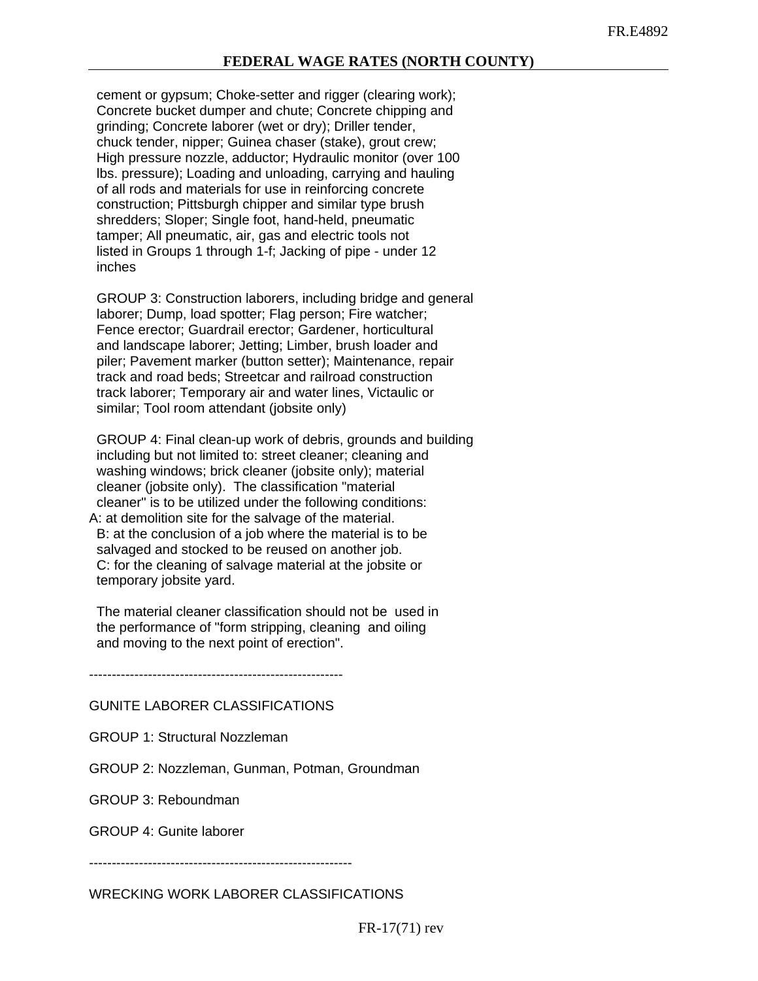cement or gypsum; Choke-setter and rigger (clearing work); Concrete bucket dumper and chute; Concrete chipping and grinding; Concrete laborer (wet or dry); Driller tender, chuck tender, nipper; Guinea chaser (stake), grout crew; High pressure nozzle, adductor; Hydraulic monitor (over 100 lbs. pressure); Loading and unloading, carrying and hauling of all rods and materials for use in reinforcing concrete construction; Pittsburgh chipper and similar type brush shredders; Sloper; Single foot, hand-held, pneumatic tamper; All pneumatic, air, gas and electric tools not listed in Groups 1 through 1-f; Jacking of pipe - under 12 inches

 GROUP 3: Construction laborers, including bridge and general laborer; Dump, load spotter; Flag person; Fire watcher; Fence erector; Guardrail erector; Gardener, horticultural and landscape laborer; Jetting; Limber, brush loader and piler; Pavement marker (button setter); Maintenance, repair track and road beds; Streetcar and railroad construction track laborer; Temporary air and water lines, Victaulic or similar; Tool room attendant (jobsite only)

 GROUP 4: Final clean-up work of debris, grounds and building including but not limited to: street cleaner; cleaning and washing windows; brick cleaner (jobsite only); material cleaner (jobsite only). The classification "material cleaner" is to be utilized under the following conditions: A: at demolition site for the salvage of the material. B: at the conclusion of a job where the material is to be

 salvaged and stocked to be reused on another job. C: for the cleaning of salvage material at the jobsite or temporary jobsite yard.

 The material cleaner classification should not be used in the performance of "form stripping, cleaning and oiling and moving to the next point of erection".

--------------------------------------------------------

GUNITE LABORER CLASSIFICATIONS

GROUP 1: Structural Nozzleman

GROUP 2: Nozzleman, Gunman, Potman, Groundman

GROUP 3: Reboundman

GROUP 4: Gunite laborer

----------------------------------------------------------

WRECKING WORK LABORER CLASSIFICATIONS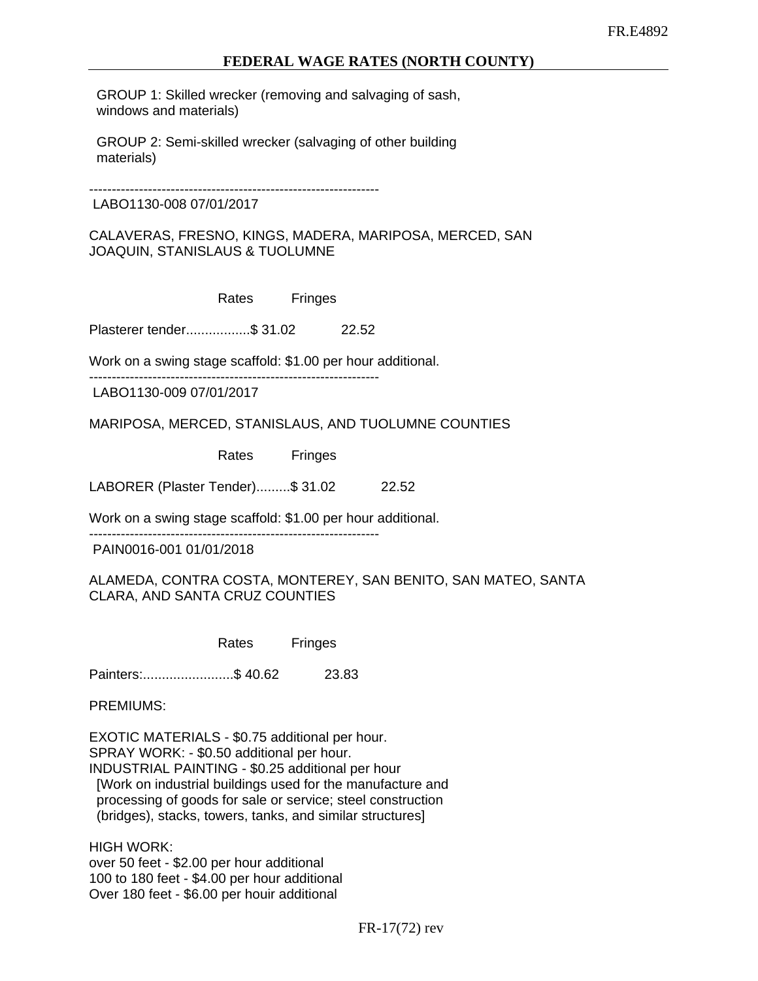GROUP 1: Skilled wrecker (removing and salvaging of sash, windows and materials)

 GROUP 2: Semi-skilled wrecker (salvaging of other building materials)

----------------------------------------------------------------

## LABO1130-008 07/01/2017

CALAVERAS, FRESNO, KINGS, MADERA, MARIPOSA, MERCED, SAN JOAQUIN, STANISLAUS & TUOLUMNE

Rates Fringes

Plasterer tender....................... \$ 31.02 22.52

Work on a swing stage scaffold: \$1.00 per hour additional.

----------------------------------------------------------------

LABO1130-009 07/01/2017

MARIPOSA, MERCED, STANISLAUS, AND TUOLUMNE COUNTIES

Rates Fringes

LABORER (Plaster Tender).........\$ 31.02 22.52

Work on a swing stage scaffold: \$1.00 per hour additional.

----------------------------------------------------------------

PAIN0016-001 01/01/2018

## ALAMEDA, CONTRA COSTA, MONTEREY, SAN BENITO, SAN MATEO, SANTA CLARA, AND SANTA CRUZ COUNTIES

Rates Fringes

Painters:...........................\$ 40.62 23.83

PREMIUMS:

EXOTIC MATERIALS - \$0.75 additional per hour. SPRAY WORK: - \$0.50 additional per hour. INDUSTRIAL PAINTING - \$0.25 additional per hour [Work on industrial buildings used for the manufacture and processing of goods for sale or service; steel construction (bridges), stacks, towers, tanks, and similar structures]

HIGH WORK: over 50 feet - \$2.00 per hour additional 100 to 180 feet - \$4.00 per hour additional Over 180 feet - \$6.00 per houir additional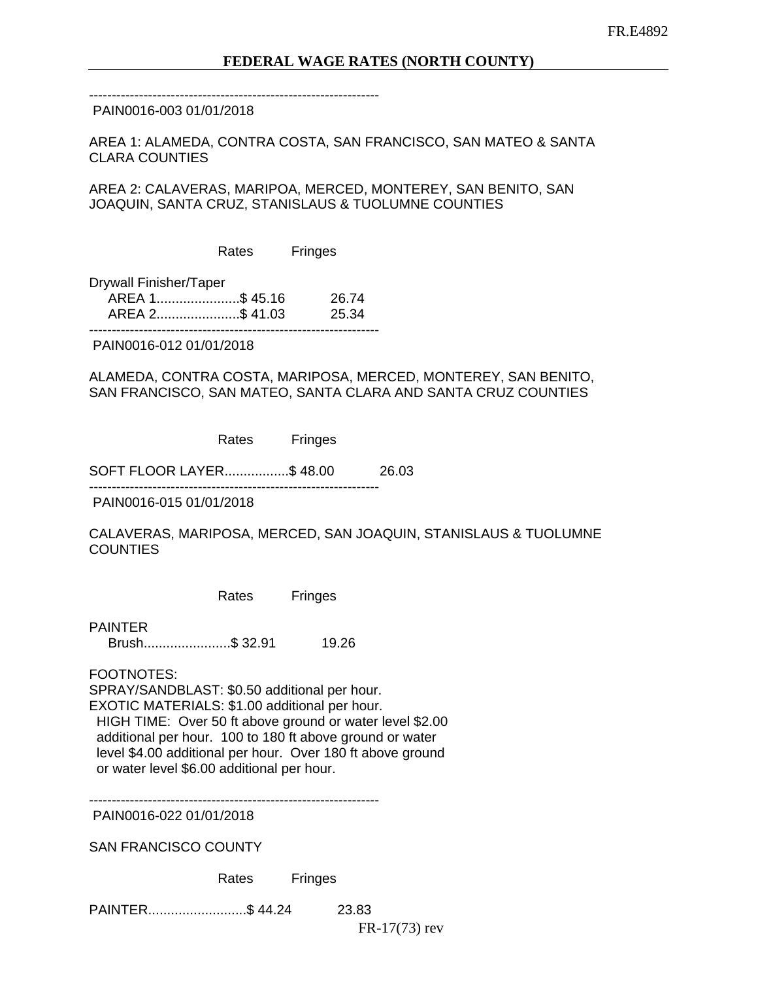## PAIN0016-003 01/01/2018

AREA 1: ALAMEDA, CONTRA COSTA, SAN FRANCISCO, SAN MATEO & SANTA CLARA COUNTIES

AREA 2: CALAVERAS, MARIPOA, MERCED, MONTEREY, SAN BENITO, SAN JOAQUIN, SANTA CRUZ, STANISLAUS & TUOLUMNE COUNTIES

Rates Fringes

Drywall Finisher/Taper AREA 1.....................\$ 45.16 26.74 AREA 2......................\$ 41.03 25.34

----------------------------------------------------------------

PAIN0016-012 01/01/2018

## ALAMEDA, CONTRA COSTA, MARIPOSA, MERCED, MONTEREY, SAN BENITO, SAN FRANCISCO, SAN MATEO, SANTA CLARA AND SANTA CRUZ COUNTIES

Rates Fringes

SOFT FLOOR LAYER.................\$ 48.00 26.03 ----------------------------------------------------------------

PAIN0016-015 01/01/2018

CALAVERAS, MARIPOSA, MERCED, SAN JOAQUIN, STANISLAUS & TUOLUMNE **COUNTIES** 

| Rates | Fringes |
|-------|---------|
|       |         |

PAINTER

Brush..........................\$ 32.91 19.26

FOOTNOTES:

SPRAY/SANDBLAST: \$0.50 additional per hour. EXOTIC MATERIALS: \$1.00 additional per hour. HIGH TIME: Over 50 ft above ground or water level \$2.00 additional per hour. 100 to 180 ft above ground or water level \$4.00 additional per hour. Over 180 ft above ground or water level \$6.00 additional per hour.

----------------------------------------------------------------

PAIN0016-022 01/01/2018

SAN FRANCISCO COUNTY

Rates Fringes

PAINTER..........................\$ 44.24 23.83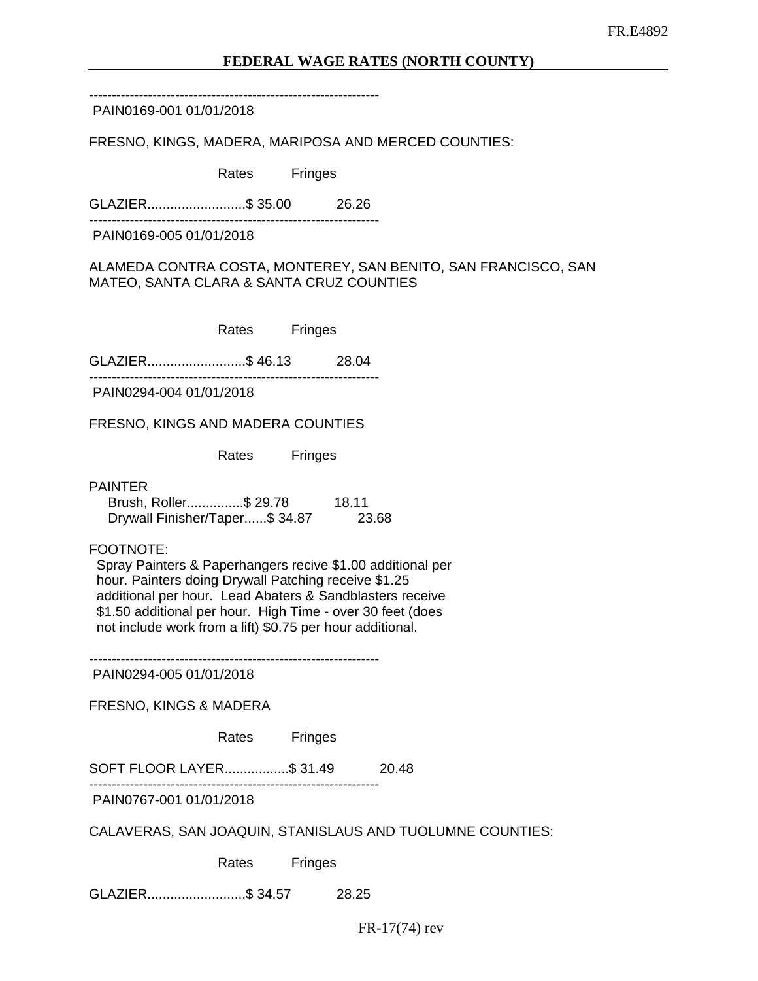PAIN0169-001 01/01/2018

FRESNO, KINGS, MADERA, MARIPOSA AND MERCED COUNTIES:

Rates Fringes

GLAZIER..........................\$ 35.00 26.26 ----------------------------------------------------------------

PAIN0169-005 01/01/2018

ALAMEDA CONTRA COSTA, MONTEREY, SAN BENITO, SAN FRANCISCO, SAN MATEO, SANTA CLARA & SANTA CRUZ COUNTIES

Rates Fringes

GLAZIER..........................\$ 46.13 28.04 ----------------------------------------------------------------

PAIN0294-004 01/01/2018

FRESNO, KINGS AND MADERA COUNTIES

Rates Fringes

PAINTER

| Brush, Roller\$ 29.78          | 18.11 |
|--------------------------------|-------|
| Drywall Finisher/Taper\$ 34.87 | 23.68 |

FOOTNOTE:

 Spray Painters & Paperhangers recive \$1.00 additional per hour. Painters doing Drywall Patching receive \$1.25 additional per hour. Lead Abaters & Sandblasters receive \$1.50 additional per hour. High Time - over 30 feet (does not include work from a lift) \$0.75 per hour additional.

----------------------------------------------------------------

PAIN0294-005 01/01/2018

FRESNO, KINGS & MADERA

Rates Fringes

SOFT FLOOR LAYER..................\$ 31.49 20.48

----------------------------------------------------------------

PAIN0767-001 01/01/2018

CALAVERAS, SAN JOAQUIN, STANISLAUS AND TUOLUMNE COUNTIES:

Rates Fringes

GLAZIER..........................\$ 34.57 28.25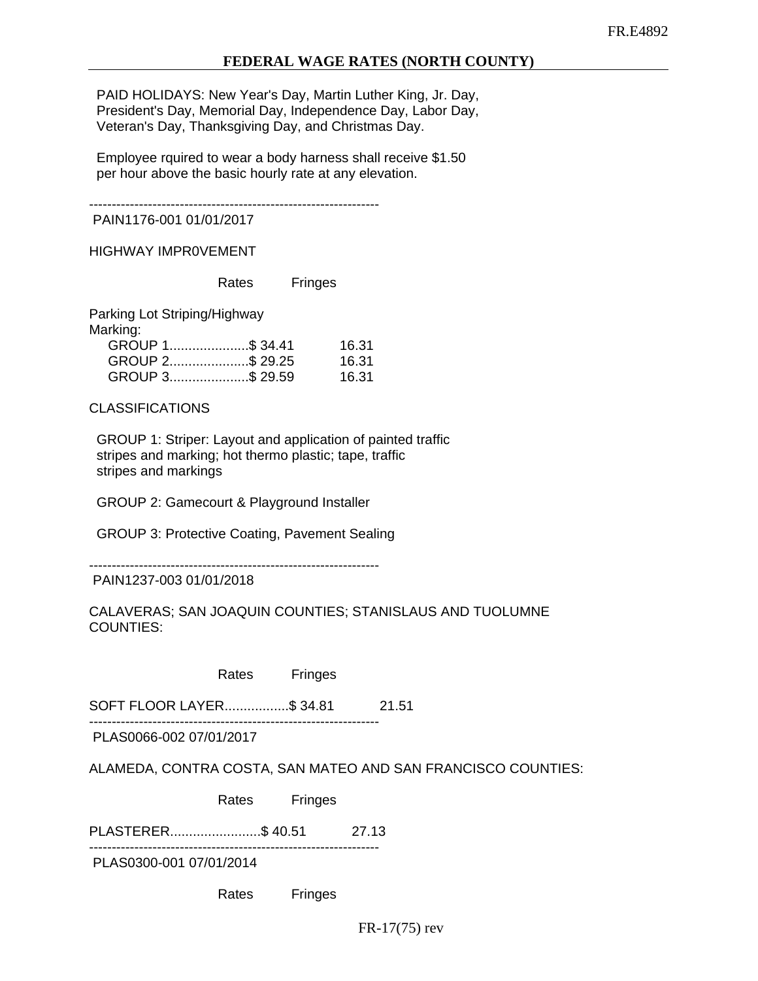PAID HOLIDAYS: New Year's Day, Martin Luther King, Jr. Day, President's Day, Memorial Day, Independence Day, Labor Day, Veteran's Day, Thanksgiving Day, and Christmas Day.

 Employee rquired to wear a body harness shall receive \$1.50 per hour above the basic hourly rate at any elevation.

----------------------------------------------------------------

PAIN1176-001 01/01/2017

HIGHWAY IMPR0VEMENT

Rates Fringes

Parking Lot Striping/Highway

Marking:

| GROUP 1\$ 34.41 | 16.31 |
|-----------------|-------|
| GROUP 2\$ 29.25 | 16.31 |
| GROUP 3\$ 29.59 | 16.31 |
|                 |       |

CLASSIFICATIONS

 GROUP 1: Striper: Layout and application of painted traffic stripes and marking; hot thermo plastic; tape, traffic stripes and markings

GROUP 2: Gamecourt & Playground Installer

GROUP 3: Protective Coating, Pavement Sealing

----------------------------------------------------------------

PAIN1237-003 01/01/2018

CALAVERAS; SAN JOAQUIN COUNTIES; STANISLAUS AND TUOLUMNE COUNTIES:

Rates Fringes

SOFT FLOOR LAYER.................\$ 34.81 21.51 ----------------------------------------------------------------

PLAS0066-002 07/01/2017

ALAMEDA, CONTRA COSTA, SAN MATEO AND SAN FRANCISCO COUNTIES:

Rates Fringes

PLASTERER.............................\$ 40.51 27.13 ----------------------------------------------------------------

PLAS0300-001 07/01/2014

Rates Fringes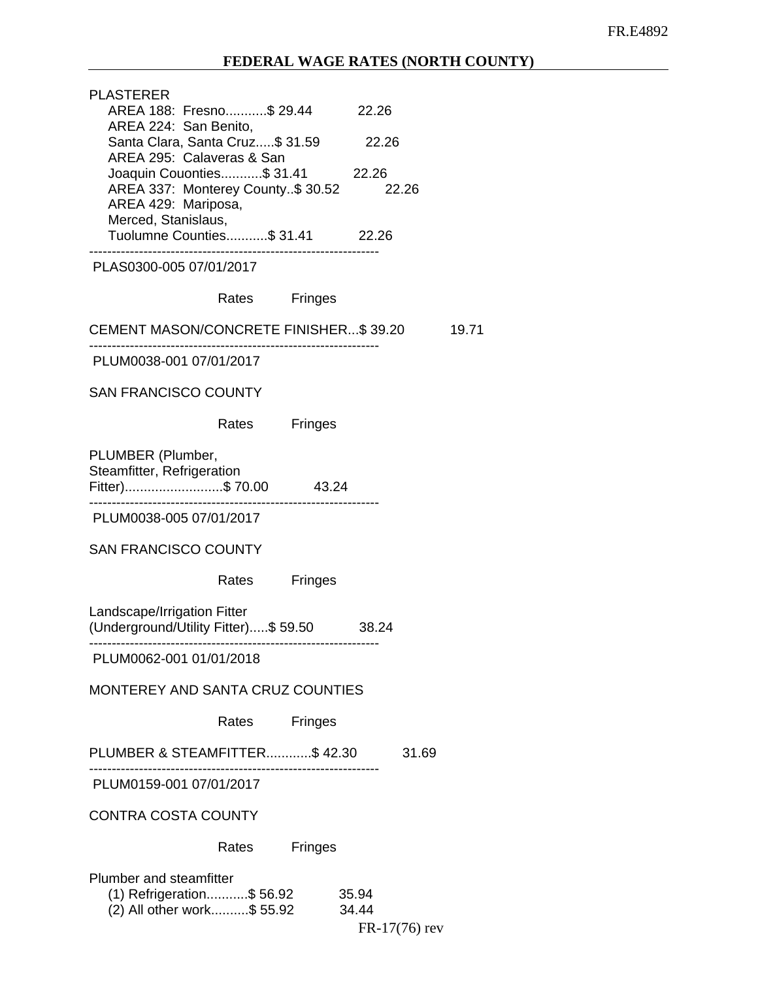## FR.E4892

# **FEDERAL WAGE RATES (NORTH COUNTY)**

| <b>PLASTERER</b><br>AREA 188: Fresno\$ 29.44<br>22.26<br>AREA 224: San Benito,<br>Santa Clara, Santa Cruz\$ 31.59<br>22.26<br>AREA 295: Calaveras & San<br>Joaquin Couonties\$ 31.41<br>22.26<br>AREA 337: Monterey County. \$30.52<br>22.26<br>AREA 429: Mariposa,<br>Merced, Stanislaus,<br>Tuolumne Counties\$ 31.41 22.26 |
|-------------------------------------------------------------------------------------------------------------------------------------------------------------------------------------------------------------------------------------------------------------------------------------------------------------------------------|
| PLAS0300-005 07/01/2017                                                                                                                                                                                                                                                                                                       |
| Rates Fringes                                                                                                                                                                                                                                                                                                                 |
| CEMENT MASON/CONCRETE FINISHER\$ 39.20<br>19.71                                                                                                                                                                                                                                                                               |
| PLUM0038-001 07/01/2017                                                                                                                                                                                                                                                                                                       |
| <b>SAN FRANCISCO COUNTY</b>                                                                                                                                                                                                                                                                                                   |
| Rates Fringes                                                                                                                                                                                                                                                                                                                 |
| PLUMBER (Plumber,<br>Steamfitter, Refrigeration<br>Fitter)\$ 70.00 43.24                                                                                                                                                                                                                                                      |
| PLUM0038-005 07/01/2017                                                                                                                                                                                                                                                                                                       |
| <b>SAN FRANCISCO COUNTY</b>                                                                                                                                                                                                                                                                                                   |
| Rates Fringes                                                                                                                                                                                                                                                                                                                 |
| Landscape/Irrigation Fitter<br>(Underground/Utility Fitter)\$ 59.50<br>38.24                                                                                                                                                                                                                                                  |
| PLUM0062-001 01/01/2018                                                                                                                                                                                                                                                                                                       |
| MONTEREY AND SANTA CRUZ COUNTIES                                                                                                                                                                                                                                                                                              |
| Rates<br>Fringes                                                                                                                                                                                                                                                                                                              |
| PLUMBER & STEAMFITTER\$42.30<br>31.69                                                                                                                                                                                                                                                                                         |
| PLUM0159-001 07/01/2017                                                                                                                                                                                                                                                                                                       |
| <b>CONTRA COSTA COUNTY</b>                                                                                                                                                                                                                                                                                                    |
| Rates<br>Fringes                                                                                                                                                                                                                                                                                                              |
| <b>Plumber and steamfitter</b><br>(1) Refrigeration\$ 56.92<br>35.94<br>(2) All other work\$ 55.92<br>34.44<br>$FR-17(76)$ rev                                                                                                                                                                                                |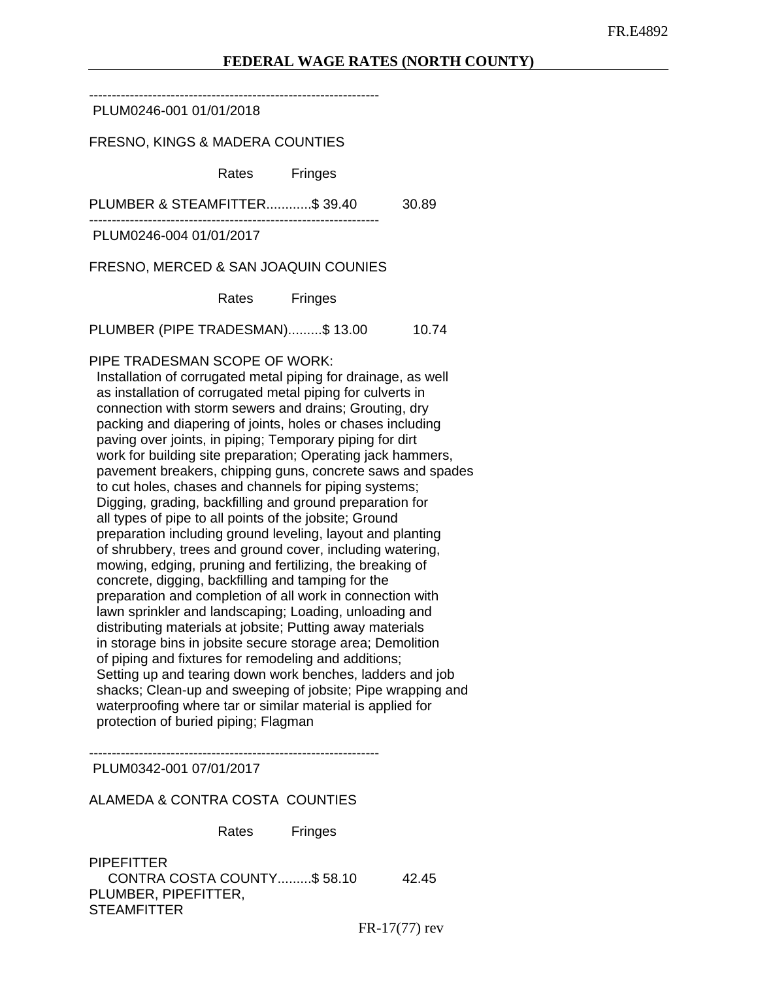PLUM0246-001 01/01/2018

FRESNO, KINGS & MADERA COUNTIES

Rates Fringes

PLUMBER & STEAMFITTER............\$ 39.40 30.89

PLUM0246-004 01/01/2017

----------------------------------------------------------------

FRESNO, MERCED & SAN JOAQUIN COUNIES

Rates Fringes

PLUMBER (PIPE TRADESMAN).........\$ 13.00 10.74

PIPE TRADESMAN SCOPE OF WORK:

 Installation of corrugated metal piping for drainage, as well as installation of corrugated metal piping for culverts in connection with storm sewers and drains; Grouting, dry packing and diapering of joints, holes or chases including paving over joints, in piping; Temporary piping for dirt work for building site preparation; Operating jack hammers, pavement breakers, chipping guns, concrete saws and spades to cut holes, chases and channels for piping systems; Digging, grading, backfilling and ground preparation for all types of pipe to all points of the jobsite; Ground preparation including ground leveling, layout and planting of shrubbery, trees and ground cover, including watering, mowing, edging, pruning and fertilizing, the breaking of concrete, digging, backfilling and tamping for the preparation and completion of all work in connection with lawn sprinkler and landscaping; Loading, unloading and distributing materials at jobsite; Putting away materials in storage bins in jobsite secure storage area; Demolition of piping and fixtures for remodeling and additions; Setting up and tearing down work benches, ladders and job shacks; Clean-up and sweeping of jobsite; Pipe wrapping and waterproofing where tar or similar material is applied for protection of buried piping; Flagman

----------------------------------------------------------------

PLUM0342-001 07/01/2017

ALAMEDA & CONTRA COSTA COUNTIES

Rates Fringes

**PIPEFITTER**  CONTRA COSTA COUNTY.........\$ 58.10 42.45 PLUMBER, PIPEFITTER, **STEAMFITTER** 

FR-17(77) rev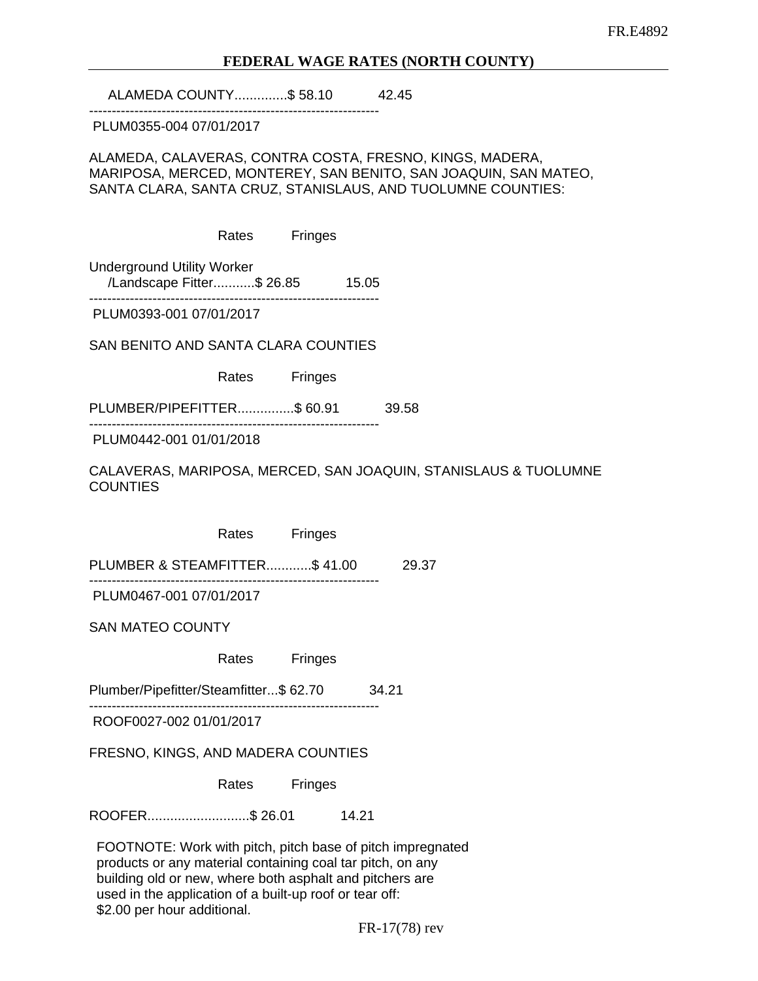#### **FEDERAL WAGE RATES (NORTH COUNTY)**

ALAMEDA COUNTY..............\$ 58.10 42.45

----------------------------------------------------------------

PLUM0355-004 07/01/2017

ALAMEDA, CALAVERAS, CONTRA COSTA, FRESNO, KINGS, MADERA, MARIPOSA, MERCED, MONTEREY, SAN BENITO, SAN JOAQUIN, SAN MATEO, SANTA CLARA, SANTA CRUZ, STANISLAUS, AND TUOLUMNE COUNTIES:

Rates Fringes

Underground Utility Worker /Landscape Fitter...........\$ 26.85 15.05 ----------------------------------------------------------------

PLUM0393-001 07/01/2017

SAN BENITO AND SANTA CLARA COUNTIES

Rates Fringes

PLUMBER/PIPEFITTER...............\$ 60.91 39.58

----------------------------------------------------------------

PLUM0442-001 01/01/2018

CALAVERAS, MARIPOSA, MERCED, SAN JOAQUIN, STANISLAUS & TUOLUMNE **COUNTIES** 

Rates Fringes

PLUMBER & STEAMFITTER............\$ 41.00 29.37

----------------------------------------------------------------

PLUM0467-001 07/01/2017

SAN MATEO COUNTY

Rates Fringes

Plumber/Pipefitter/Steamfitter...\$ 62.70 34.21

ROOF0027-002 01/01/2017

FRESNO, KINGS, AND MADERA COUNTIES

----------------------------------------------------------------

Rates Fringes

ROOFER...........................\$ 26.01 14.21

 FOOTNOTE: Work with pitch, pitch base of pitch impregnated products or any material containing coal tar pitch, on any building old or new, where both asphalt and pitchers are used in the application of a built-up roof or tear off: \$2.00 per hour additional.

FR-17(78) rev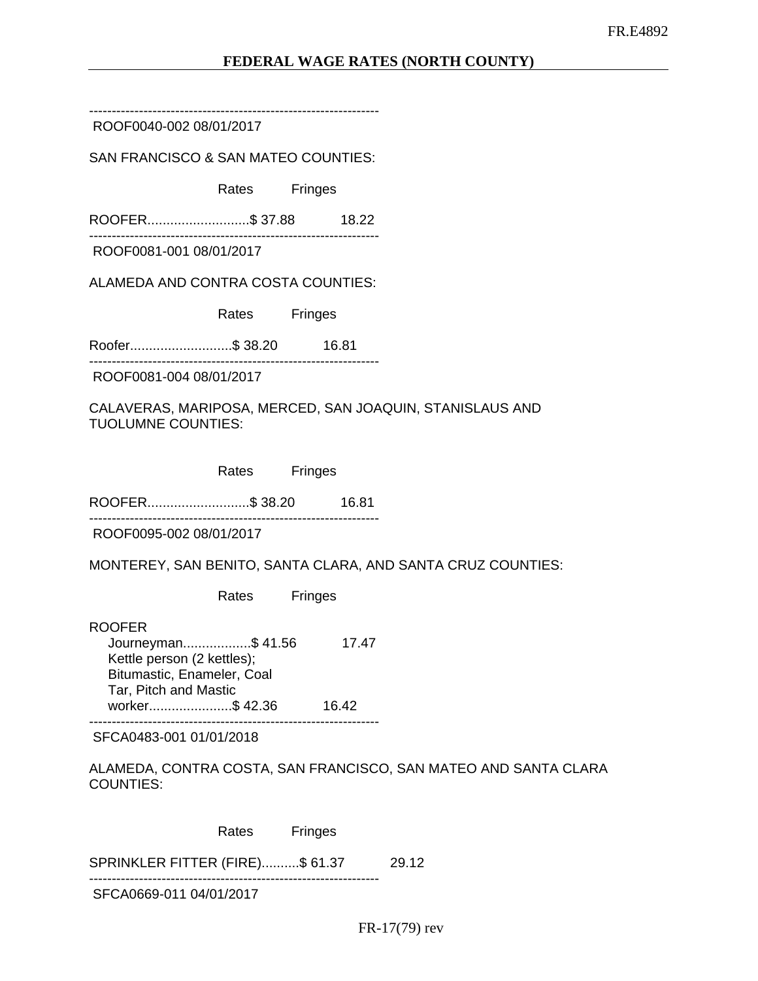ROOF0040-002 08/01/2017

SAN FRANCISCO & SAN MATEO COUNTIES:

Rates Fringes

ROOFER...........................\$ 37.88 18.22 ----------------------------------------------------------------

ROOF0081-001 08/01/2017

ALAMEDA AND CONTRA COSTA COUNTIES:

Rates Fringes

Roofer...........................\$ 38.20 16.81 ----------------------------------------------------------------

ROOF0081-004 08/01/2017

CALAVERAS, MARIPOSA, MERCED, SAN JOAQUIN, STANISLAUS AND TUOLUMNE COUNTIES:

Rates Fringes

ROOFER...........................\$ 38.20 16.81

----------------------------------------------------------------

ROOF0095-002 08/01/2017

MONTEREY, SAN BENITO, SANTA CLARA, AND SANTA CRUZ COUNTIES:

Rates Fringes

ROOFER Journeyman..................\$ 41.56 17.47 Kettle person (2 kettles); Bitumastic, Enameler, Coal Tar, Pitch and Mastic worker.....................\$ 42.36 16.42

---------------------------------------------------------------- SFCA0483-001 01/01/2018

ALAMEDA, CONTRA COSTA, SAN FRANCISCO, SAN MATEO AND SANTA CLARA COUNTIES:

Rates Fringes

SPRINKLER FITTER (FIRE)..........\$ 61.37 29.12

----------------------------------------------------------------

SFCA0669-011 04/01/2017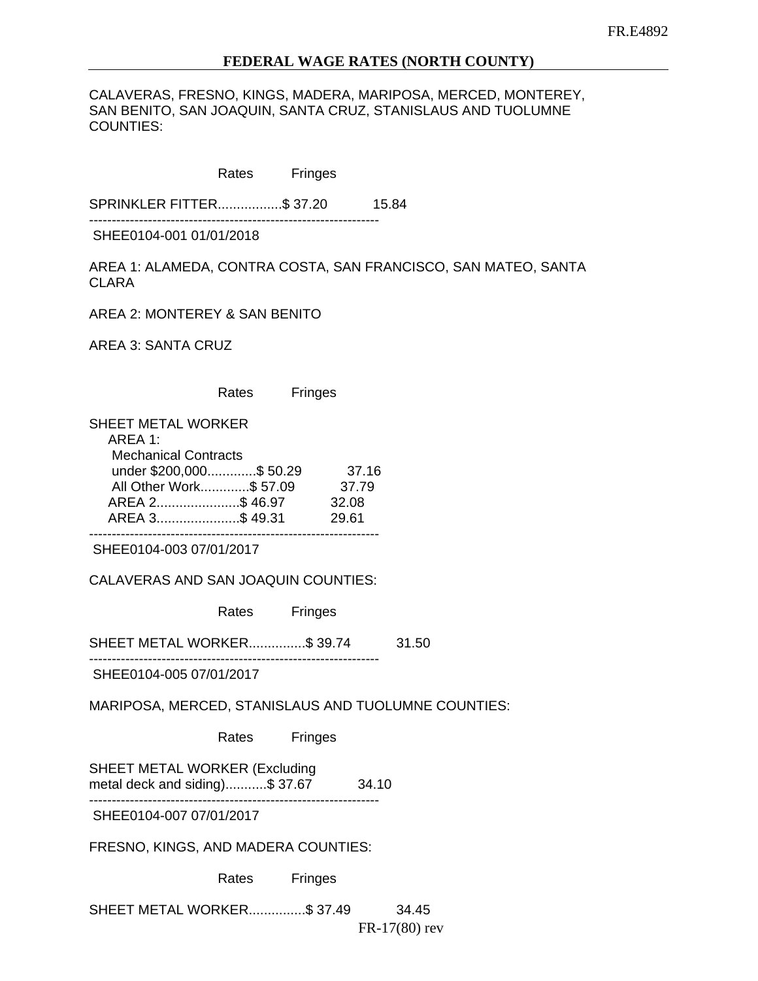#### **FEDERAL WAGE RATES (NORTH COUNTY)**

CALAVERAS, FRESNO, KINGS, MADERA, MARIPOSA, MERCED, MONTEREY, SAN BENITO, SAN JOAQUIN, SANTA CRUZ, STANISLAUS AND TUOLUMNE COUNTIES:

Rates Fringes

SPRINKLER FITTER.................\$ 37.20 15.84 ----------------------------------------------------------------

SHEE0104-001 01/01/2018

AREA 1: ALAMEDA, CONTRA COSTA, SAN FRANCISCO, SAN MATEO, SANTA CLARA

AREA 2: MONTEREY & SAN BENITO

AREA 3: SANTA CRUZ

Rates Fringes

| SHEET METAL WORKER          |       |
|-----------------------------|-------|
| ARFA 1                      |       |
| <b>Mechanical Contracts</b> |       |
| under \$200,000\$ 50.29     | 37.16 |
| All Other Work\$ 57.09      | 37.79 |
| AREA 2\$46.97               | 32.08 |
| AREA 3\$ 49.31              | 29.61 |
|                             |       |

SHEE0104-003 07/01/2017

CALAVERAS AND SAN JOAQUIN COUNTIES:

Rates Fringes

SHEET METAL WORKER...............\$ 39.74 31.50

SHEE0104-005 07/01/2017

----------------------------------------------------------------

MARIPOSA, MERCED, STANISLAUS AND TUOLUMNE COUNTIES:

Rates Fringes

SHEET METAL WORKER (Excluding metal deck and siding)...........\$ 37.67 34.10 ----------------------------------------------------------------

SHEE0104-007 07/01/2017

FRESNO, KINGS, AND MADERA COUNTIES:

Rates Fringes

SHEET METAL WORKER...............\$ 37.49 34.45

FR-17(80) rev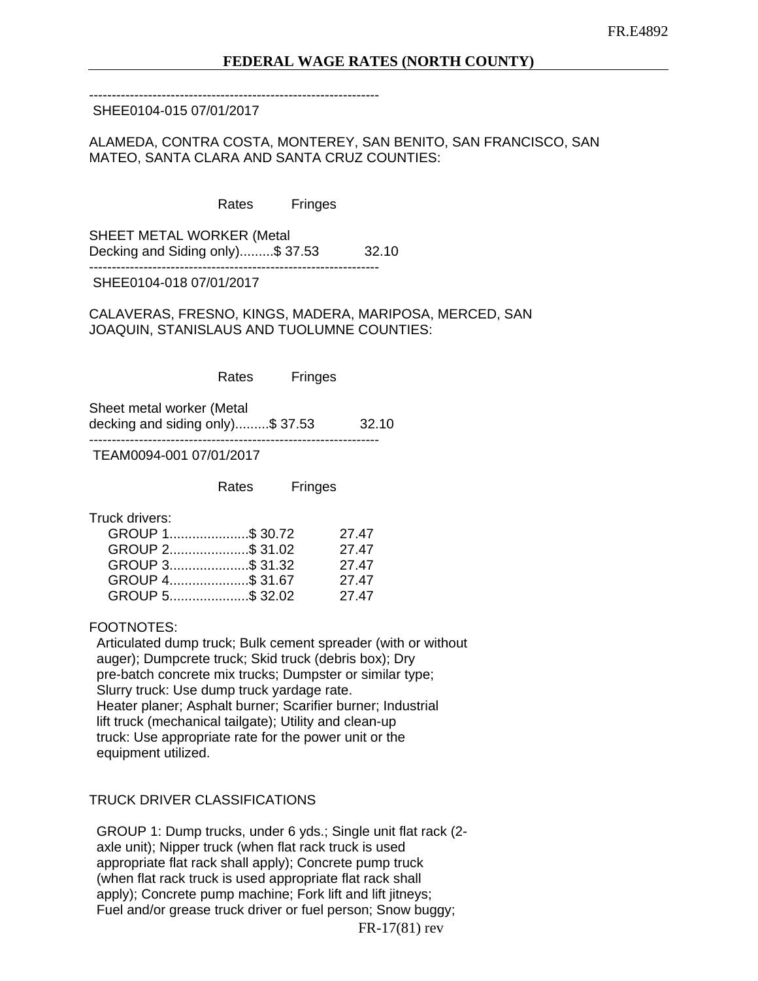## SHEE0104-015 07/01/2017

ALAMEDA, CONTRA COSTA, MONTEREY, SAN BENITO, SAN FRANCISCO, SAN MATEO, SANTA CLARA AND SANTA CRUZ COUNTIES:

Rates Fringes

SHEET METAL WORKER (Metal Decking and Siding only).........\$ 37.53 32.10 ----------------------------------------------------------------

SHEE0104-018 07/01/2017

CALAVERAS, FRESNO, KINGS, MADERA, MARIPOSA, MERCED, SAN JOAQUIN, STANISLAUS AND TUOLUMNE COUNTIES:

Rates Fringes

Sheet metal worker (Metal decking and siding only $\,$ .........\$ 37.53 32.10 ----------------------------------------------------------------

TEAM0094-001 07/01/2017

Rates Fringes

Truck drivers:

| GROUP 1\$ 30.72 | 27.47 |
|-----------------|-------|
| GROUP 2\$ 31.02 | 27.47 |
| GROUP 3\$ 31.32 | 27.47 |
| GROUP 4\$ 31.67 | 27.47 |
| GROUP 5\$ 32.02 | 27.47 |

FOOTNOTES:

 Articulated dump truck; Bulk cement spreader (with or without auger); Dumpcrete truck; Skid truck (debris box); Dry pre-batch concrete mix trucks; Dumpster or similar type; Slurry truck: Use dump truck yardage rate. Heater planer; Asphalt burner; Scarifier burner; Industrial lift truck (mechanical tailgate); Utility and clean-up truck: Use appropriate rate for the power unit or the equipment utilized.

TRUCK DRIVER CLASSIFICATIONS

 GROUP 1: Dump trucks, under 6 yds.; Single unit flat rack (2 axle unit); Nipper truck (when flat rack truck is used appropriate flat rack shall apply); Concrete pump truck (when flat rack truck is used appropriate flat rack shall apply); Concrete pump machine; Fork lift and lift jitneys; Fuel and/or grease truck driver or fuel person; Snow buggy;

FR-17(81) rev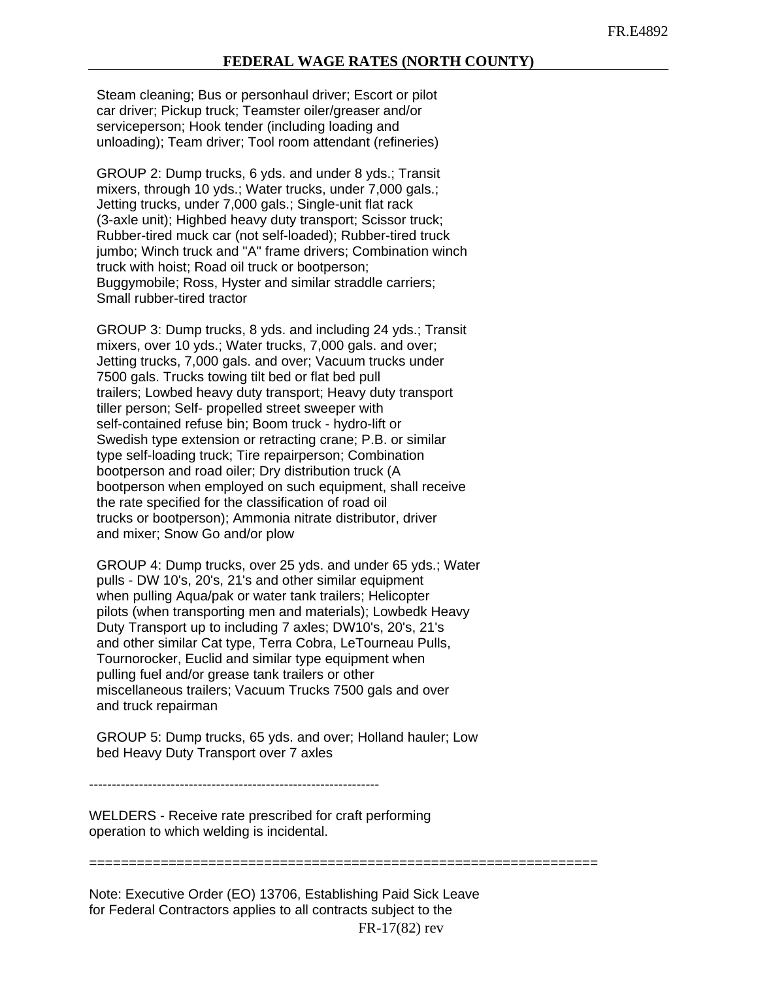Steam cleaning; Bus or personhaul driver; Escort or pilot car driver; Pickup truck; Teamster oiler/greaser and/or serviceperson; Hook tender (including loading and unloading); Team driver; Tool room attendant (refineries)

 GROUP 2: Dump trucks, 6 yds. and under 8 yds.; Transit mixers, through 10 yds.; Water trucks, under 7,000 gals.; Jetting trucks, under 7,000 gals.; Single-unit flat rack (3-axle unit); Highbed heavy duty transport; Scissor truck; Rubber-tired muck car (not self-loaded); Rubber-tired truck iumbo: Winch truck and "A" frame drivers; Combination winch truck with hoist; Road oil truck or bootperson; Buggymobile; Ross, Hyster and similar straddle carriers; Small rubber-tired tractor

 GROUP 3: Dump trucks, 8 yds. and including 24 yds.; Transit mixers, over 10 yds.; Water trucks, 7,000 gals. and over; Jetting trucks, 7,000 gals. and over; Vacuum trucks under 7500 gals. Trucks towing tilt bed or flat bed pull trailers; Lowbed heavy duty transport; Heavy duty transport tiller person; Self- propelled street sweeper with self-contained refuse bin; Boom truck - hydro-lift or Swedish type extension or retracting crane; P.B. or similar type self-loading truck; Tire repairperson; Combination bootperson and road oiler; Dry distribution truck (A bootperson when employed on such equipment, shall receive the rate specified for the classification of road oil trucks or bootperson); Ammonia nitrate distributor, driver and mixer; Snow Go and/or plow

 GROUP 4: Dump trucks, over 25 yds. and under 65 yds.; Water pulls - DW 10's, 20's, 21's and other similar equipment when pulling Aqua/pak or water tank trailers; Helicopter pilots (when transporting men and materials); Lowbedk Heavy Duty Transport up to including 7 axles; DW10's, 20's, 21's and other similar Cat type, Terra Cobra, LeTourneau Pulls, Tournorocker, Euclid and similar type equipment when pulling fuel and/or grease tank trailers or other miscellaneous trailers; Vacuum Trucks 7500 gals and over and truck repairman

 GROUP 5: Dump trucks, 65 yds. and over; Holland hauler; Low bed Heavy Duty Transport over 7 axles

----------------------------------------------------------------

WELDERS - Receive rate prescribed for craft performing operation to which welding is incidental.

================================================================

Note: Executive Order (EO) 13706, Establishing Paid Sick Leave for Federal Contractors applies to all contracts subject to the

FR-17(82) rev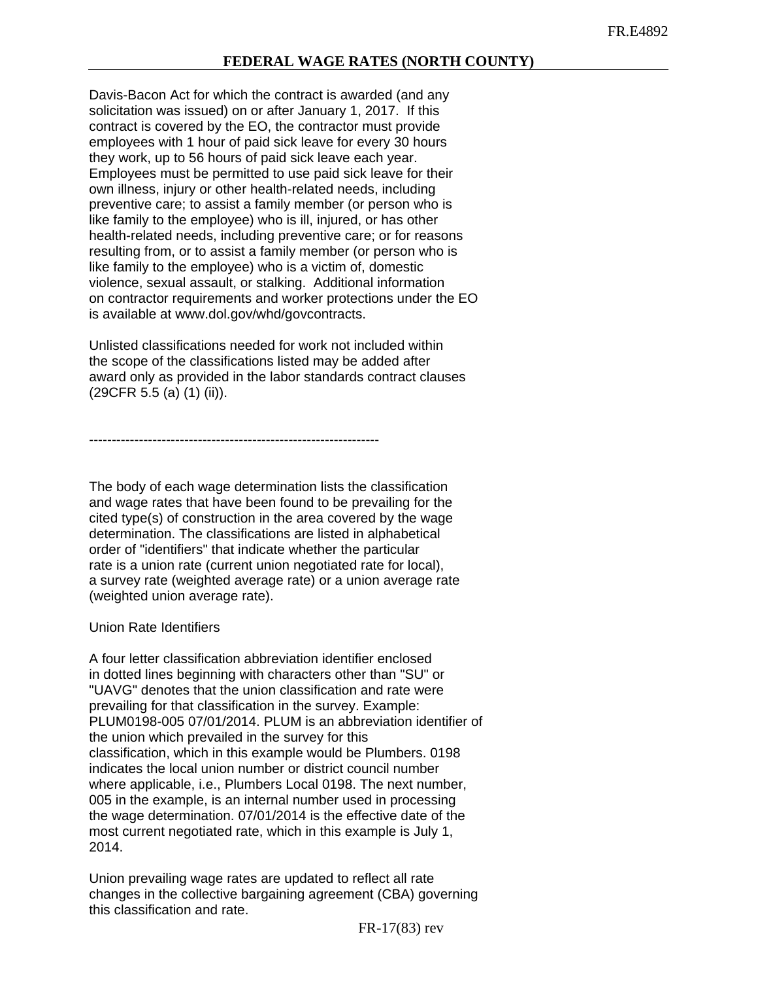Davis-Bacon Act for which the contract is awarded (and any solicitation was issued) on or after January 1, 2017. If this contract is covered by the EO, the contractor must provide employees with 1 hour of paid sick leave for every 30 hours they work, up to 56 hours of paid sick leave each year. Employees must be permitted to use paid sick leave for their own illness, injury or other health-related needs, including preventive care; to assist a family member (or person who is like family to the employee) who is ill, injured, or has other health-related needs, including preventive care; or for reasons resulting from, or to assist a family member (or person who is like family to the employee) who is a victim of, domestic violence, sexual assault, or stalking. Additional information on contractor requirements and worker protections under the EO is available at www.dol.gov/whd/govcontracts.

Unlisted classifications needed for work not included within the scope of the classifications listed may be added after award only as provided in the labor standards contract clauses (29CFR 5.5 (a) (1) (ii)).

----------------------------------------------------------------

The body of each wage determination lists the classification and wage rates that have been found to be prevailing for the cited type(s) of construction in the area covered by the wage determination. The classifications are listed in alphabetical order of "identifiers" that indicate whether the particular rate is a union rate (current union negotiated rate for local), a survey rate (weighted average rate) or a union average rate (weighted union average rate).

## Union Rate Identifiers

A four letter classification abbreviation identifier enclosed in dotted lines beginning with characters other than "SU" or "UAVG" denotes that the union classification and rate were prevailing for that classification in the survey. Example: PLUM0198-005 07/01/2014. PLUM is an abbreviation identifier of the union which prevailed in the survey for this classification, which in this example would be Plumbers. 0198 indicates the local union number or district council number where applicable, i.e., Plumbers Local 0198. The next number, 005 in the example, is an internal number used in processing the wage determination. 07/01/2014 is the effective date of the most current negotiated rate, which in this example is July 1, 2014.

Union prevailing wage rates are updated to reflect all rate changes in the collective bargaining agreement (CBA) governing this classification and rate.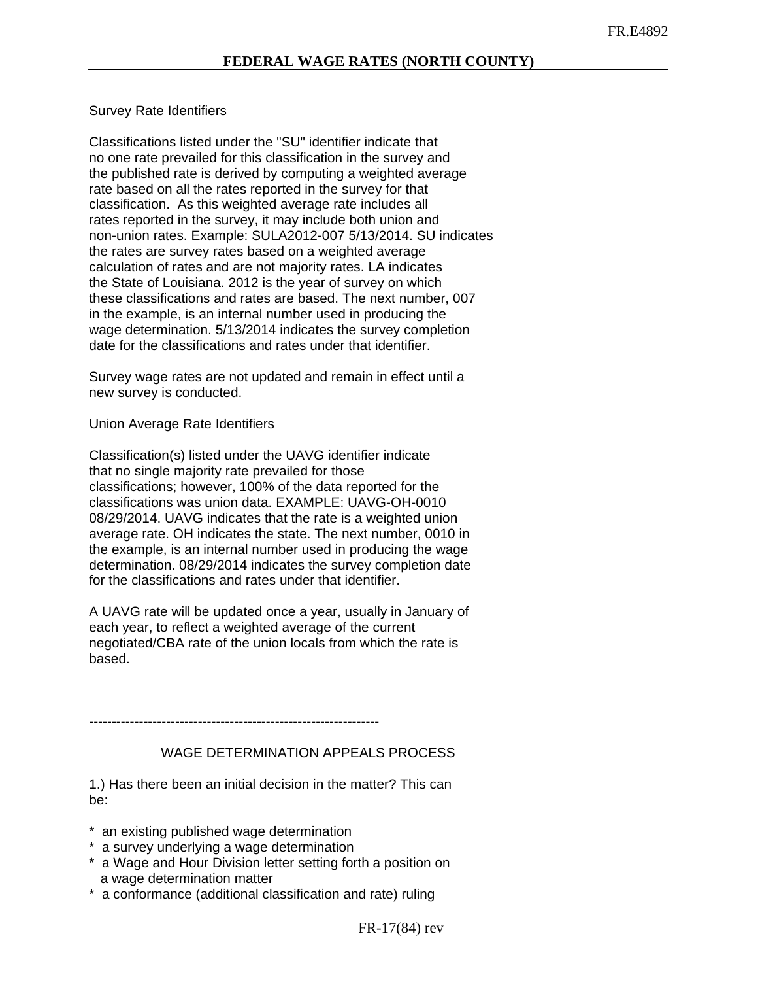#### Survey Rate Identifiers

Classifications listed under the "SU" identifier indicate that no one rate prevailed for this classification in the survey and the published rate is derived by computing a weighted average rate based on all the rates reported in the survey for that classification. As this weighted average rate includes all rates reported in the survey, it may include both union and non-union rates. Example: SULA2012-007 5/13/2014. SU indicates the rates are survey rates based on a weighted average calculation of rates and are not majority rates. LA indicates the State of Louisiana. 2012 is the year of survey on which these classifications and rates are based. The next number, 007 in the example, is an internal number used in producing the wage determination. 5/13/2014 indicates the survey completion date for the classifications and rates under that identifier.

Survey wage rates are not updated and remain in effect until a new survey is conducted.

Union Average Rate Identifiers

Classification(s) listed under the UAVG identifier indicate that no single majority rate prevailed for those classifications; however, 100% of the data reported for the classifications was union data. EXAMPLE: UAVG-OH-0010 08/29/2014. UAVG indicates that the rate is a weighted union average rate. OH indicates the state. The next number, 0010 in the example, is an internal number used in producing the wage determination. 08/29/2014 indicates the survey completion date for the classifications and rates under that identifier.

A UAVG rate will be updated once a year, usually in January of each year, to reflect a weighted average of the current negotiated/CBA rate of the union locals from which the rate is based.

----------------------------------------------------------------

## WAGE DETERMINATION APPEALS PROCESS

1.) Has there been an initial decision in the matter? This can be:

- \* an existing published wage determination
- \* a survey underlying a wage determination
- \* a Wage and Hour Division letter setting forth a position on a wage determination matter
- \* a conformance (additional classification and rate) ruling